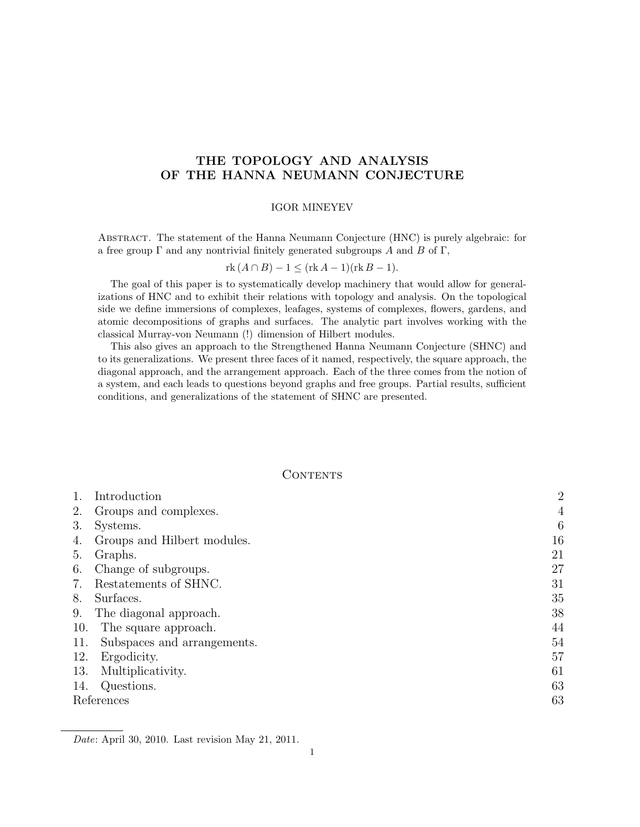# THE TOPOLOGY AND ANALYSIS OF THE HANNA NEUMANN CONJECTURE

### IGOR MINEYEV

Abstract. The statement of the Hanna Neumann Conjecture (HNC) is purely algebraic: for a free group  $\Gamma$  and any nontrivial finitely generated subgroups A and B of  $\Gamma$ ,

$$
rk(A \cap B) - 1 \leq (rk A - 1)(rk B - 1).
$$

The goal of this paper is to systematically develop machinery that would allow for generalizations of HNC and to exhibit their relations with topology and analysis. On the topological side we define immersions of complexes, leafages, systems of complexes, flowers, gardens, and atomic decompositions of graphs and surfaces. The analytic part involves working with the classical Murray-von Neumann (!) dimension of Hilbert modules.

This also gives an approach to the Strengthened Hanna Neumann Conjecture (SHNC) and to its generalizations. We present three faces of it named, respectively, the square approach, the diagonal approach, and the arrangement approach. Each of the three comes from the notion of a system, and each leads to questions beyond graphs and free groups. Partial results, sufficient conditions, and generalizations of the statement of SHNC are presented.

### **CONTENTS**

| 1.  | Introduction                | $\overline{2}$ |
|-----|-----------------------------|----------------|
| 2.  | Groups and complexes.       | $\overline{4}$ |
| 3.  | Systems.                    | 6              |
| 4.  | Groups and Hilbert modules. | 16             |
| 5.  | Graphs.                     | 21             |
| 6.  | Change of subgroups.        | 27             |
| 7.  | Restatements of SHNC.       | 31             |
| 8.  | Surfaces.                   | 35             |
| 9.  | The diagonal approach.      | 38             |
| 10. | The square approach.        | 44             |
| 11. | Subspaces and arrangements. | 54             |
| 12. | Ergodicity.                 | 57             |
| 13. | Multiplicativity.           | 61             |
| 14. | Questions.                  | 63             |
|     | References                  | 63             |
|     |                             |                |

Date: April 30, 2010. Last revision May 21, 2011.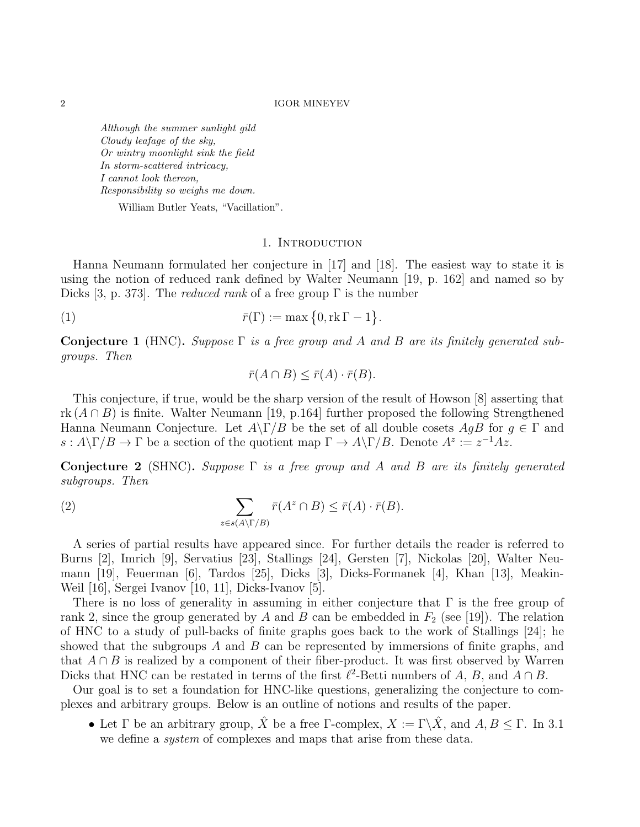Although the summer sunlight gild Cloudy leafage of the sky, Or wintry moonlight sink the field In storm-scattered intricacy, I cannot look thereon, Responsibility so weighs me down.

William Butler Yeats, "Vacillation".

### 1. INTRODUCTION

Hanna Neumann formulated her conjecture in [17] and [18]. The easiest way to state it is using the notion of reduced rank defined by Walter Neumann [19, p. 162] and named so by Dicks [3, p. 373]. The *reduced rank* of a free group  $\Gamma$  is the number

$$
\bar{r}(\Gamma) := \max\left\{0, \text{rk } \Gamma - 1\right\}.
$$

Conjecture 1 (HNC). Suppose  $\Gamma$  is a free group and A and B are its finitely generated subgroups. Then

$$
\bar{r}(A \cap B) \le \bar{r}(A) \cdot \bar{r}(B).
$$

This conjecture, if true, would be the sharp version of the result of Howson [8] asserting that rk  $(A \cap B)$  is finite. Walter Neumann [19, p.164] further proposed the following Strengthened Hanna Neumann Conjecture. Let  $A\Gamma/B$  be the set of all double cosets  $AqB$  for  $q \in \Gamma$  and  $s: A \backslash \Gamma / B \to \Gamma$  be a section of the quotient map  $\Gamma \to A \backslash \Gamma / B$ . Denote  $A^z := z^{-1} A z$ .

Conjecture 2 (SHNC). Suppose  $\Gamma$  is a free group and A and B are its finitely generated subgroups. Then

(2) 
$$
\sum_{z \in s(A \setminus \Gamma/B)} \bar{r}(A^z \cap B) \leq \bar{r}(A) \cdot \bar{r}(B).
$$

A series of partial results have appeared since. For further details the reader is referred to Burns [2], Imrich [9], Servatius [23], Stallings [24], Gersten [7], Nickolas [20], Walter Neumann [19], Feuerman [6], Tardos [25], Dicks [3], Dicks-Formanek [4], Khan [13], Meakin-Weil [16], Sergei Ivanov [10, 11], Dicks-Ivanov [5].

There is no loss of generality in assuming in either conjecture that  $\Gamma$  is the free group of rank 2, since the group generated by A and B can be embedded in  $F_2$  (see [19]). The relation of HNC to a study of pull-backs of finite graphs goes back to the work of Stallings [24]; he showed that the subgroups A and B can be represented by immersions of finite graphs, and that  $A \cap B$  is realized by a component of their fiber-product. It was first observed by Warren Dicks that HNC can be restated in terms of the first  $\ell^2$ -Betti numbers of A, B, and  $A \cap B$ .

Our goal is to set a foundation for HNC-like questions, generalizing the conjecture to complexes and arbitrary groups. Below is an outline of notions and results of the paper.

• Let  $\Gamma$  be an arbitrary group,  $\hat{X}$  be a free  $\Gamma$ -complex,  $X := \Gamma \backslash \hat{X}$ , and  $A, B \leq \Gamma$ . In 3.1 we define a *system* of complexes and maps that arise from these data.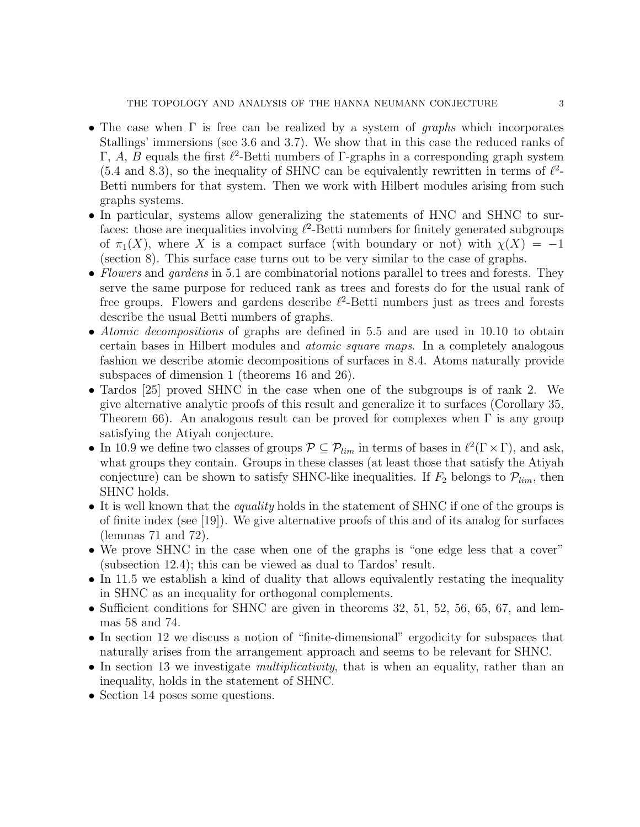- The case when  $\Gamma$  is free can be realized by a system of *graphs* which incorporates Stallings' immersions (see 3.6 and 3.7). We show that in this case the reduced ranks of Γ, A, B equals the first  $\ell^2$ -Betti numbers of Γ-graphs in a corresponding graph system  $(5.4 \text{ and } 8.3)$ , so the inequality of SHNC can be equivalently rewritten in terms of  $\ell^2$ -Betti numbers for that system. Then we work with Hilbert modules arising from such graphs systems.
- In particular, systems allow generalizing the statements of HNC and SHNC to surfaces: those are inequalities involving  $\ell^2$ -Betti numbers for finitely generated subgroups of  $\pi_1(X)$ , where X is a compact surface (with boundary or not) with  $\chi(X) = -1$ (section 8). This surface case turns out to be very similar to the case of graphs.
- Flowers and gardens in 5.1 are combinatorial notions parallel to trees and forests. They serve the same purpose for reduced rank as trees and forests do for the usual rank of free groups. Flowers and gardens describe  $\ell^2$ -Betti numbers just as trees and forests describe the usual Betti numbers of graphs.
- Atomic decompositions of graphs are defined in 5.5 and are used in 10.10 to obtain certain bases in Hilbert modules and atomic square maps. In a completely analogous fashion we describe atomic decompositions of surfaces in 8.4. Atoms naturally provide subspaces of dimension 1 (theorems 16 and 26).
- Tardos [25] proved SHNC in the case when one of the subgroups is of rank 2. We give alternative analytic proofs of this result and generalize it to surfaces (Corollary 35, Theorem 66). An analogous result can be proved for complexes when  $\Gamma$  is any group satisfying the Atiyah conjecture.
- In 10.9 we define two classes of groups  $P \subseteq P_{lim}$  in terms of bases in  $\ell^2(\Gamma \times \Gamma)$ , and ask, what groups they contain. Groups in these classes (at least those that satisfy the Atiyah conjecture) can be shown to satisfy SHNC-like inequalities. If  $F_2$  belongs to  $\mathcal{P}_{lim}$ , then SHNC holds.
- It is well known that the *equality* holds in the statement of SHNC if one of the groups is of finite index (see [19]). We give alternative proofs of this and of its analog for surfaces (lemmas 71 and 72).
- We prove SHNC in the case when one of the graphs is "one edge less that a cover" (subsection 12.4); this can be viewed as dual to Tardos' result.
- In 11.5 we establish a kind of duality that allows equivalently restating the inequality in SHNC as an inequality for orthogonal complements.
- Sufficient conditions for SHNC are given in theorems 32, 51, 52, 56, 65, 67, and lemmas 58 and 74.
- In section 12 we discuss a notion of "finite-dimensional" ergodicity for subspaces that naturally arises from the arrangement approach and seems to be relevant for SHNC.
- In section 13 we investigate *multiplicativity*, that is when an equality, rather than an inequality, holds in the statement of SHNC.
- Section 14 poses some questions.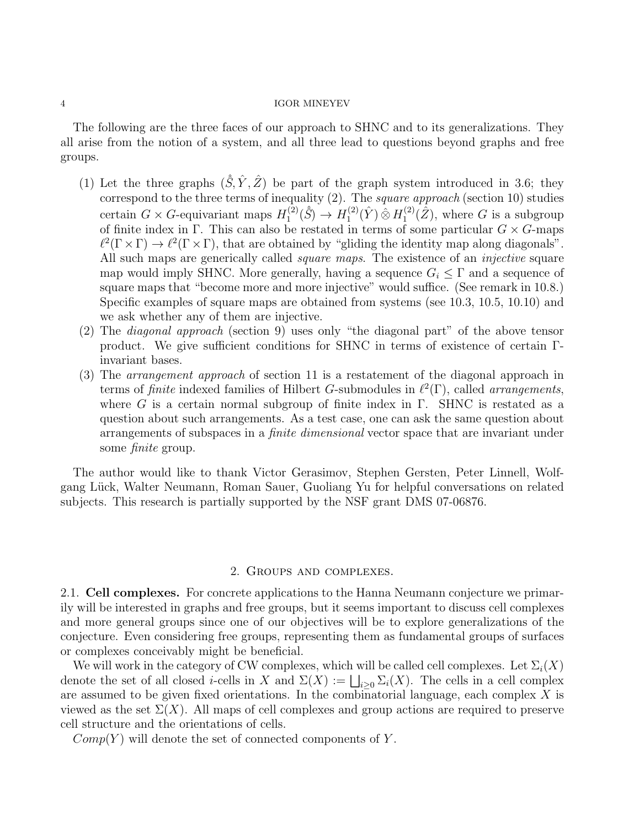The following are the three faces of our approach to SHNC and to its generalizations. They all arise from the notion of a system, and all three lead to questions beyond graphs and free groups.

- (1) Let the three graphs  $(\hat{S}, \hat{Y}, \hat{Z})$  be part of the graph system introduced in 3.6; they correspond to the three terms of inequality (2). The square approach (section 10) studies certain  $G \times G$ -equivariant maps  $H_1^{(2)}$  $H_1^{(2)}(\hat{S}) \to H_1^{(2)}$  $H_1^{(2)}(\hat{Y})\,\hat{\otimes}\, H_1^{(2)}$  $I_1^{(2)}(\hat{Z})$ , where G is a subgroup of finite index in Γ. This can also be restated in terms of some particular  $G \times G$ -maps  $\ell^2(\Gamma \times \Gamma) \to \ell^2(\Gamma \times \Gamma)$ , that are obtained by "gliding the identity map along diagonals". All such maps are generically called *square maps*. The existence of an *injective* square map would imply SHNC. More generally, having a sequence  $G_i \leq \Gamma$  and a sequence of square maps that "become more and more injective" would suffice. (See remark in 10.8.) Specific examples of square maps are obtained from systems (see 10.3, 10.5, 10.10) and we ask whether any of them are injective.
- (2) The diagonal approach (section 9) uses only "the diagonal part" of the above tensor product. We give sufficient conditions for SHNC in terms of existence of certain Γinvariant bases.
- (3) The arrangement approach of section 11 is a restatement of the diagonal approach in terms of *finite* indexed families of Hilbert G-submodules in  $\ell^2(\Gamma)$ , called *arrangements*, where G is a certain normal subgroup of finite index in  $\Gamma$ . SHNC is restated as a question about such arrangements. As a test case, one can ask the same question about arrangements of subspaces in a finite dimensional vector space that are invariant under some finite group.

The author would like to thank Victor Gerasimov, Stephen Gersten, Peter Linnell, Wolfgang Lück, Walter Neumann, Roman Sauer, Guoliang Yu for helpful conversations on related subjects. This research is partially supported by the NSF grant DMS 07-06876.

### 2. Groups and complexes.

2.1. Cell complexes. For concrete applications to the Hanna Neumann conjecture we primarily will be interested in graphs and free groups, but it seems important to discuss cell complexes and more general groups since one of our objectives will be to explore generalizations of the conjecture. Even considering free groups, representing them as fundamental groups of surfaces or complexes conceivably might be beneficial.

We will work in the category of CW complexes, which will be called cell complexes. Let  $\Sigma_i(X)$ denote the set of all closed *i*-cells in X and  $\Sigma(X) := \bigsqcup_{i\geq 0} \Sigma_i(X)$ . The cells in a cell complex are assumed to be given fixed orientations. In the combinatorial language, each complex  $X$  is viewed as the set  $\Sigma(X)$ . All maps of cell complexes and group actions are required to preserve cell structure and the orientations of cells.

 $Comp(Y)$  will denote the set of connected components of Y.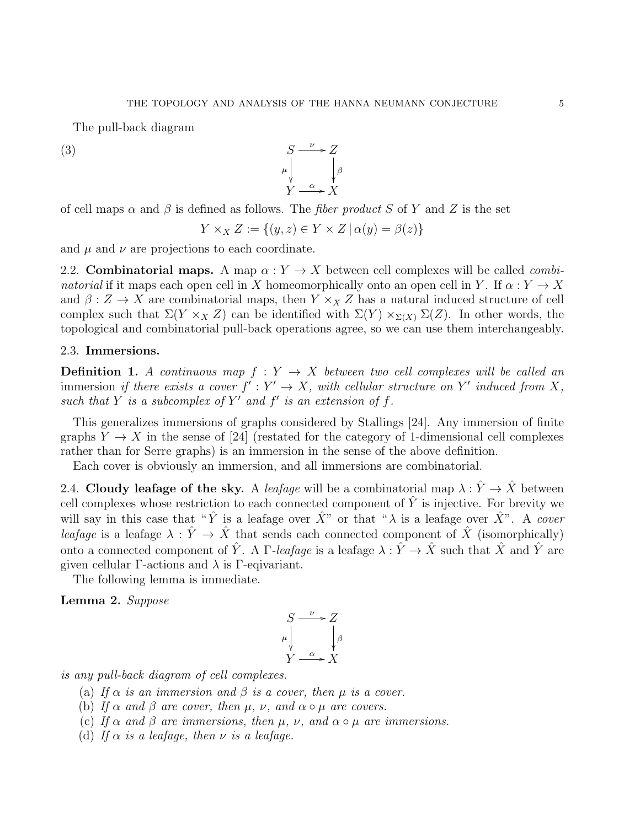The pull-back diagram

 $(S)$  S  $\mu$  $\frac{1}{2}$  $\rightarrow Z$ β ľ  $Y \xrightarrow{\alpha} X$ 

of cell maps  $\alpha$  and  $\beta$  is defined as follows. The *fiber product* S of Y and Z is the set

$$
Y \times_X Z := \{(y, z) \in Y \times Z \mid \alpha(y) = \beta(z)\}
$$

and  $\mu$  and  $\nu$  are projections to each coordinate.

2.2. Combinatorial maps. A map  $\alpha: Y \to X$  between cell complexes will be called *combi*natorial if it maps each open cell in X homeomorphically onto an open cell in Y. If  $\alpha: Y \to X$ and  $\beta: Z \to X$  are combinatorial maps, then  $Y \times_X Z$  has a natural induced structure of cell complex such that  $\Sigma(Y \times_X Z)$  can be identified with  $\Sigma(Y) \times_{\Sigma(X)} \Sigma(Z)$ . In other words, the topological and combinatorial pull-back operations agree, so we can use them interchangeably.

# 2.3. Immersions.

**Definition 1.** A continuous map  $f: Y \to X$  between two cell complexes will be called an immersion if there exists a cover  $f': Y' \to X$ , with cellular structure on Y' induced from X, such that Y is a subcomplex of Y' and  $f'$  is an extension of  $f$ .

This generalizes immersions of graphs considered by Stallings [24]. Any immersion of finite graphs  $Y \to X$  in the sense of [24] (restated for the category of 1-dimensional cell complexes rather than for Serre graphs) is an immersion in the sense of the above definition.

Each cover is obviously an immersion, and all immersions are combinatorial.

2.4. Cloudy leafage of the sky. A leafage will be a combinatorial map  $\lambda : \hat{Y} \to \hat{X}$  between cell complexes whose restriction to each connected component of  $\hat{Y}$  is injective. For brevity we will say in this case that " $\hat{Y}$  is a leafage over  $\hat{X}$ " or that " $\lambda$  is a leafage over  $\hat{X}$ ". A cover leafage is a leafage  $\lambda : \hat{Y} \to \hat{X}$  that sends each connected component of  $\hat{X}$  (isomorphically) onto a connected component of  $\hat{Y}$ . A  $\Gamma$ -leafage is a leafage  $\lambda : \hat{Y} \to \hat{X}$  such that  $\hat{X}$  and  $\hat{Y}$  are given cellular  $\Gamma$ -actions and  $\lambda$  is  $\Gamma$ -eqivariant.

The following lemma is immediate.

Lemma 2. Suppose

$$
\begin{array}{ccc}\nS & \xrightarrow{\nu} & Z \\
\mu & & \downarrow{\beta} \\
Y & \xrightarrow{\alpha} & X\n\end{array}
$$

is any pull-back diagram of cell complexes.

- (a) If  $\alpha$  is an immersion and  $\beta$  is a cover, then  $\mu$  is a cover.
- (b) If  $\alpha$  and  $\beta$  are cover, then  $\mu$ ,  $\nu$ , and  $\alpha \circ \mu$  are covers.
- (c) If  $\alpha$  and  $\beta$  are immersions, then  $\mu$ ,  $\nu$ , and  $\alpha \circ \mu$  are immersions.
- (d) If  $\alpha$  is a leafage, then  $\nu$  is a leafage.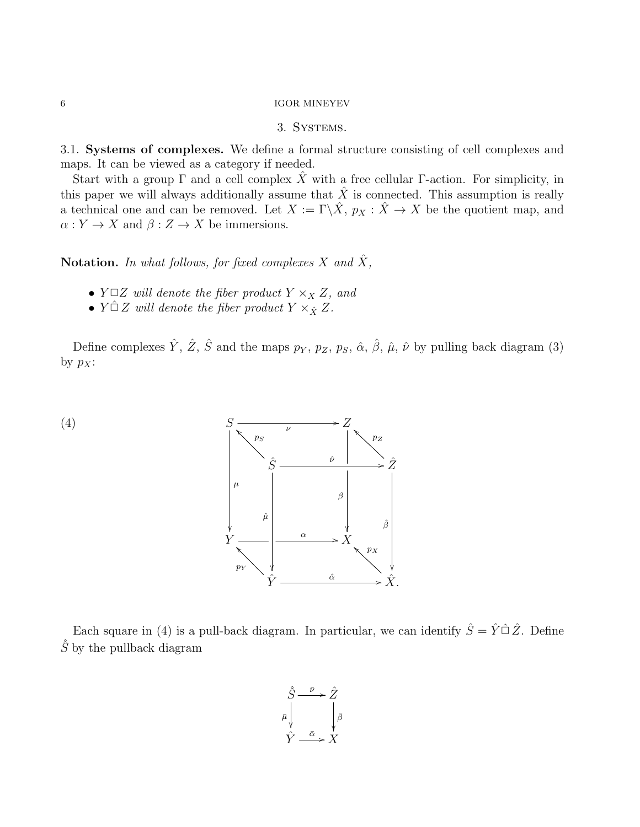# $6\,$   $\,$  IGOR MINEYEV

# 3. Systems.

3.1. Systems of complexes. We define a formal structure consisting of cell complexes and maps. It can be viewed as a category if needed.

Start with a group  $\Gamma$  and a cell complex X with a free cellular  $\Gamma$ -action. For simplicity, in this paper we will always additionally assume that  $\hat{X}$  is connected. This assumption is really a technical one and can be removed. Let  $X := \Gamma \backslash \hat{X}$ ,  $p_X : \hat{X} \to X$  be the quotient map, and  $\alpha: Y \to X$  and  $\beta: Z \to X$  be immersions.

Notation. In what follows, for fixed complexes X and  $\hat{X}$ ,

- $Y \square Z$  will denote the fiber product  $Y \times_X Z$ , and
- $Y \cap Z$  will denote the fiber product  $Y \times_{\hat{X}} Z$ .

Define complexes  $\hat{Y}$ ,  $\hat{Z}$ ,  $\hat{S}$  and the maps  $p_Y$ ,  $p_Z$ ,  $p_S$ ,  $\hat{\alpha}$ ,  $\hat{\beta}$ ,  $\hat{\mu}$ ,  $\hat{\nu}$  by pulling back diagram (3) by  $p_X$ :



Each square in (4) is a pull-back diagram. In particular, we can identify  $\hat{S} = \hat{Y} \hat{\Box} \hat{Z}$ . Define  $\hat{S}$  by the pullback diagram

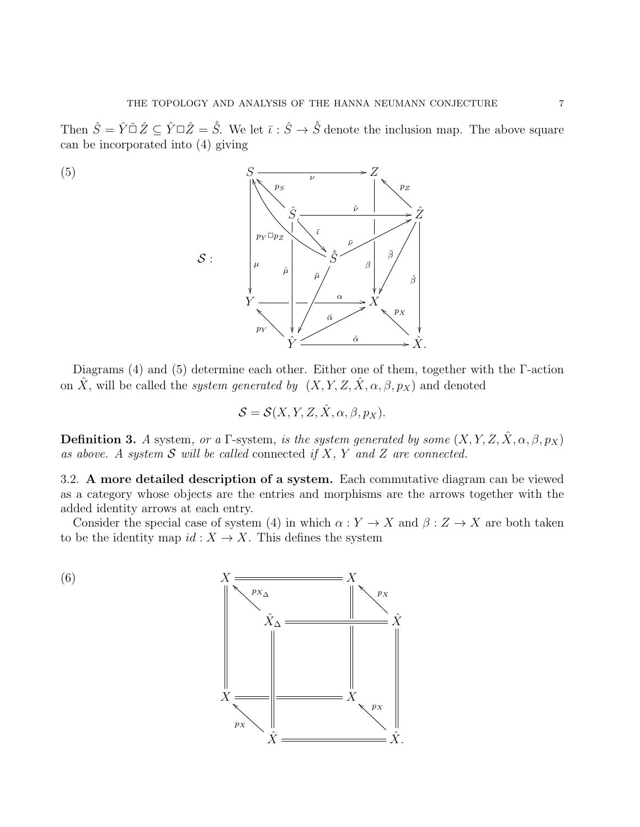Then  $\hat{S} = \hat{Y} \hat{\square} \hat{Z} \subseteq \hat{Y} \square \hat{Z} = \hat{S}$ . We let  $\bar{\iota} : \hat{S} \to \hat{S}$  denote the inclusion map. The above square can be incorporated into (4) giving



Diagrams (4) and (5) determine each other. Either one of them, together with the Γ-action on  $\hat{X}$ , will be called the *system generated by*  $(X, Y, Z, \hat{X}, \alpha, \beta, p_X)$  and denoted

$$
\mathcal{S} = \mathcal{S}(X, Y, Z, \hat{X}, \alpha, \beta, p_X).
$$

**Definition 3.** A system, or a Γ-system, is the system generated by some  $(X, Y, Z, \hat{X}, \alpha, \beta, p_X)$ as above. A system  $S$  will be called connected if  $X$ ,  $Y$  and  $Z$  are connected.

3.2. A more detailed description of a system. Each commutative diagram can be viewed as a category whose objects are the entries and morphisms are the arrows together with the added identity arrows at each entry.

Consider the special case of system (4) in which  $\alpha: Y \to X$  and  $\beta: Z \to X$  are both taken to be the identity map  $id : X \to X$ . This defines the system

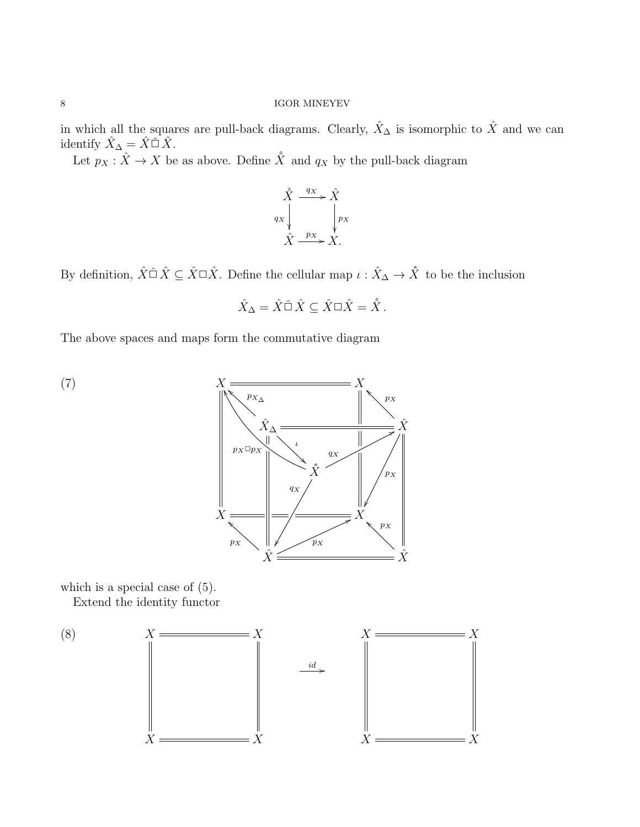in which all the squares are pull-back diagrams. Clearly,  $\hat{X}_\Delta$  is isomorphic to  $\hat{X}$  and we can identify  $\hat{X}_{\Delta} = \hat{X} \hat{\Box} \hat{X}$ .

Let  $p_X : \hat{X} \to X$  be as above. Define  $\hat{X}$  and  $q_X$  by the pull-back diagram

$$
\hat{X} \xrightarrow{qx} \hat{X}
$$
\n
$$
q_X \downarrow \qquad \qquad q_X
$$
\n
$$
\hat{X} \xrightarrow{p_X} X.
$$

By definition,  $\hat{X} \cap \hat{X} \subseteq \hat{X} \cap \hat{X}$ . Define the cellular map  $\iota : \hat{X}_{\Delta} \to \hat{X}$  to be the inclusion

$$
\hat{X}_{\Delta} = \hat{X} \hat{\Box} \hat{X} \subseteq \hat{X} \Box \hat{X} = \hat{\hat{X}}.
$$

The above spaces and maps form the commutative diagram



which is a special case of (5).

Extend the identity functor

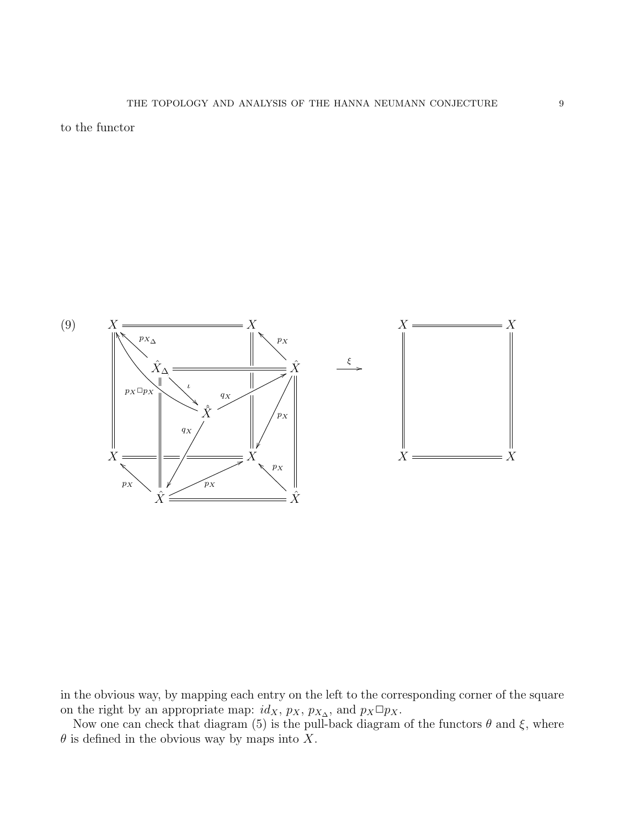to the functor



in the obvious way, by mapping each entry on the left to the corresponding corner of the square on the right by an appropriate map:  $id_X$ ,  $p_X$ ,  $p_{X_\Delta}$ , and  $p_X \Box p_X$ .

Now one can check that diagram (5) is the pull-back diagram of the functors  $\theta$  and  $\xi$ , where  $\theta$  is defined in the obvious way by maps into X.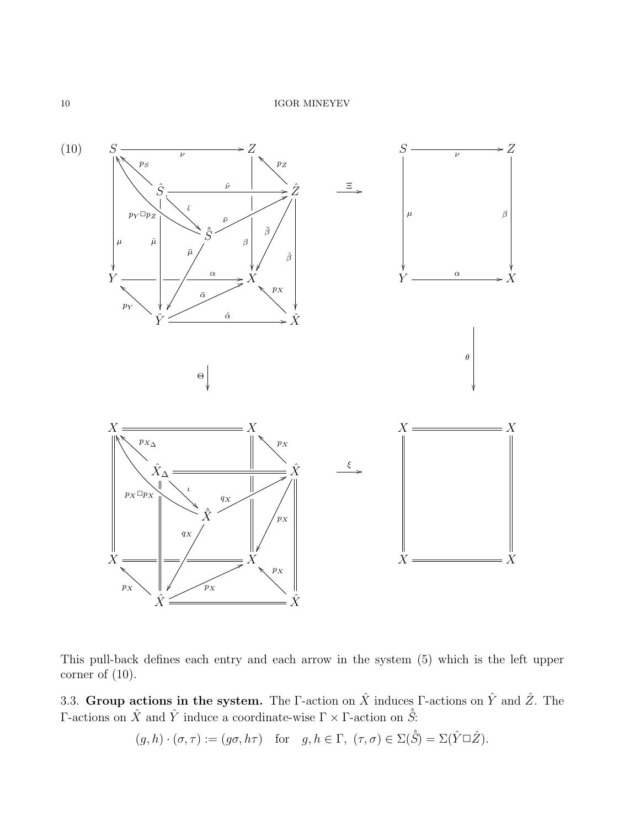

This pull-back defines each entry and each arrow in the system (5) which is the left upper corner of (10).

3.3. Group actions in the system. The Γ-action on  $\hat{X}$  induces Γ-actions on  $\hat{Y}$  and  $\hat{Z}$ . The Γ-actions on  $\hat{X}$  and  $\hat{Y}$  induce a coordinate-wise  $\Gamma \times \Gamma$ -action on  $\hat{S}$ :

 $(g, h) \cdot (\sigma, \tau) := (g\sigma, h\tau)$  for  $g, h \in \Gamma$ ,  $(\tau, \sigma) \in \Sigma(\hat{S}) = \Sigma(\hat{Y} \square \hat{Z})$ .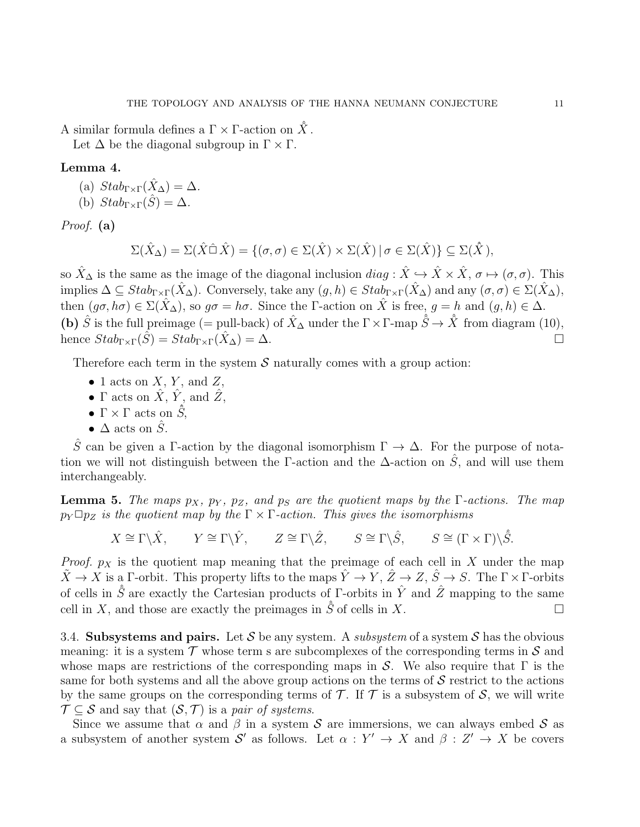A similar formula defines a  $\Gamma \times \Gamma$ -action on  $\hat{X}$ .

Let  $\Delta$  be the diagonal subgroup in  $\Gamma \times \Gamma$ .

# Lemma 4.

- (a)  $Stab_{\Gamma\times\Gamma}(\hat{X}_\Delta)=\Delta$ .
- (b)  $Stab_{\Gamma\times\Gamma}(\hat{S})=\Delta$ .

Proof. (a)

$$
\Sigma(\hat{X}_{\Delta}) = \Sigma(\hat{X}\hat{\Box}\,\hat{X}) = \{(\sigma,\sigma) \in \Sigma(\hat{X}) \times \Sigma(\hat{X}) \mid \sigma \in \Sigma(\hat{X})\} \subseteq \Sigma(\hat{X}),
$$

so  $\hat{X}_{\Delta}$  is the same as the image of the diagonal inclusion  $diag : \hat{X} \hookrightarrow \hat{X} \times \hat{X}, \sigma \mapsto (\sigma, \sigma)$ . This implies  $\Delta \subseteq Stab_{\Gamma \times \Gamma}(\hat{X}_{\Delta})$ . Conversely, take any  $(g, h) \in Stab_{\Gamma \times \Gamma}(\hat{X}_{\Delta})$  and any  $(\sigma, \sigma) \in \Sigma(\hat{X}_{\Delta})$ , then  $(g\sigma, h\sigma) \in \Sigma(\hat{X}_{\Delta})$ , so  $g\sigma = h\sigma$ . Since the Γ-action on  $\hat{X}$  is free,  $g = h$  and  $(g, h) \in \Delta$ . (b)  $\hat{S}$  is the full preimage (= pull-back) of  $\hat{X}_{\Delta}$  under the  $\Gamma \times \Gamma$ -map  $\hat{S} \to \hat{X}$  from diagram (10), hence  $Stab_{\Gamma\times\Gamma}(\hat{S})=Stab_{\Gamma\times\Gamma}(\hat{X}_{\Delta})=\Delta.$ 

Therefore each term in the system  $S$  naturally comes with a group action:

- 1 acts on  $X, Y$ , and  $Z$ ,
- $\Gamma$  acts on  $\hat{X}$ ,  $\hat{Y}$ , and  $\hat{Z}$ ,
- $\Gamma \times \Gamma$  acts on  $\hat{S}$ ,
- $\Delta$  acts on  $\hat{S}$ .

 $\hat{S}$  can be given a Γ-action by the diagonal isomorphism  $\Gamma \to \Delta$ . For the purpose of notation we will not distinguish between the Γ-action and the  $\Delta$ -action on  $\hat{S}$ , and will use them interchangeably.

**Lemma 5.** The maps  $p_X$ ,  $p_Y$ ,  $p_Z$ , and  $p_S$  are the quotient maps by the Γ-actions. The map  $p_Y \Box p_Z$  is the quotient map by the  $\Gamma \times \Gamma$ -action. This gives the isomorphisms

 $X \cong \Gamma \backslash \hat{X}$ ,  $Y \cong \Gamma \backslash \hat{Y}$ ,  $Z \cong \Gamma \backslash \hat{Z}$ ,  $S \cong \Gamma \backslash \hat{S}$ ,  $S \cong (\Gamma \times \Gamma) \backslash \hat{S}$ .

*Proof.*  $p<sub>X</sub>$  is the quotient map meaning that the preimage of each cell in X under the map  $\tilde{X} \to \tilde{X}$  is a Γ-orbit. This property lifts to the maps  $\hat{Y} \to \tilde{Y}$ ,  $\hat{Z} \to Z$ ,  $\hat{S} \to S$ . The  $\Gamma \times \Gamma$ -orbits of cells in  $\hat{S}$  are exactly the Cartesian products of  $\Gamma$ -orbits in  $\hat{Y}$  and  $\hat{Z}$  mapping to the same cell in X, and those are exactly the preimages in  $\hat{S}$  of cells in X.

3.4. Subsystems and pairs. Let S be any system. A *subsystem* of a system S has the obvious meaning: it is a system  $\mathcal T$  whose term s are subcomplexes of the corresponding terms in  $\mathcal S$  and whose maps are restrictions of the corresponding maps in S. We also require that  $\Gamma$  is the same for both systems and all the above group actions on the terms of  $\mathcal S$  restrict to the actions by the same groups on the corresponding terms of  $\mathcal T$ . If  $\mathcal T$  is a subsystem of  $\mathcal S$ , we will write  $\mathcal{T} \subseteq \mathcal{S}$  and say that  $(\mathcal{S}, \mathcal{T})$  is a pair of systems.

Since we assume that  $\alpha$  and  $\beta$  in a system S are immersions, we can always embed S as a subsystem of another system S' as follows. Let  $\alpha: Y' \to X$  and  $\beta: Z' \to X$  be covers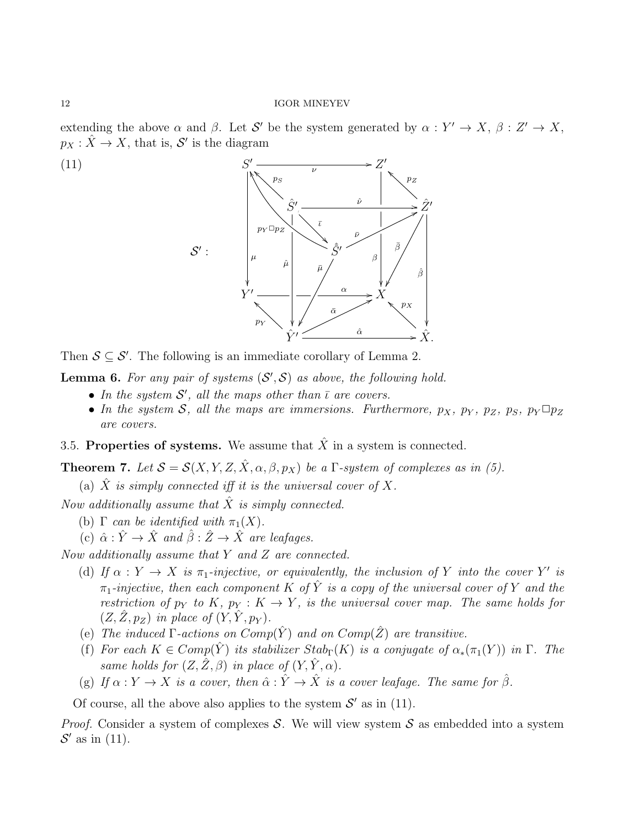extending the above  $\alpha$  and  $\beta$ . Let S' be the system generated by  $\alpha: Y' \to X, \beta: Z' \to X$ ,  $p_X : \hat{X} \to X$ , that is, S' is the diagram



Then  $S \subseteq S'$ . The following is an immediate corollary of Lemma 2.

**Lemma 6.** For any pair of systems  $(S', S)$  as above, the following hold.

- In the system  $\mathcal{S}'$ , all the maps other than  $\overline{\iota}$  are covers.
- In the system S, all the maps are immersions. Furthermore,  $p_X$ ,  $p_Y$ ,  $p_Z$ ,  $p_S$ ,  $p_Y \Box p_Z$ are covers.
- 3.5. Properties of systems. We assume that  $\hat{X}$  in a system is connected.

**Theorem 7.** Let  $S = S(X, Y, Z, \hat{X}, \alpha, \beta, p_X)$  be a  $\Gamma$ -system of complexes as in (5).

(a) X is simply connected iff it is the universal cover of X.

Now additionally assume that  $\hat{X}$  is simply connected.

- (b)  $\Gamma$  can be identified with  $\pi_1(X)$ .
- (c)  $\hat{\alpha} : \hat{Y} \to \hat{X}$  and  $\hat{\beta} : \hat{Z} \to \hat{X}$  are leafages.

Now additionally assume that Y and Z are connected.

- (d) If  $\alpha: Y \to X$  is  $\pi_1$ -injective, or equivalently, the inclusion of Y into the cover Y' is  $\pi_1$ -injective, then each component K of  $\hat{Y}$  is a copy of the universal cover of Y and the restriction of  $p_Y$  to K,  $p_Y : K \to Y$ , is the universal cover map. The same holds for  $(Z, \hat{Z}, p_Z)$  in place of  $(Y, \hat{Y}, p_Y)$ .
- (e) The induced  $\Gamma$ -actions on  $Comp(\hat{Y})$  and on  $Comp(\hat{Z})$  are transitive.
- (f) For each  $K \in Comp(\hat{Y})$  its stabilizer  $Stab_{\Gamma}(K)$  is a conjugate of  $\alpha_*(\pi_1(Y))$  in  $\Gamma$ . The same holds for  $(Z, \tilde{Z}, \beta)$  in place of  $(Y, \tilde{Y}, \alpha)$ .
- (g) If  $\alpha: Y \to X$  is a cover, then  $\hat{\alpha}: \hat{Y} \to \hat{X}$  is a cover leafage. The same for  $\hat{\beta}$ .

Of course, all the above also applies to the system  $\mathcal{S}'$  as in (11).

*Proof.* Consider a system of complexes S. We will view system S as embedded into a system  $\mathcal{S}'$  as in (11).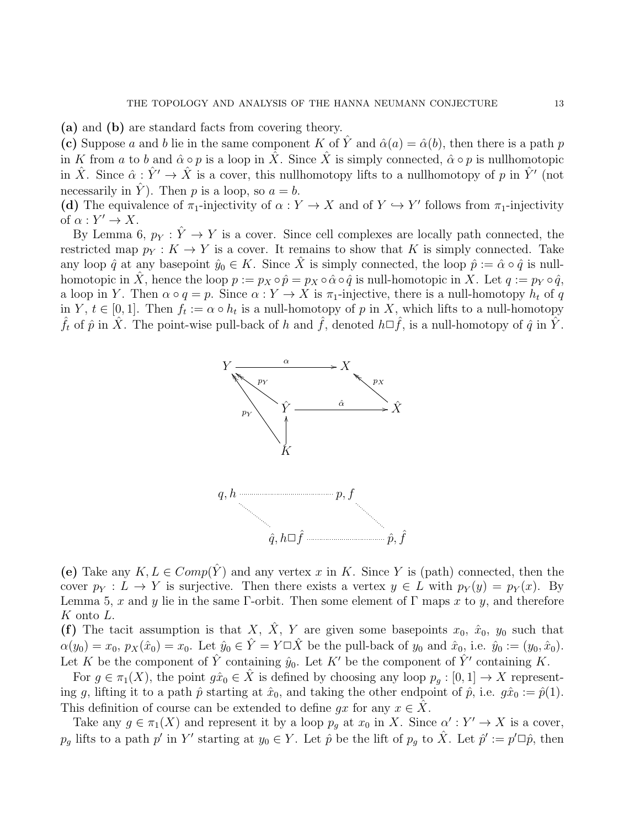(a) and (b) are standard facts from covering theory.

(c) Suppose a and b lie in the same component K of  $\hat{Y}$  and  $\hat{\alpha}(a) = \hat{\alpha}(b)$ , then there is a path p in K from a to b and  $\hat{\alpha} \circ p$  is a loop in  $\hat{X}$ . Since  $\hat{X}$  is simply connected,  $\hat{\alpha} \circ p$  is nullhomotopic in  $\hat{X}$ . Since  $\hat{\alpha}: \hat{Y}' \to \hat{X}$  is a cover, this nullhomotopy lifts to a nullhomotopy of p in  $\hat{Y}'$  (not necessarily in  $\hat{Y}$ ). Then p is a loop, so  $a = b$ .

(d) The equivalence of  $\pi_1$ -injectivity of  $\alpha: Y \to X$  and of  $Y \to Y'$  follows from  $\pi_1$ -injectivity of  $\alpha: Y' \to X$ .

By Lemma 6,  $p_Y : \hat{Y} \to Y$  is a cover. Since cell complexes are locally path connected, the restricted map  $p_Y : K \to Y$  is a cover. It remains to show that K is simply connected. Take any loop  $\hat{q}$  at any basepoint  $\hat{y}_0 \in K$ . Since  $\hat{X}$  is simply connected, the loop  $\hat{p} := \hat{\alpha} \circ \hat{q}$  is nullhomotopic in  $\hat{X}$ , hence the loop  $p := p_X \circ \hat{p} = p_X \circ \hat{\alpha} \circ \hat{q}$  is null-homotopic in X. Let  $q := p_Y \circ \hat{q}$ , a loop in Y. Then  $\alpha \circ q = p$ . Since  $\alpha : Y \to X$  is  $\pi_1$ -injective, there is a null-homotopy  $h_t$  of q in Y,  $t \in [0,1]$ . Then  $f_t := \alpha \circ h_t$  is a null-homotopy of p in X, which lifts to a null-homotopy  $\hat{f}_t$  of  $\hat{p}$  in  $\hat{X}$ . The point-wise pull-back of h and  $\hat{f}$ , denoted  $h\Box \hat{f}$ , is a null-homotopy of  $\hat{q}$  in  $\hat{Y}$ .



(e) Take any  $K, L \in Comp(\hat{Y})$  and any vertex x in K. Since Y is (path) connected, then the cover  $p_Y : L \to Y$  is surjective. Then there exists a vertex  $y \in L$  with  $p_Y(y) = p_Y(x)$ . By Lemma 5, x and y lie in the same Γ-orbit. Then some element of  $\Gamma$  maps x to y, and therefore K onto L.

(f) The tacit assumption is that X,  $\hat{X}$ , Y are given some basepoints  $x_0$ ,  $\hat{x}_0$ ,  $y_0$  such that  $\alpha(y_0) = x_0, p_X(\hat{x}_0) = x_0$ . Let  $\hat{y}_0 \in \hat{Y} = Y \square \hat{X}$  be the pull-back of  $y_0$  and  $\hat{x}_0$ , i.e.  $\hat{y}_0 := (y_0, \hat{x}_0)$ . Let K be the component of  $\hat{Y}$  containing  $\hat{y}_0$ . Let K' be the component of  $\hat{Y}'$  containing K.

For  $g \in \pi_1(X)$ , the point  $g\hat{x}_0 \in \hat{X}$  is defined by choosing any loop  $p_q : [0,1] \to X$  representing g, lifting it to a path  $\hat{p}$  starting at  $\hat{x}_0$ , and taking the other endpoint of  $\hat{p}$ , i.e.  $g\hat{x}_0 := \hat{p}(1)$ . This definition of course can be extended to define  $gx$  for any  $x \in X$ .

Take any  $g \in \pi_1(X)$  and represent it by a loop  $p_g$  at  $x_0$  in X. Since  $\alpha' : Y' \to X$  is a cover,  $p_g$  lifts to a path p' in Y' starting at  $y_0 \in Y$ . Let  $\hat{p}$  be the lift of  $p_g$  to  $\hat{X}$ . Let  $\hat{p}' := p' \Box \hat{p}$ , then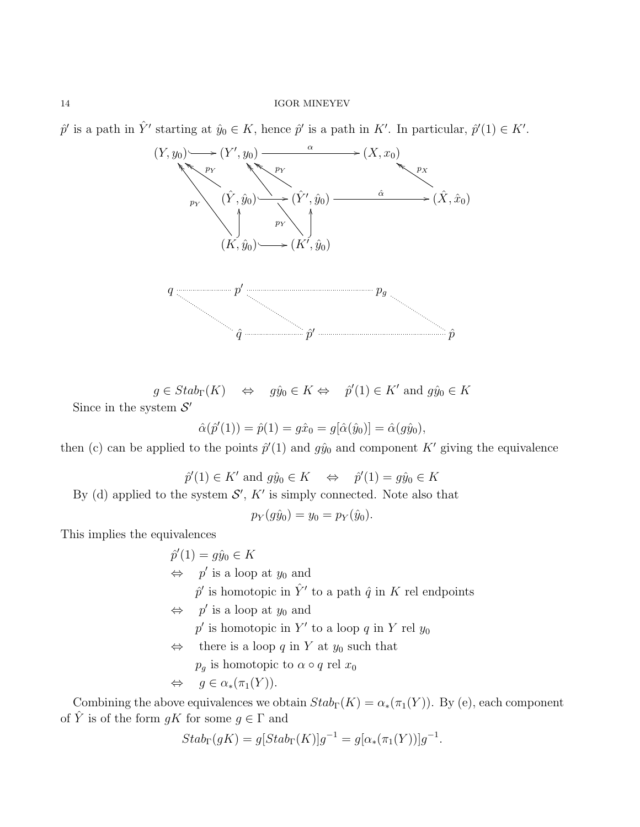$\hat{p}'$  is a path in  $\hat{Y}'$  starting at  $\hat{y}_0 \in K$ , hence  $\hat{p}'$  is a path in K'. In particular,  $\hat{p}'(1) \in K'$ .



 $g \in Stab_{\Gamma}(K) \quad \Leftrightarrow \quad g\hat{y}_0 \in K \Leftrightarrow \quad \hat{p}'(1) \in K' \text{ and } g\hat{y}_0 \in K$ Since in the system  $S'$ 

$$
\hat{\alpha}(\hat{p}'(1)) = \hat{p}(1) = g\hat{x}_0 = g[\hat{\alpha}(\hat{y}_0)] = \hat{\alpha}(g\hat{y}_0),
$$

then (c) can be applied to the points  $\hat{p}'(1)$  and  $g\hat{y}_0$  and component K' giving the equivalence

$$
\hat{p}'(1) \in K'
$$
 and  $g\hat{y}_0 \in K \iff \hat{p}'(1) = g\hat{y}_0 \in K$ 

By (d) applied to the system  $\mathcal{S}'$ ,  $K'$  is simply connected. Note also that

 $p_Y(g\hat{y}_0) = y_0 = p_Y(\hat{y}_0).$ 

This implies the equivalences

 $\hat{p}'(1) = g\hat{y}_0 \in K$  $\Leftrightarrow$  p' is a loop at  $y_0$  and  $\hat{p}'$  is homotopic in  $\hat{Y}'$  to a path  $\hat{q}$  in K rel endpoints  $\Leftrightarrow$  p' is a loop at  $y_0$  and  $p'$  is homotopic in Y' to a loop q in Y rel  $y_0$  $\Leftrightarrow$  there is a loop q in Y at  $y_0$  such that  $p_g$  is homotopic to  $\alpha \circ q$  rel  $x_0$  $\Leftrightarrow$   $q \in \alpha_*(\pi_1(Y)).$ 

Combining the above equivalences we obtain  $Stab_{\Gamma}(K) = \alpha_*(\pi_1(Y))$ . By (e), each component of  $\hat{Y}$  is of the form  $qK$  for some  $q \in \Gamma$  and

$$
Stab_{\Gamma}(gK) = g[Stab_{\Gamma}(K)]g^{-1} = g[\alpha_*(\pi_1(Y))]g^{-1}.
$$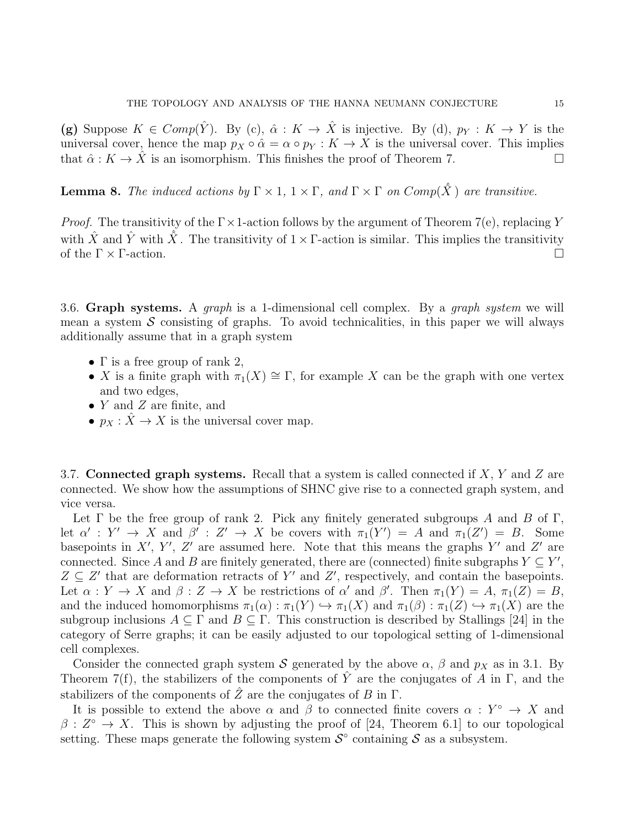(g) Suppose  $K \in Comp(\hat{Y})$ . By (c),  $\hat{\alpha}: K \to \hat{X}$  is injective. By (d),  $p_Y: K \to Y$  is the universal cover, hence the map  $p_X \circ \hat{\alpha} = \alpha \circ p_Y : K \to X$  is the universal cover. This implies that  $\hat{\alpha}: K \to \hat{X}$  is an isomorphism. This finishes the proof of Theorem 7.

**Lemma 8.** The induced actions by  $\Gamma \times 1$ ,  $1 \times \Gamma$ , and  $\Gamma \times \Gamma$  on  $Comp(\hat{X})$  are transitive.

*Proof.* The transitivity of the  $\Gamma \times 1$ -action follows by the argument of Theorem 7(e), replacing Y with  $\hat{X}$  and  $\hat{Y}$  with  $\hat{X}$ . The transitivity of  $1 \times \Gamma$ -action is similar. This implies the transitivity of the  $\Gamma \times \Gamma$ -action.

3.6. Graph systems. A graph is a 1-dimensional cell complex. By a graph system we will mean a system  $\mathcal S$  consisting of graphs. To avoid technicalities, in this paper we will always additionally assume that in a graph system

- $\Gamma$  is a free group of rank 2,
- X is a finite graph with  $\pi_1(X) \cong \Gamma$ , for example X can be the graph with one vertex and two edges,
- $Y$  and  $Z$  are finite, and
- $p_X : \hat{X} \to X$  is the universal cover map.

3.7. Connected graph systems. Recall that a system is called connected if  $X, Y$  and  $Z$  are connected. We show how the assumptions of SHNC give rise to a connected graph system, and vice versa.

Let  $\Gamma$  be the free group of rank 2. Pick any finitely generated subgroups A and B of  $\Gamma$ , let  $\alpha' : Y' \to X$  and  $\beta' : Z' \to X$  be covers with  $\pi_1(Y') = A$  and  $\pi_1(Z') = B$ . Some basepoints in X', Y', Z' are assumed here. Note that this means the graphs Y' and Z' are connected. Since A and B are finitely generated, there are (connected) finite subgraphs  $Y \subseteq Y'$ ,  $Z \subseteq Z'$  that are deformation retracts of Y' and Z', respectively, and contain the basepoints. Let  $\alpha: Y \to X$  and  $\beta: Z \to X$  be restrictions of  $\alpha'$  and  $\beta'$ . Then  $\pi_1(Y) = A$ ,  $\pi_1(Z) = B$ , and the induced homomorphisms  $\pi_1(\alpha) : \pi_1(Y) \hookrightarrow \pi_1(X)$  and  $\pi_1(\beta) : \pi_1(Z) \hookrightarrow \pi_1(X)$  are the subgroup inclusions  $A \subseteq \Gamma$  and  $B \subseteq \Gamma$ . This construction is described by Stallings [24] in the category of Serre graphs; it can be easily adjusted to our topological setting of 1-dimensional cell complexes.

Consider the connected graph system S generated by the above  $\alpha$ ,  $\beta$  and  $p_X$  as in 3.1. By Theorem 7(f), the stabilizers of the components of  $\hat{Y}$  are the conjugates of A in Γ, and the stabilizers of the components of  $\tilde{Z}$  are the conjugates of B in  $\Gamma$ .

It is possible to extend the above  $\alpha$  and  $\beta$  to connected finite covers  $\alpha: Y^{\circ} \to X$  and  $\beta: Z^{\circ} \to X$ . This is shown by adjusting the proof of [24, Theorem 6.1] to our topological setting. These maps generate the following system  $\mathcal{S}^{\circ}$  containing  $\mathcal{S}$  as a subsystem.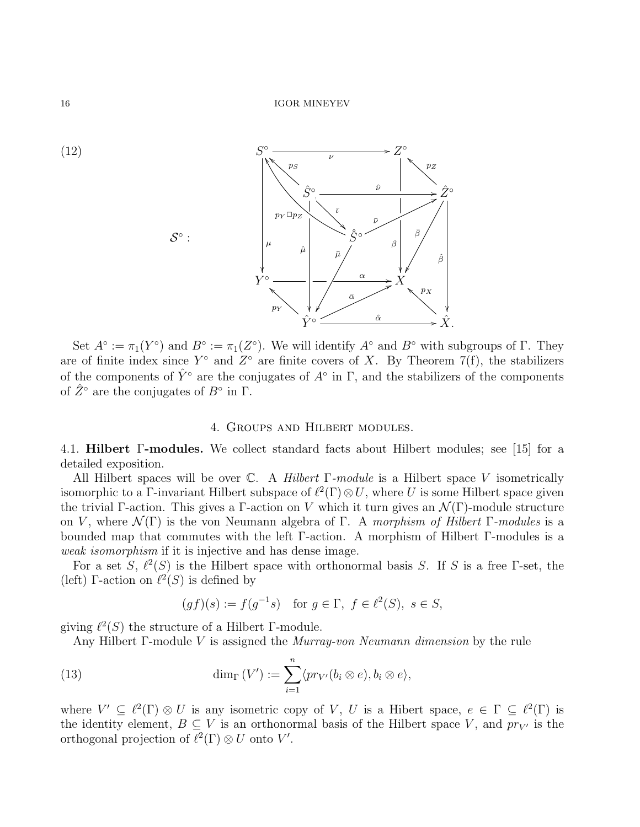



Set  $A^{\circ} := \pi_1(Y^{\circ})$  and  $B^{\circ} := \pi_1(Z^{\circ})$ . We will identify  $A^{\circ}$  and  $B^{\circ}$  with subgroups of  $\Gamma$ . They are of finite index since  $Y^{\circ}$  and  $Z^{\circ}$  are finite covers of X. By Theorem 7(f), the stabilizers of the components of  $\hat{Y}^{\circ}$  are the conjugates of  $A^{\circ}$  in  $\Gamma$ , and the stabilizers of the components of  $\hat{Z}^{\circ}$  are the conjugates of  $B^{\circ}$  in  $\Gamma$ .

### 4. Groups and Hilbert modules.

4.1. Hilbert Γ-modules. We collect standard facts about Hilbert modules; see [15] for a detailed exposition.

All Hilbert spaces will be over  $\mathbb{C}$ . A Hilbert Γ-module is a Hilbert space V isometrically isomorphic to a Γ-invariant Hilbert subspace of  $\ell^2(\Gamma) \otimes U$ , where U is some Hilbert space given the trivial Γ-action. This gives a Γ-action on V which it turn gives an  $\mathcal{N}(\Gamma)$ -module structure on V, where  $\mathcal{N}(\Gamma)$  is the von Neumann algebra of Γ. A morphism of Hilbert Γ-modules is a bounded map that commutes with the left Γ-action. A morphism of Hilbert Γ-modules is a weak isomorphism if it is injective and has dense image.

For a set S,  $\ell^2(S)$  is the Hilbert space with orthonormal basis S. If S is a free Γ-set, the (left) Γ-action on  $\ell^2(S)$  is defined by

$$
(gf)(s) := f(g^{-1}s) \quad \text{for } g \in \Gamma, \ f \in \ell^2(S), \ s \in S,
$$

giving  $\ell^2(S)$  the structure of a Hilbert Γ-module.

Any Hilbert Γ-module V is assigned the Murray-von Neumann dimension by the rule

(13) 
$$
\dim_{\Gamma}(V') := \sum_{i=1}^{n} \langle pr_{V'}(b_i \otimes e), b_i \otimes e \rangle,
$$

where  $V' \subseteq \ell^2(\Gamma) \otimes U$  is any isometric copy of V, U is a Hibert space,  $e \in \Gamma \subseteq \ell^2(\Gamma)$  is the identity element,  $B \subseteq V$  is an orthonormal basis of the Hilbert space V, and  $pr_{V'}$  is the orthogonal projection of  $\ell^2(\Gamma) \otimes U$  onto V'.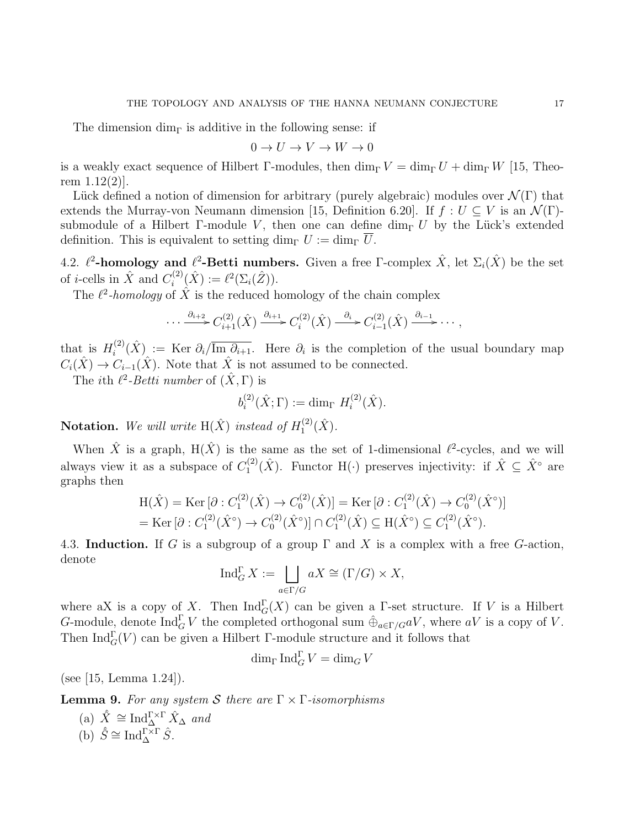The dimension  $\dim_{\Gamma}$  is additive in the following sense: if

$$
0 \to U \to V \to W \to 0
$$

is a weakly exact sequence of Hilbert Γ-modules, then  $\dim_{\Gamma} V = \dim_{\Gamma} U + \dim_{\Gamma} W$  [15, Theorem  $1.12(2)$ .

Lück defined a notion of dimension for arbitrary (purely algebraic) modules over  $\mathcal{N}(\Gamma)$  that extends the Murray-von Neumann dimension [15, Definition 6.20]. If  $f: U \subseteq V$  is an  $\mathcal{N}(\Gamma)$ submodule of a Hilbert Γ-module V, then one can define dim<sub>Γ</sub> U by the Lück's extended definition. This is equivalent to setting dim<sub>Γ</sub>  $U := \dim_{\Gamma} \overline{U}$ .

4.2.  $\ell^2$ -homology and  $\ell^2$ -Betti numbers. Given a free Γ-complex  $\hat{X}$ , let  $\Sigma_i(\hat{X})$  be the set of *i*-cells in  $\hat{X}$  and  $C_i^{(2)}$  $i^{(2)}(\hat{X}) := \ell^2(\Sigma_i(\hat{Z})).$ 

The  $\ell^2$ -homology of  $\hat{X}$  is the reduced homology of the chain complex

$$
\cdots \xrightarrow{\partial_{i+2}} C_{i+1}^{(2)}(\hat{X}) \xrightarrow{\partial_{i+1}} C_i^{(2)}(\hat{X}) \xrightarrow{\partial_i} C_{i-1}^{(2)}(\hat{X}) \xrightarrow{\partial_{i-1}} \cdots,
$$

that is  $H_i^{(2)}$  $\widehat{I}_i^{(2)}(\hat{X})$  := Ker  $\partial_i/\overline{\text{Im} \partial_{i+1}}$ . Here  $\partial_i$  is the completion of the usual boundary map  $C_i(\hat{X}) \to C_{i-1}(\hat{X})$ . Note that  $\hat{X}$  is not assumed to be connected.

The *i*th  $\ell^2$ -*Betti number* of  $(\hat{X}, \Gamma)$  is

$$
b_i^{(2)}(\hat{X};\Gamma) := \dim_{\Gamma} H_i^{(2)}(\hat{X}).
$$

**Notation.** We will write  $H(\hat{X})$  instead of  $H_1^{(2)}$  $\hat{\Lambda}^{(2)}_{1}(\hat{X}).$ 

When  $\hat{X}$  is a graph,  $H(\hat{X})$  is the same as the set of 1-dimensional  $\ell^2$ -cycles, and we will always view it as a subspace of  $C_1^{(2)}$  $I_1^{(2)}(\hat{X})$ . Functor H(·) preserves injectivity: if  $\hat{X} \subseteq \hat{X}^{\circ}$  are graphs then

$$
H(\hat{X}) = \text{Ker} \left[ \partial : C_1^{(2)}(\hat{X}) \to C_0^{(2)}(\hat{X}) \right] = \text{Ker} \left[ \partial : C_1^{(2)}(\hat{X}) \to C_0^{(2)}(\hat{X}^{\circ}) \right]
$$
  
= 
$$
\text{Ker} \left[ \partial : C_1^{(2)}(\hat{X}^{\circ}) \to C_0^{(2)}(\hat{X}^{\circ}) \right] \cap C_1^{(2)}(\hat{X}) \subseteq H(\hat{X}^{\circ}) \subseteq C_1^{(2)}(\hat{X}^{\circ}).
$$

4.3. Induction. If G is a subgroup of a group  $\Gamma$  and X is a complex with a free G-action, denote

$$
\operatorname{Ind}_{G}^{\Gamma} X := \bigsqcup_{a \in \Gamma/G} aX \cong (\Gamma/G) \times X,
$$

where aX is a copy of X. Then  $\text{Ind}_{G}^{\Gamma}(X)$  can be given a  $\Gamma$ -set structure. If V is a Hilbert G-module, denote  $\text{Ind}_{G}^{\Gamma}V$  the completed orthogonal sum  $\hat{\oplus}_{a\in \Gamma/G}aV$ , where  $aV$  is a copy of V. Then  $\text{Ind}_{G}^{\Gamma}(V)$  can be given a Hilbert Γ-module structure and it follows that

 $\dim_{\Gamma} \operatorname{Ind}_{G}^{\Gamma} V = \dim_{G} V$ 

(see [15, Lemma 1.24]).

**Lemma 9.** For any system S there are  $\Gamma \times \Gamma$ -isomorphisms

(a)  $\hat{X} \cong \text{Ind}_{\Delta}^{\Gamma \times \Gamma} \hat{X}_{\Delta}$  and (b)  $\hat{S} \cong \text{Ind}_{\Delta}^{\Gamma \times \Gamma} \hat{S}.$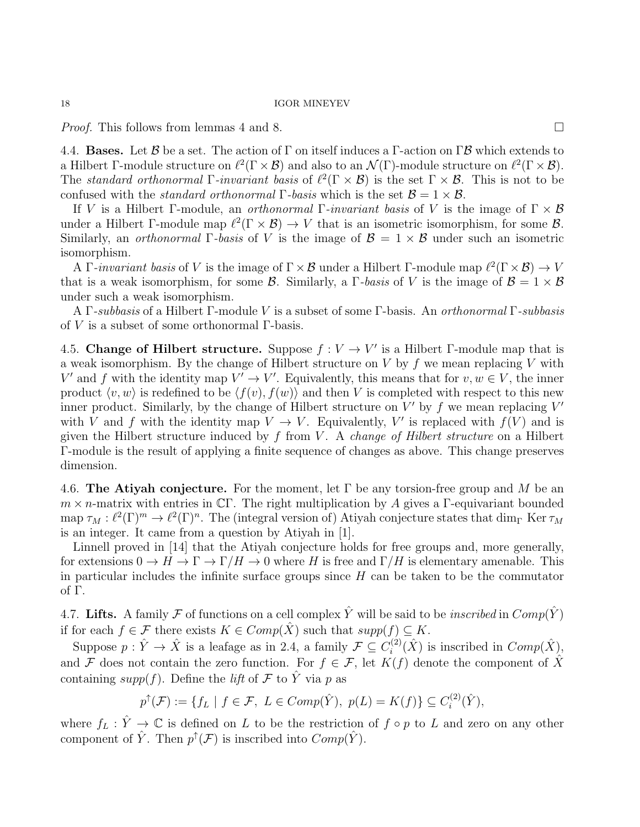*Proof.* This follows from lemmas 4 and 8.

4.4. **Bases.** Let  $\mathcal{B}$  be a set. The action of  $\Gamma$  on itself induces a  $\Gamma$ -action on  $\Gamma \mathcal{B}$  which extends to a Hilbert Γ-module structure on  $\ell^2(\Gamma \times \mathcal{B})$  and also to an  $\mathcal{N}(\Gamma)$ -module structure on  $\ell^2(\Gamma \times \mathcal{B})$ . The standard orthonormal  $\Gamma$ -invariant basis of  $\ell^2(\Gamma \times \mathcal{B})$  is the set  $\Gamma \times \mathcal{B}$ . This is not to be confused with the *standard orthonormal* Γ-basis which is the set  $\mathcal{B} = 1 \times \mathcal{B}$ .

If V is a Hilbert Γ-module, an *orthonormal* Γ-invariant basis of V is the image of  $\Gamma \times \mathcal{B}$ under a Hilbert Γ-module map  $\ell^2(\Gamma \times \mathcal{B}) \to V$  that is an isometric isomorphism, for some  $\mathcal{B}$ . Similarly, an *orthonormal* Γ-basis of V is the image of  $\mathcal{B} = 1 \times \mathcal{B}$  under such an isometric isomorphism.

A Γ-invariant basis of V is the image of  $\Gamma \times B$  under a Hilbert Γ-module map  $\ell^2(\Gamma \times B) \to V$ that is a weak isomorphism, for some  $\mathcal B$ . Similarly, a  $\Gamma$ -basis of V is the image of  $\mathcal B = 1 \times \mathcal B$ under such a weak isomorphism.

A Γ-subbasis of a Hilbert Γ-module V is a subset of some Γ-basis. An orthonormal Γ-subbasis of V is a subset of some orthonormal  $\Gamma$ -basis.

4.5. Change of Hilbert structure. Suppose  $f: V \to V'$  is a Hilbert Γ-module map that is a weak isomorphism. By the change of Hilbert structure on  $V$  by  $f$  we mean replacing  $V$  with V' and f with the identity map  $V' \to V'$ . Equivalently, this means that for  $v, w \in V$ , the inner product  $\langle v, w \rangle$  is redefined to be  $\langle f(v), f(w) \rangle$  and then V is completed with respect to this new inner product. Similarly, by the change of Hilbert structure on  $V'$  by f we mean replacing  $V'$ with V and f with the identity map  $V \to V$ . Equivalently, V' is replaced with  $f(V)$  and is given the Hilbert structure induced by f from V. A *change of Hilbert structure* on a Hilbert Γ-module is the result of applying a finite sequence of changes as above. This change preserves dimension.

4.6. The Atiyah conjecture. For the moment, let  $\Gamma$  be any torsion-free group and M be an  $m \times n$ -matrix with entries in CΓ. The right multiplication by A gives a Γ-equivariant bounded map  $\tau_M : \ell^2(\Gamma)^m \to \ell^2(\Gamma)^n$ . The (integral version of) Atiyah conjecture states that  $\dim_{\Gamma} \text{Ker } \tau_M$ is an integer. It came from a question by Atiyah in [1].

Linnell proved in [14] that the Atiyah conjecture holds for free groups and, more generally, for extensions  $0 \to H \to \Gamma \to \Gamma/H \to 0$  where H is free and  $\Gamma/H$  is elementary amenable. This in particular includes the infinite surface groups since  $H$  can be taken to be the commutator of Γ.

4.7. Lifts. A family F of functions on a cell complex  $\hat{Y}$  will be said to be *inscribed* in  $Comp(\hat{Y})$ if for each  $f \in \mathcal{F}$  there exists  $K \in Comp(\hat{X})$  such that  $supp(f) \subseteq K$ .

Suppose  $p: \hat{Y} \to \hat{X}$  is a leafage as in 2.4, a family  $\mathcal{F} \subseteq C_i^{(2)}$  $i^{(2)}(\hat{X})$  is inscribed in  $Comp(\hat{X})$ , and F does not contain the zero function. For  $f \in \mathcal{F}$ , let  $K(f)$  denote the component of X containing supp(f). Define the lift of F to  $\hat{Y}$  via p as

$$
p^{\uparrow}(\mathcal{F}) := \{ f_L \mid f \in \mathcal{F}, \ L \in Comp(\hat{Y}), \ p(L) = K(f) \} \subseteq C_i^{(2)}(\hat{Y}),
$$

where  $f_L : \hat{Y} \to \mathbb{C}$  is defined on L to be the restriction of  $f \circ p$  to L and zero on any other component of  $\hat{Y}$ . Then  $p^{\uparrow}(\mathcal{F})$  is inscribed into  $Comp(\hat{Y})$ .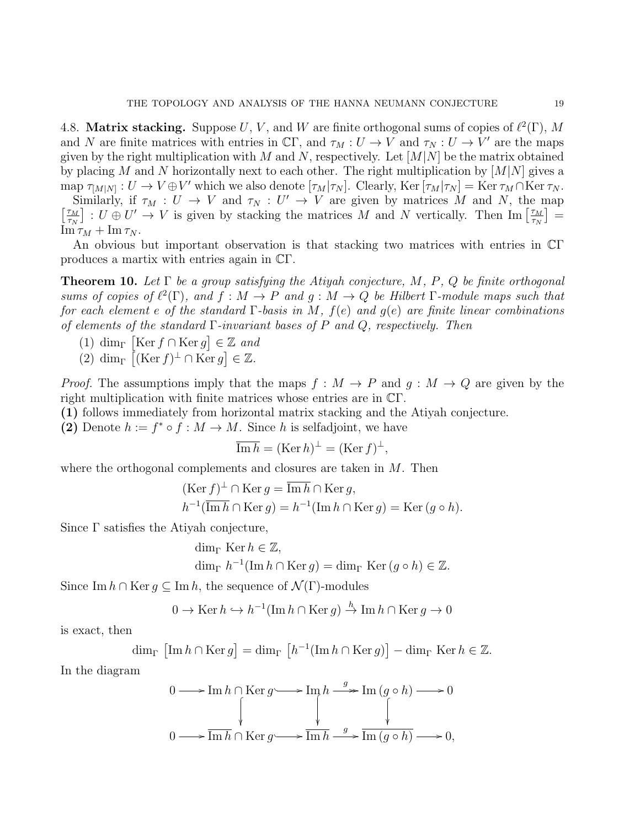4.8. Matrix stacking. Suppose U, V, and W are finite orthogonal sums of copies of  $\ell^2(\Gamma)$ , M and N are finite matrices with entries in  $\mathbb{C}\Gamma$ , and  $\tau_M: U \to V$  and  $\tau_N: U \to V'$  are the maps given by the right multiplication with M and N, respectively. Let  $[M|N]$  be the matrix obtained by placing M and N horizontally next to each other. The right multiplication by  $[M|N]$  gives a map  $\tau_{[M|N]} : U \to V \oplus V'$  which we also denote  $[\tau_M | \tau_N]$ . Clearly, Ker  $[\tau_M | \tau_N] = \text{Ker } \tau_M \cap \text{Ker } \tau_N$ .

Similarly, if  $\tau_M : U \to V$  and  $\tau_N : U' \to V$  are given by matrices M and N, the map  $\frac{\tau_M}{\tau}$  $\left[\frac{\tau_M}{\tau_N}\right]: U \oplus U' \to V$  is given by stacking the matrices M and N vertically. Then Im  $\left[\frac{\tau_M}{\tau_N}\right]$  $\frac{\tau_M}{\tau_N} \Big] =$  $\text{Im }\tau_M + \text{Im }\tau_N$ .

An obvious but important observation is that stacking two matrices with entries in CΓ produces a martix with entries again in CΓ.

**Theorem 10.** Let  $\Gamma$  be a group satisfying the Atiyah conjecture, M, P, Q be finite orthogonal sums of copies of  $\ell^2(\Gamma)$ , and  $f : M \to P$  and  $g : M \to Q$  be Hilbert  $\Gamma$ -module maps such that for each element e of the standard  $\Gamma$ -basis in M,  $f(e)$  and  $g(e)$  are finite linear combinations of elements of the standard  $\Gamma$ -invariant bases of P and Q, respectively. Then

- (1) dim<sub>Γ</sub> [Ker  $f \cap \text{Ker } g$ ]  $\in \mathbb{Z}$  and
- $(2) \dim_{\Gamma} \left[ (\text{Ker } f)^{\perp} \cap \text{Ker } g \right] \in \mathbb{Z}.$

*Proof.* The assumptions imply that the maps  $f : M \to P$  and  $g : M \to Q$  are given by the right multiplication with finite matrices whose entries are in CΓ.

(1) follows immediately from horizontal matrix stacking and the Atiyah conjecture.

(2) Denote  $h := f^* \circ f : M \to M$ . Since h is selfadjoint, we have

$$
\overline{\operatorname{Im} h} = (\operatorname{Ker} h)^{\perp} = (\operatorname{Ker} f)^{\perp},
$$

where the orthogonal complements and closures are taken in M. Then

$$
(\text{Ker } f)^{\perp} \cap \text{Ker } g = \overline{\text{Im } h} \cap \text{Ker } g,
$$
  

$$
h^{-1}(\overline{\text{Im } h} \cap \text{Ker } g) = h^{-1}(\text{Im } h \cap \text{Ker } g) = \text{Ker } (g \circ h).
$$

Since Γ satisfies the Atiyah conjecture,

$$
\dim_{\Gamma} \operatorname{Ker} h \in \mathbb{Z},
$$
  

$$
\dim_{\Gamma} h^{-1}(\operatorname{Im} h \cap \operatorname{Ker} g) = \dim_{\Gamma} \operatorname{Ker} (g \circ h) \in \mathbb{Z}.
$$

Since Im  $h \cap \text{Ker } q \subseteq \text{Im } h$ , the sequence of  $\mathcal{N}(\Gamma)$ -modules

$$
0 \to \text{Ker } h \hookrightarrow h^{-1}(\text{Im } h \cap \text{Ker } g) \xrightarrow{h} \text{Im } h \cap \text{Ker } g \to 0
$$

is exact, then

$$
\dim_{\Gamma} \left[ \operatorname{Im} h \cap \operatorname{Ker} g \right] = \dim_{\Gamma} \left[ h^{-1}(\operatorname{Im} h \cap \operatorname{Ker} g) \right] - \dim_{\Gamma} \operatorname{Ker} h \in \mathbb{Z}.
$$

In the diagram

$$
0 \longrightarrow \operatorname{Im} h \cap \operatorname{Ker} g \longrightarrow \operatorname{Im} h \stackrel{g}{\longrightarrow} \operatorname{Im} (g \circ h) \longrightarrow 0
$$
  

$$
0 \longrightarrow \operatorname{Im} h \cap \operatorname{Ker} g \longrightarrow \operatorname{Im} h \stackrel{g}{\longrightarrow} \operatorname{Im} (g \circ h) \longrightarrow 0,
$$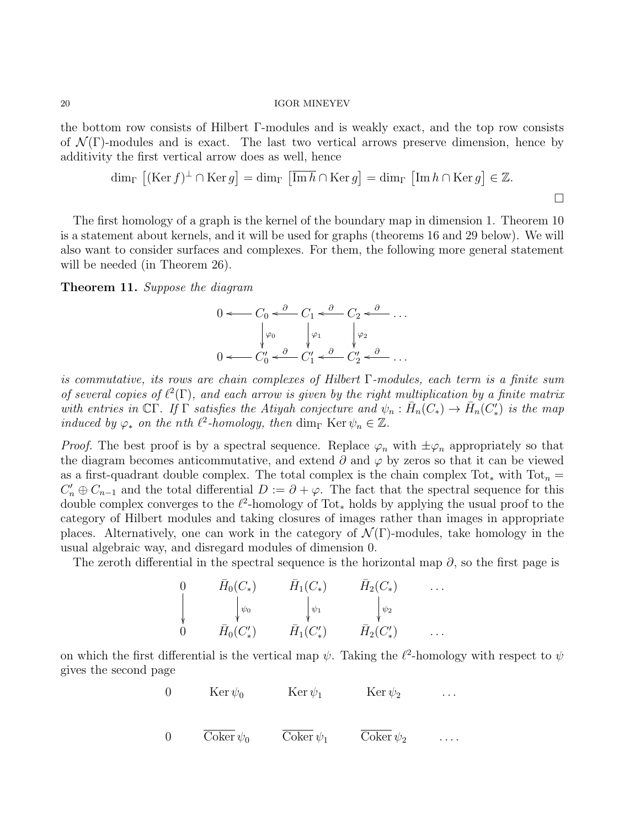the bottom row consists of Hilbert Γ-modules and is weakly exact, and the top row consists of  $\mathcal{N}(\Gamma)$ -modules and is exact. The last two vertical arrows preserve dimension, hence by additivity the first vertical arrow does as well, hence

$$
\dim_{\Gamma} \left[ (\text{Ker } f)^{\perp} \cap \text{Ker } g \right] = \dim_{\Gamma} \left[ \overline{\text{Im } h} \cap \text{Ker } g \right] = \dim_{\Gamma} \left[ \text{Im } h \cap \text{Ker } g \right] \in \mathbb{Z}.
$$

The first homology of a graph is the kernel of the boundary map in dimension 1. Theorem 10 is a statement about kernels, and it will be used for graphs (theorems 16 and 29 below). We will also want to consider surfaces and complexes. For them, the following more general statement will be needed (in Theorem 26).

Theorem 11. Suppose the diagram

$$
0 \leftarrow C_0 \leftarrow \begin{array}{c} C_0 < \frac{\partial}{\partial C_1} < \frac{\partial}{\partial C_2} < \frac{\partial}{\partial C_3} \\ \downarrow \varphi_0 & \downarrow \varphi_1 & \downarrow \varphi_2 \\ 0 < C_0' < \frac{\partial}{\partial C_1} < \frac{\partial}{\partial C_2'} < \frac{\partial}{\partial C_3} < \frac{\partial}{\partial C_3} \end{array} \right)
$$

is commutative, its rows are chain complexes of Hilbert  $\Gamma$ -modules, each term is a finite sum of several copies of  $\ell^2(\Gamma)$ , and each arrow is given by the right multiplication by a finite matrix with entries in  $\mathbb{C}\Gamma$ . If  $\Gamma$  satisfies the Atiyah conjecture and  $\psi_n : \bar{H}_n(C_*) \to \bar{H}_n(C'_*)$  is the map induced by  $\varphi_*$  on the nth  $\ell^2$ -homology, then dim<sub>Γ</sub> Ker  $\psi_n \in \mathbb{Z}$ .

*Proof.* The best proof is by a spectral sequence. Replace  $\varphi_n$  with  $\pm \varphi_n$  appropriately so that the diagram becomes anticommutative, and extend  $\partial$  and  $\varphi$  by zeros so that it can be viewed as a first-quadrant double complex. The total complex is the chain complex Tot<sub>\*</sub> with Tot<sub>n</sub> =  $C'_n \oplus C_{n-1}$  and the total differential  $D := \partial + \varphi$ . The fact that the spectral sequence for this double complex converges to the  $\ell^2$ -homology of Tot<sub>\*</sub> holds by applying the usual proof to the category of Hilbert modules and taking closures of images rather than images in appropriate places. Alternatively, one can work in the category of  $\mathcal{N}(\Gamma)$ -modules, take homology in the usual algebraic way, and disregard modules of dimension 0.

The zeroth differential in the spectral sequence is the horizontal map  $\partial$ , so the first page is

0 
$$
\bar{H}_0(C_*)
$$
  $\bar{H}_1(C_*)$   $\bar{H}_2(C_*)$  ...  
\n
$$
\downarrow \psi_0
$$
\n0  $\bar{H}_0(C'_*)$   $\bar{H}_1(C'_*)$   $\bar{H}_2(C'_*)$  ...

on which the first differential is the vertical map  $\psi$ . Taking the  $\ell^2$ -homology with respect to  $\psi$ gives the second page

0 
$$
\operatorname{Ker} \psi_0
$$
  $\operatorname{Ker} \psi_1$   $\operatorname{Ker} \psi_2$  ...

$$
0 \qquad \overline{\text{Coker}} \, \psi_0 \qquad \overline{\text{Coker}} \, \psi_1 \qquad \overline{\text{Coker}} \, \psi_2 \qquad \ldots
$$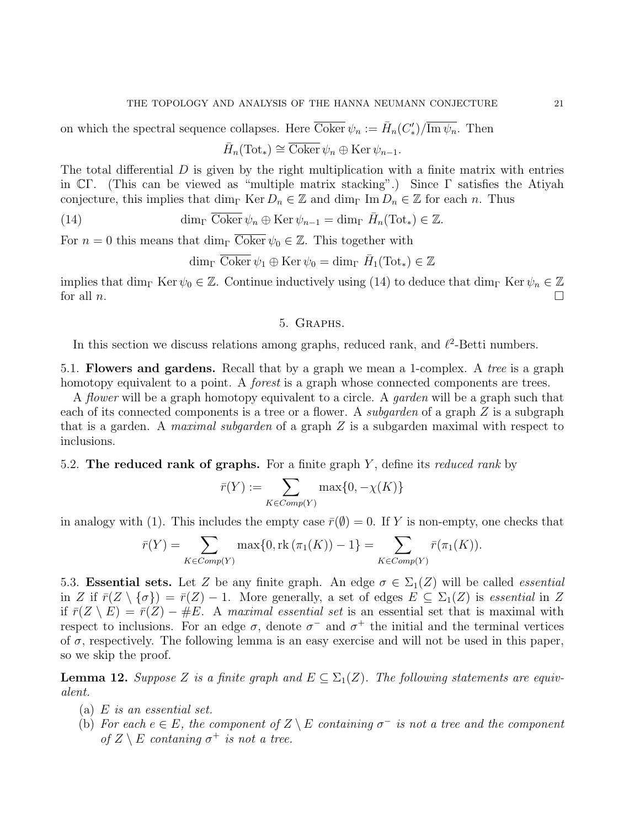on which the spectral sequence collapses. Here  $\overline{\text{Coker}} \psi_n := \overline{H}_n(C^{\prime}_*)/\overline{\text{Im } \psi_n}$ . Then

$$
\bar{H}_n(\text{Tot}_*) \cong \overline{\text{Coker}} \psi_n \oplus \text{Ker } \psi_{n-1}.
$$

The total differential  $D$  is given by the right multiplication with a finite matrix with entries in  $\mathbb{C}\Gamma$ . (This can be viewed as "multiple matrix stacking".) Since  $\Gamma$  satisfies the Atiyah conjecture, this implies that dim<sub>Γ</sub> Ker  $D_n \in \mathbb{Z}$  and dim<sub>Γ</sub> Im  $D_n \in \mathbb{Z}$  for each n. Thus

(14)  $\dim_{\Gamma} \overline{\text{Coker}} \psi_n \oplus \text{Ker } \psi_{n-1} = \dim_{\Gamma} \overline{H}_n(\text{Tot}_*) \in \mathbb{Z}.$ 

For  $n = 0$  this means that  $\dim_{\Gamma} \overline{\text{Coker}} \psi_0 \in \mathbb{Z}$ . This together with

$$
\dim_{\Gamma} \overline{\text{Coker}} \,\psi_1 \oplus \text{Ker } \psi_0 = \dim_{\Gamma} \bar{H}_1(\text{Tot}_*) \in \mathbb{Z}
$$

implies that dim<sub>Γ</sub> Ker  $\psi_0 \in \mathbb{Z}$ . Continue inductively using (14) to deduce that dim<sub>Γ</sub> Ker  $\psi_n \in \mathbb{Z}$ for all  $n$ .

# 5. Graphs.

In this section we discuss relations among graphs, reduced rank, and  $\ell^2$ -Betti numbers.

5.1. Flowers and gardens. Recall that by a graph we mean a 1-complex. A tree is a graph homotopy equivalent to a point. A *forest* is a graph whose connected components are trees.

A flower will be a graph homotopy equivalent to a circle. A garden will be a graph such that each of its connected components is a tree or a flower. A *subgarden* of a graph Z is a subgraph that is a garden. A *maximal subgarden* of a graph  $Z$  is a subgarden maximal with respect to inclusions.

# 5.2. The reduced rank of graphs. For a finite graph  $Y$ , define its *reduced rank* by

$$
\bar{r}(Y) := \sum_{K \in Comp(Y)} \max\{0, -\chi(K)\}
$$

in analogy with (1). This includes the empty case  $\bar{r}(\emptyset) = 0$ . If Y is non-empty, one checks that

$$
\bar{r}(Y) = \sum_{K \in Comp(Y)} \max\{0, \text{rk}(\pi_1(K)) - 1\} = \sum_{K \in Comp(Y)} \bar{r}(\pi_1(K)).
$$

5.3. **Essential sets.** Let Z be any finite graph. An edge  $\sigma \in \Sigma_1(Z)$  will be called *essential* in Z if  $\bar{r}(Z \setminus {\sigma}) = \bar{r}(Z) - 1$ . More generally, a set of edges  $E \subseteq \Sigma_1(Z)$  is essential in Z if  $\bar{r}(Z \setminus E) = \bar{r}(Z) - \#E$ . A maximal essential set is an essential set that is maximal with respect to inclusions. For an edge  $\sigma$ , denote  $\sigma^-$  and  $\sigma^+$  the initial and the terminal vertices of  $\sigma$ , respectively. The following lemma is an easy exercise and will not be used in this paper, so we skip the proof.

**Lemma 12.** Suppose Z is a finite graph and  $E \subseteq \Sigma_1(Z)$ . The following statements are equivalent.

- (a)  $E$  is an essential set.
- (b) For each  $e \in E$ , the component of  $Z \setminus E$  containing  $\sigma^-$  is not a tree and the component of  $Z \setminus E$  contaning  $\sigma^+$  is not a tree.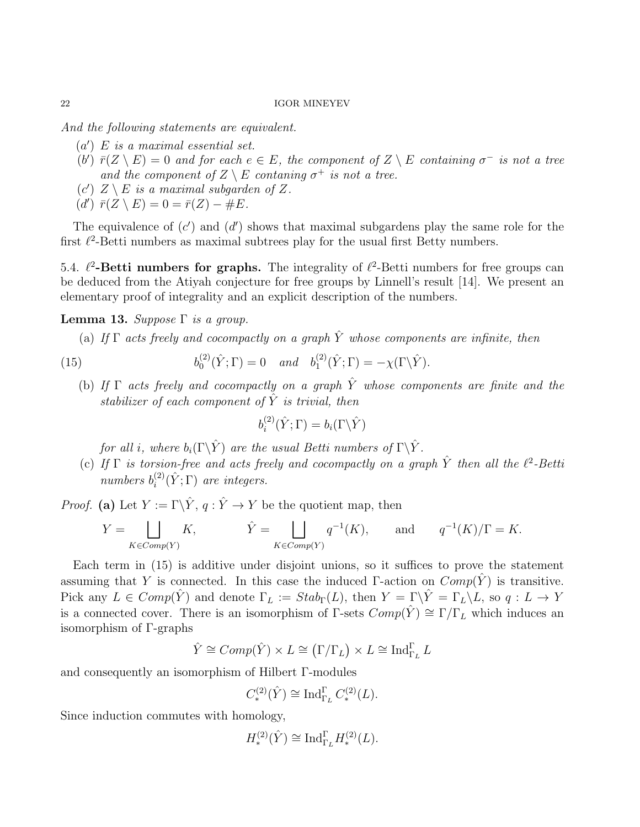And the following statements are equivalent.

- $(a') E$  is a maximal essential set.
- (b')  $\bar{r}(Z \setminus E) = 0$  and for each  $e \in E$ , the component of  $Z \setminus E$  containing  $\sigma^-$  is not a tree and the component of  $Z \setminus E$  contaning  $\sigma^+$  is not a tree.
- (c')  $Z \setminus E$  is a maximal subgarden of Z.
- $(d') \ \bar{r}(Z \setminus E) = 0 = \bar{r}(Z) \#E.$

The equivalence of  $(c')$  and  $(d')$  shows that maximal subgardens play the same role for the first  $\ell^2$ -Betti numbers as maximal subtrees play for the usual first Betty numbers.

5.4.  $\ell^2$ -Betti numbers for graphs. The integrality of  $\ell^2$ -Betti numbers for free groups can be deduced from the Atiyah conjecture for free groups by Linnell's result [14]. We present an elementary proof of integrality and an explicit description of the numbers.

# Lemma 13. Suppose  $\Gamma$  is a group.

(a) If  $\Gamma$  acts freely and cocompactly on a graph  $\hat{Y}$  whose components are infinite, then

(15) 
$$
b_0^{(2)}(\hat{Y}; \Gamma) = 0 \quad and \quad b_1^{(2)}(\hat{Y}; \Gamma) = -\chi(\Gamma \backslash \hat{Y}).
$$

(b) If  $\Gamma$  acts freely and cocompactly on a graph  $\hat{Y}$  whose components are finite and the stabilizer of each component of  $\hat{Y}$  is trivial, then

$$
b_i^{(2)}(\hat{Y};\Gamma) = b_i(\Gamma \backslash \hat{Y})
$$

for all i, where  $b_i(\Gamma \backslash \hat{Y})$  are the usual Betti numbers of  $\Gamma \backslash \hat{Y}$ .

(c) If  $\Gamma$  is torsion-free and acts freely and cocompactly on a graph  $\hat{Y}$  then all the  $\ell^2$ -Betti numbers  $b_i^{(2)}$  $i^{(2)}(\hat{Y}; \Gamma)$  are integers.

*Proof.* (a) Let  $Y := \Gamma \backslash \hat{Y}, q : \hat{Y} \to Y$  be the quotient map, then

$$
Y = \bigsqcup_{K \in Comp(Y)} K, \qquad \hat{Y} = \bigsqcup_{K \in Comp(Y)} q^{-1}(K), \qquad \text{and} \qquad q^{-1}(K)/\Gamma = K.
$$

Each term in (15) is additive under disjoint unions, so it suffices to prove the statement assuming that Y is connected. In this case the induced Γ-action on  $Comp(\hat{Y})$  is transitive. Pick any  $L \in Comp(\hat{Y})$  and denote  $\Gamma_L := Stab_{\Gamma}(L)$ , then  $Y = \Gamma \backslash \hat{Y} = \Gamma_L \backslash L$ , so  $q : L \to Y$ is a connected cover. There is an isomorphism of  $\Gamma$ -sets  $Comp(\hat{Y}) \cong \Gamma/\Gamma_L$  which induces an isomorphism of Γ-graphs

$$
\hat{Y} \cong Comp(\hat{Y}) \times L \cong (\Gamma/\Gamma_L) \times L \cong \text{Ind}_{\Gamma_L}^{\Gamma} L
$$

and consequently an isomorphism of Hilbert Γ-modules

$$
C^{(2)}_*(\hat{Y}) \cong \text{Ind}_{\Gamma_L}^{\Gamma} C^{(2)}_*(L).
$$

Since induction commutes with homology,

$$
H^{(2)}_*(\hat{Y}) \cong \textnormal{Ind}_{\Gamma_L}^{\Gamma} H^{(2)}_*(L).
$$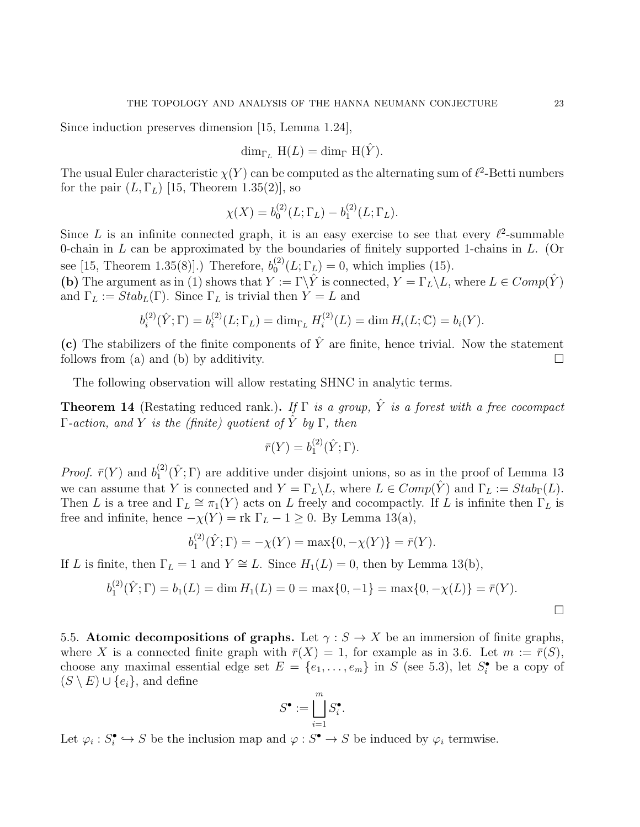Since induction preserves dimension [15, Lemma 1.24],

$$
\dim_{\Gamma_L} H(L) = \dim_{\Gamma} H(\hat{Y}).
$$

The usual Euler characteristic  $\chi(Y)$  can be computed as the alternating sum of  $\ell^2$ -Betti numbers for the pair  $(L, \Gamma_L)$  [15, Theorem 1.35(2)], so

$$
\chi(X) = b_0^{(2)}(L; \Gamma_L) - b_1^{(2)}(L; \Gamma_L).
$$

Since L is an infinite connected graph, it is an easy exercise to see that every  $\ell^2$ -summable 0-chain in  $L$  can be approximated by the boundaries of finitely supported 1-chains in  $L$ . (Or see [15, Theorem 1.35(8)].) Therefore,  $b_0^{(2)}$  $_{0}^{(2)}(L;\Gamma_{L})=0$ , which implies (15).

(b) The argument as in (1) shows that  $Y := \Gamma \backslash \hat{Y}$  is connected,  $Y = \Gamma_L \backslash L$ , where  $L \in Comp(\hat{Y})$ and  $\Gamma_L := Stab_L(\Gamma)$ . Since  $\Gamma_L$  is trivial then  $Y = L$  and

$$
b_i^{(2)}(\hat{Y}; \Gamma) = b_i^{(2)}(L; \Gamma_L) = \dim_{\Gamma_L} H_i^{(2)}(L) = \dim H_i(L; \mathbb{C}) = b_i(Y).
$$

(c) The stabilizers of the finite components of  $\hat{Y}$  are finite, hence trivial. Now the statement follows from (a) and (b) by additivity.  $\Box$ 

The following observation will allow restating SHNC in analytic terms.

**Theorem 14** (Restating reduced rank.). If  $\Gamma$  is a group,  $\hat{Y}$  is a forest with a free cocompact Γ-action, and Y is the (finite) quotient of  $\hat{Y}$  by Γ, then

$$
\bar{r}(Y) = b_1^{(2)}(\hat{Y}; \Gamma).
$$

*Proof.*  $\bar{r}(Y)$  and  $b_1^{(2)}$  $_{1}^{(2)}(\hat{Y};\Gamma)$  are additive under disjoint unions, so as in the proof of Lemma 13 we can assume that Y is connected and  $Y = \Gamma_L \backslash L$ , where  $L \in Comp(\hat{Y})$  and  $\Gamma_L := Stab_{\Gamma}(L)$ . Then L is a tree and  $\Gamma_L \cong \pi_1(Y)$  acts on L freely and cocompactly. If L is infinite then  $\Gamma_L$  is free and infinite, hence  $-\chi(Y) = \text{rk } \Gamma_L - 1 \geq 0$ . By Lemma 13(a),

$$
b_1^{(2)}(\hat{Y};\Gamma) = -\chi(Y) = \max\{0, -\chi(Y)\} = \bar{r}(Y).
$$

If L is finite, then  $\Gamma_L = 1$  and  $Y \cong L$ . Since  $H_1(L) = 0$ , then by Lemma 13(b),

$$
b_1^{(2)}(\hat{Y};\Gamma) = b_1(L) = \dim H_1(L) = 0 = \max\{0,-1\} = \max\{0,-\chi(L)\} = \bar{r}(Y).
$$

5.5. Atomic decompositions of graphs. Let  $\gamma : S \to X$  be an immersion of finite graphs, where X is a connected finite graph with  $\bar{r}(X) = 1$ , for example as in 3.6. Let  $m := \bar{r}(S)$ , choose any maximal essential edge set  $E = \{e_1, \ldots, e_m\}$  in S (see 5.3), let  $S_i^{\bullet}$  be a copy of  $(S \setminus E) \cup \{e_i\}$ , and define

$$
S^\bullet:=\bigsqcup_{i=1}^m S^\bullet_i.
$$

Let  $\varphi_i : S_i^{\bullet} \hookrightarrow S$  be the inclusion map and  $\varphi : S^{\bullet} \to S$  be induced by  $\varphi_i$  termwise.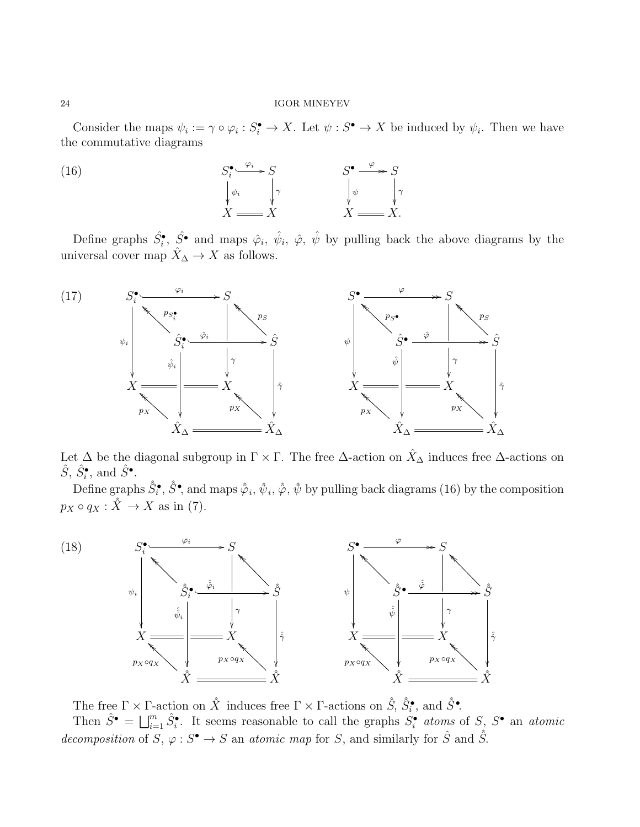Consider the maps  $\psi_i := \gamma \circ \varphi_i : S_i^{\bullet} \to X$ . Let  $\psi : S^{\bullet} \to X$  be induced by  $\psi_i$ . Then we have the commutative diagrams



Define graphs  $\hat{S}_i^{\bullet}$ ,  $\hat{S}^{\bullet}$  and maps  $\hat{\varphi}_i$ ,  $\hat{\psi}_i$ ,  $\hat{\varphi}$ ,  $\hat{\psi}$  by pulling back the above diagrams by the universal cover map  $\hat{X}_{\Delta} \to X$  as follows.



Let  $\Delta$  be the diagonal subgroup in  $\Gamma \times \Gamma$ . The free  $\Delta$ -action on  $\hat{X}_{\Delta}$  induces free  $\Delta$ -actions on  $\hat{S}, \hat{S}_i^{\bullet}, \text{ and } \hat{S}^{\bullet}.$ 

Define graphs  $\hat{S}^{\bullet}_i$ ,  $\hat{S}^{\bullet}$ , and maps  $\hat{\varphi}_i$ ,  $\hat{\psi}_i$ ,  $\hat{\varphi}$ ,  $\hat{\psi}$  by pulling back diagrams (16) by the composition  $p_X \circ q_X : \hat{X} \to X$  as in (7).



The free  $\Gamma \times \Gamma$ -action on  $\hat{X}$  induces free  $\Gamma \times \Gamma$ -actions on  $\hat{S}, \hat{S}_i^{\bullet}$ , and  $\hat{S}^{\bullet}$ . Then  $\hat{S}^{\bullet} = \bigsqcup_{i=1}^{m} \hat{S}_{i}^{\bullet}$ . It seems reasonable to call the graphs  $S_{i}^{\bullet}$  atoms of  $S$ ,  $S^{\bullet}$  an atomic decomposition of  $S, \varphi : S^{\bullet} \to S$  an atomic map for S, and similarly for  $\hat{S}$  and  $\hat{S}$ .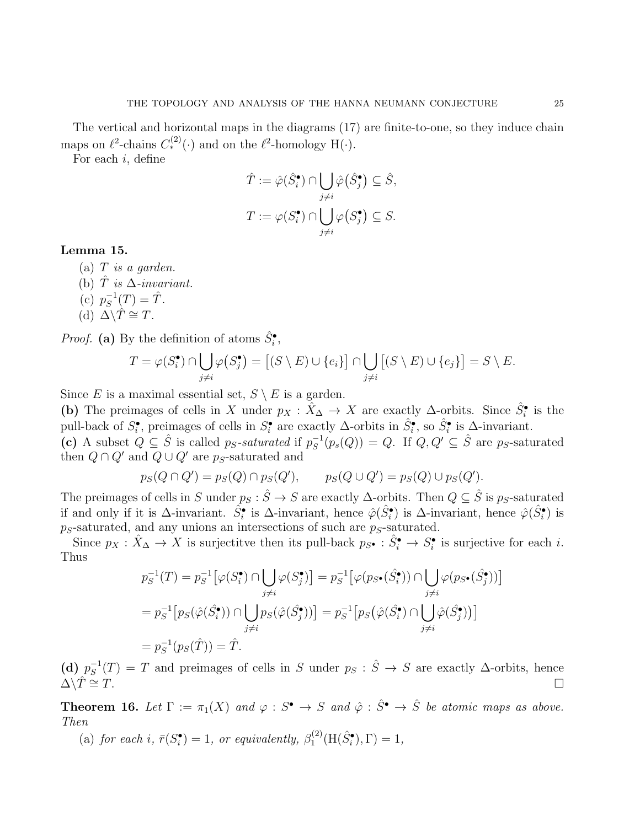The vertical and horizontal maps in the diagrams (17) are finite-to-one, so they induce chain maps on  $\ell^2$ -chains  $C_*^{(2)}(\cdot)$  and on the  $\ell^2$ -homology H( $\cdot$ ).

For each i, define

$$
\hat{T} := \hat{\varphi}(\hat{S}_i^{\bullet}) \cap \bigcup_{j \neq i} \hat{\varphi}(\hat{S}_j^{\bullet}) \subseteq \hat{S},
$$

$$
T := \varphi(S_i^{\bullet}) \cap \bigcup_{j \neq i} \varphi(S_j^{\bullet}) \subseteq S.
$$

# Lemma 15.

- (a)  $T$  is a garden.
- (b)  $\hat{T}$  is  $\Delta$ -invariant.
- (c)  $p_S^{-1}$  $S^{-1}(T) = \hat{T}.$
- (d)  $\Delta \backslash \hat{T} \cong T$ .

*Proof.* (a) By the definition of atoms  $\hat{S}_i^{\bullet}$ ,

$$
T = \varphi(S_i^{\bullet}) \cap \bigcup_{j \neq i} \varphi(S_j^{\bullet}) = [(S \setminus E) \cup \{e_i\}] \cap \bigcup_{j \neq i} [(S \setminus E) \cup \{e_j\}] = S \setminus E.
$$

Since E is a maximal essential set,  $S \setminus E$  is a garden.

(b) The preimages of cells in X under  $p_X : \hat{X}_{\Delta} \to X$  are exactly  $\Delta$ -orbits. Since  $\hat{S}^{\bullet}_i$  is the pull-back of  $S_i^{\bullet}$ , preimages of cells in  $S_i^{\bullet}$  are exactly  $\Delta$ -orbits in  $\hat{S}_i^{\bullet}$ , so  $\hat{S}_i^{\bullet}$  is  $\Delta$ -invariant.

(c) A subset  $Q \subseteq \hat{S}$  is called p<sub>S</sub>-saturated if  $p_S^{-1}$  $S<sub>S</sub><sup>-1</sup>(p<sub>s</sub>(Q)) = Q$ . If  $Q, Q' \subseteq \hat{S}$  are ps-saturated then  $Q \cap Q'$  and  $Q \cup Q'$  are ps-saturated and

$$
p_S(Q \cap Q') = p_S(Q) \cap p_S(Q'), \qquad p_S(Q \cup Q') = p_S(Q) \cup p_S(Q').
$$

The preimages of cells in S under  $p_S : \hat{S} \to S$  are exactly  $\Delta$ -orbits. Then  $Q \subseteq \hat{S}$  is  $p_S$ -saturated if and only if it is  $\Delta$ -invariant.  $\hat{S}_i^{\bullet}$  is  $\Delta$ -invariant, hence  $\hat{\varphi}(\hat{S}_i^{\bullet})$  is  $\Delta$ -invariant, hence  $\hat{\varphi}(\hat{S}_i^{\bullet})$  is  $p_S$ -saturated, and any unions an intersections of such are  $p_S$ -saturated.

Since  $p_X : \hat{X}_{\Delta} \to X$  is surjectitve then its pull-back  $p_{S^{\bullet}} : \hat{S}^{\bullet}_{i} \to S^{\bullet}_{i}$  is surjective for each *i*. Thus

$$
p_S^{-1}(T) = p_S^{-1} [\varphi(S_i^{\bullet}) \cap \bigcup_{j \neq i} \varphi(S_j^{\bullet})] = p_S^{-1} [\varphi(p_{S^{\bullet}}(\hat{S}_i^{\bullet})) \cap \bigcup_{j \neq i} \varphi(p_{S^{\bullet}}(\hat{S}_j^{\bullet}))]
$$
  
=  $p_S^{-1} [p_S(\hat{\varphi}(S_i^{\bullet})) \cap \bigcup_{j \neq i} p_S(\hat{\varphi}(S_j^{\bullet}))] = p_S^{-1} [p_S(\hat{\varphi}(S_i^{\bullet}) \cap \bigcup_{j \neq i} \hat{\varphi}(S_j^{\bullet}))]$   
=  $p_S^{-1}(p_S(\hat{T})) = \hat{T}.$ 

(d)  $p_S^{-1}$  $S_S^{-1}(T) = T$  and preimages of cells in S under  $p_S : \hat{S} \to S$  are exactly  $\Delta$ -orbits, hence  $\Delta \backslash \hat{T} \cong T.$ 

**Theorem 16.** Let  $\Gamma := \pi_1(X)$  and  $\varphi : S^{\bullet} \to S$  and  $\hat{\varphi} : \hat{S}^{\bullet} \to \hat{S}$  be atomic maps as above. Then

(a) for each i,  $\bar{r}(S_i^{\bullet}) = 1$ , or equivalently,  $\beta_1^{(2)}$  $I_1^{(2)}(H(\hat{S}_i^{\bullet}), \Gamma) = 1,$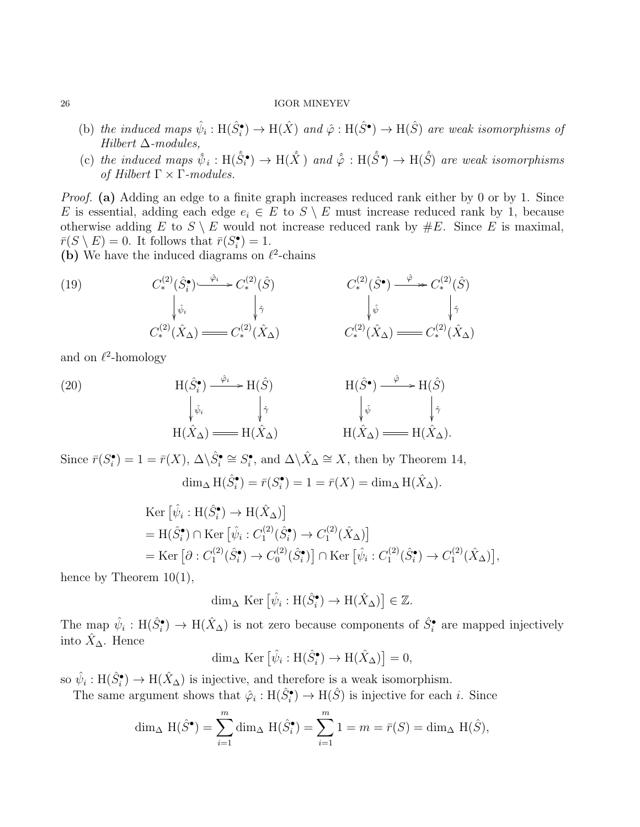- (b) the induced maps  $\hat{\psi}_i : H(\hat{S}_i^{\bullet}) \to H(\hat{X})$  and  $\hat{\varphi} : H(\hat{S}^{\bullet}) \to H(\hat{S})$  are weak isomorphisms of Hilbert  $\Delta$ -modules,
- (c) the induced maps  $\hat{\psi}_i : H(\hat{S}_i^{\bullet}) \to H(\hat{X})$  and  $\hat{\varphi} : H(\hat{S}^{\bullet}) \to H(\hat{S})$  are weak isomorphisms of Hilbert  $\Gamma \times \Gamma$ -modules.

Proof. (a) Adding an edge to a finite graph increases reduced rank either by 0 or by 1. Since E is essential, adding each edge  $e_i \in E$  to  $S \setminus E$  must increase reduced rank by 1, because otherwise adding E to  $S \setminus E$  would not increase reduced rank by  $\#E$ . Since E is maximal,  $\overline{r}(S \setminus E) = 0$ . It follows that  $\overline{r}(S_i^{\bullet}) = 1$ .

(b) We have the induced diagrams on  $\ell^2$ -chains

(19) 
$$
C^{(2)}_{*}(\hat{S}_{i}^{\bullet}) \xrightarrow{\hat{\varphi}_{i}} C^{(2)}_{*}(\hat{S}) \qquad C^{(2)}_{*}(\hat{S}^{\bullet}) \xrightarrow{\hat{\varphi}} C^{(2)}_{*}(\hat{S})
$$

$$
\downarrow \hat{\varphi}_{i} \qquad \qquad \downarrow \hat{\gamma} \qquad \qquad \downarrow \hat{\varphi} \qquad \qquad \downarrow \hat{\varphi}
$$

$$
C^{(2)}_{*}(\hat{X}_{\Delta}) \longrightarrow C^{(2)}_{*}(\hat{X}_{\Delta}) \qquad C^{(2)}_{*}(\hat{X}_{\Delta}) \longrightarrow C^{(2)}_{*}(\hat{X}_{\Delta})
$$

and on  $\ell^2$ -homology

(20) 
$$
H(\hat{S}_{i}^{\bullet}) \xrightarrow{\hat{\varphi}_{i}} H(\hat{S}) \qquad H(\hat{S}^{\bullet}) \xrightarrow{\hat{\varphi}} H(\hat{S})
$$

$$
\downarrow_{\hat{\varphi}_{i}} \qquad \downarrow_{\hat{\gamma}} \qquad \downarrow_{\hat{\psi}} \qquad \downarrow_{\hat{\psi}} \qquad \downarrow_{\hat{\gamma}} \qquad \downarrow_{\hat{\gamma}}
$$

$$
H(\hat{X}_{\Delta}) \longrightarrow H(\hat{X}_{\Delta}) \qquad H(\hat{X}_{\Delta}) \longrightarrow H(\hat{X}_{\Delta}).
$$

Since  $\bar{r}(S_i^{\bullet}) = 1 = \bar{r}(X), \Delta \backslash \hat{S}_i^{\bullet} \cong S_i^{\bullet}$ , and  $\Delta \backslash \hat{X}_{\Delta} \cong X$ , then by Theorem 14,

$$
\dim_{\Delta} H(\hat{S}_{i}^{\bullet}) = \bar{r}(S_{i}^{\bullet}) = 1 = \bar{r}(X) = \dim_{\Delta} H(\hat{X}_{\Delta}).
$$

$$
\begin{split} &\text{Ker}\left[\hat{\psi}_{i}:\text{H}(\hat{S}_{i}^{\bullet})\to\text{H}(\hat{X}_{\Delta})\right] \\ &= \text{H}(\hat{S}_{i}^{\bullet}) \cap \text{Ker}\left[\hat{\psi}_{i}: C_{1}^{(2)}(\hat{S}_{i}^{\bullet})\to C_{1}^{(2)}(\hat{X}_{\Delta})\right] \\ &= \text{Ker}\left[\partial: C_{1}^{(2)}(\hat{S}_{i}^{\bullet})\to C_{0}^{(2)}(\hat{S}_{i}^{\bullet})\right] \cap \text{Ker}\left[\hat{\psi}_{i}: C_{1}^{(2)}(\hat{S}_{i}^{\bullet})\to C_{1}^{(2)}(\hat{X}_{\Delta})\right], \end{split}
$$

hence by Theorem  $10(1)$ ,

$$
\dim_{\Delta} \operatorname{Ker} \left[ \hat{\psi}_i : \mathrm{H}(\hat{S}_i^{\bullet}) \to \mathrm{H}(\hat{X}_{\Delta}) \right] \in \mathbb{Z}.
$$

The map  $\hat{\psi}_i : H(\hat{S}_i^{\bullet}) \to H(\hat{X}_{\Delta})$  is not zero because components of  $\hat{S}_i^{\bullet}$  are mapped injectively into  $\hat{X}_{\Delta}$ . Hence

$$
\dim_{\Delta} \operatorname{Ker} \left[ \hat{\psi}_i : \mathrm{H}(\hat{S}_i^{\bullet}) \to \mathrm{H}(\hat{X}_{\Delta}) \right] = 0,
$$

so  $\hat{\psi}_i : H(\hat{S}_i^{\bullet}) \to H(\hat{X}_{\Delta})$  is injective, and therefore is a weak isomorphism.

The same argument shows that  $\hat{\varphi}_i : H(\hat{S}_i^{\bullet}) \to H(\hat{S})$  is injective for each *i*. Since

$$
\dim_{\Delta} \mathcal{H}(\hat{S}^{\bullet}) = \sum_{i=1}^{m} \dim_{\Delta} \mathcal{H}(\hat{S}_{i}^{\bullet}) = \sum_{i=1}^{m} 1 = m = \bar{r}(S) = \dim_{\Delta} \mathcal{H}(\hat{S}),
$$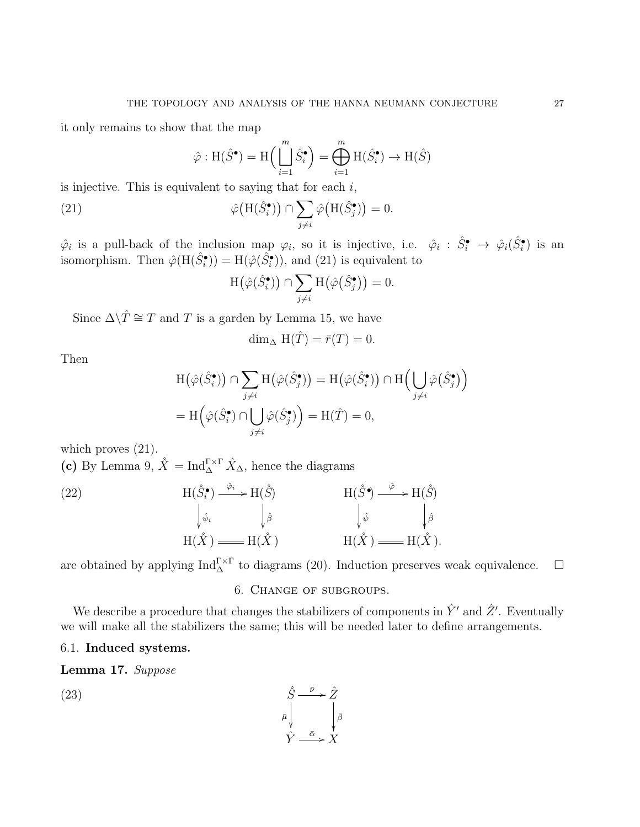it only remains to show that the map

$$
\hat{\varphi} : \mathrm{H}(\hat{S}^{\bullet}) = \mathrm{H}\Big(\Bigcup_{i=1}^{m} \hat{S}_{i}^{\bullet}\Big) = \bigoplus_{i=1}^{m} \mathrm{H}(\hat{S}_{i}^{\bullet}) \to \mathrm{H}(\hat{S})
$$

is injective. This is equivalent to saying that for each  $i$ ,

(21) 
$$
\hat{\varphi}(\mathbf{H}(\hat{S}_{i}^{\bullet})) \cap \sum_{j \neq i} \hat{\varphi}(\mathbf{H}(\hat{S}_{j}^{\bullet})) = 0.
$$

 $\hat{\varphi}_i$  is a pull-back of the inclusion map  $\varphi_i$ , so it is injective, i.e.  $\hat{\varphi}_i : \hat{S}_i^{\bullet} \to \hat{\varphi}_i(\hat{S}_i^{\bullet})$  is an isomorphism. Then  $\hat{\varphi}(\text{H}(\hat{S}_{i}^{\bullet})) = \text{H}(\hat{\varphi}(\hat{S}_{i}^{\bullet}))$ , and (21) is equivalent to

$$
H(\hat{\varphi}(\hat{S}_{i}^{\bullet})) \cap \sum_{j \neq i} H(\hat{\varphi}(\hat{S}_{j}^{\bullet})) = 0.
$$

Since  $\Delta \backslash \hat{T} \cong T$  and T is a garden by Lemma 15, we have

$$
\dim_{\Delta} \mathcal{H}(\hat{T}) = \bar{r}(T) = 0.
$$

Then

$$
H(\hat{\varphi}(\hat{S}_{i}^{\bullet})) \cap \sum_{j \neq i} H(\hat{\varphi}(\hat{S}_{j}^{\bullet})) = H(\hat{\varphi}(\hat{S}_{i}^{\bullet})) \cap H\left(\bigcup_{j \neq i} \hat{\varphi}(\hat{S}_{j}^{\bullet})\right)
$$

$$
= H\left(\hat{\varphi}(\hat{S}_{i}^{\bullet}) \cap \bigcup_{j \neq i} \hat{\varphi}(\hat{S}_{j}^{\bullet})\right) = H(\hat{T}) = 0,
$$

which proves  $(21)$ .

(c) By Lemma 9,  $\hat{X} = \text{Ind}_{\Delta}^{\Gamma \times \Gamma} \hat{X}_{\Delta}$ , hence the diagrams

(22) 
$$
H(\hat{S}_{i}^{\bullet}) \xrightarrow{\hat{\varphi}_{i}} H(\hat{\hat{S}}) \qquad H(\hat{\hat{S}}^{\bullet}) \xrightarrow{\hat{\varphi}} H(\hat{\hat{S}}) \n\downarrow_{\hat{\psi}_{i}} \qquad \qquad \downarrow_{\hat{\beta}} \qquad \qquad \downarrow_{\hat{\psi}} \qquad \qquad \downarrow_{\hat{\psi}} \qquad \qquad \downarrow_{\hat{\beta}} \nH(\hat{X}) \xrightarrow{H(\hat{X})} H(\hat{X}) \xrightarrow{H(\hat{X})} H(\hat{X}).
$$

are obtained by applying  $\text{Ind}_{\Delta}^{\Gamma\times\Gamma}$  to diagrams (20). Induction preserves weak equivalence.  $\Box$ 

# 6. Change of subgroups.

We describe a procedure that changes the stabilizers of components in  $\hat{Y}'$  and  $\hat{Z}'$ . Eventually we will make all the stabilizers the same; this will be needed later to define arrangements.

# 6.1. Induced systems.

Lemma 17. Suppose

(23) 
$$
\hat{S} \xrightarrow{\bar{\nu}} \hat{Z}
$$

$$
\bar{\mu} \downarrow \qquad \downarrow \bar{\beta}
$$

$$
\hat{Y} \xrightarrow{\bar{\alpha}} X
$$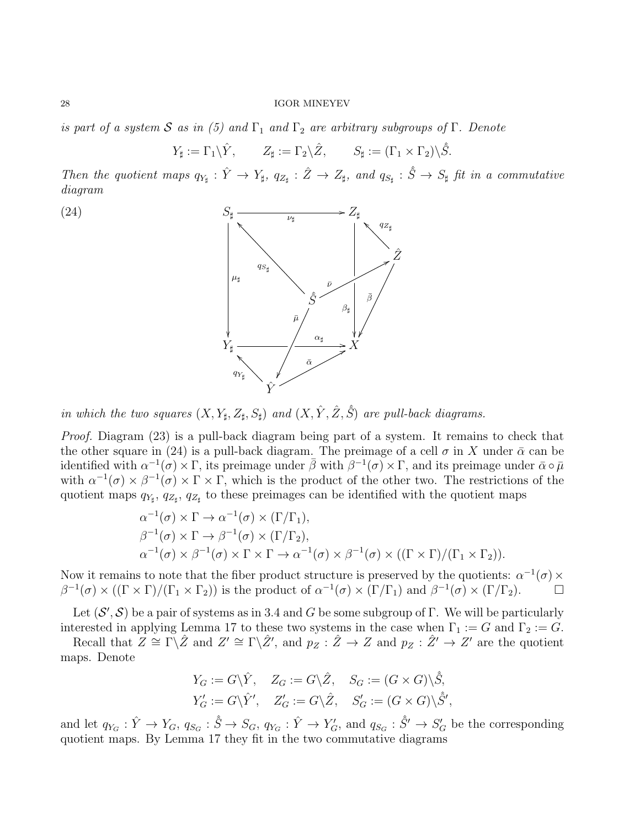is part of a system S as in (5) and  $\Gamma_1$  and  $\Gamma_2$  are arbitrary subgroups of  $\Gamma$ . Denote

$$
Y_{\sharp} := \Gamma_1 \backslash \hat{Y}, \qquad Z_{\sharp} := \Gamma_2 \backslash \hat{Z}, \qquad S_{\sharp} := (\Gamma_1 \times \Gamma_2) \backslash \hat{S}.
$$

Then the quotient maps  $q_{Y_{\sharp}} : \hat{Y} \to Y_{\sharp}, q_{Z_{\sharp}} : \hat{Z} \to Z_{\sharp},$  and  $q_{S_{\sharp}} : \hat{S} \to S_{\sharp}$  fit in a commutative diagram





in which the two squares  $(X, Y_{\sharp}, Z_{\sharp}, S_{\sharp})$  and  $(X, \hat{Y}, \hat{Z}, \hat{S})$  are pull-back diagrams.

Proof. Diagram (23) is a pull-back diagram being part of a system. It remains to check that the other square in (24) is a pull-back diagram. The preimage of a cell  $\sigma$  in X under  $\bar{\alpha}$  can be identified with  $\alpha^{-1}(\sigma) \times \Gamma$ , its preimage under  $\bar{\beta}$  with  $\beta^{-1}(\sigma) \times \Gamma$ , and its preimage under  $\bar{\alpha} \circ \bar{\mu}$ with  $\alpha^{-1}(\sigma) \times \beta^{-1}(\sigma) \times \Gamma \times \Gamma$ , which is the product of the other two. The restrictions of the quotient maps  $q_{Y_{\sharp}}, q_{Z_{\sharp}}, q_{Z_{\sharp}}$  to these preimages can be identified with the quotient maps

$$
\alpha^{-1}(\sigma) \times \Gamma \to \alpha^{-1}(\sigma) \times (\Gamma/\Gamma_1),
$$
  
\n
$$
\beta^{-1}(\sigma) \times \Gamma \to \beta^{-1}(\sigma) \times (\Gamma/\Gamma_2),
$$
  
\n
$$
\alpha^{-1}(\sigma) \times \beta^{-1}(\sigma) \times \Gamma \times \Gamma \to \alpha^{-1}(\sigma) \times \beta^{-1}(\sigma) \times ((\Gamma \times \Gamma)/(\Gamma_1 \times \Gamma_2)).
$$

Now it remains to note that the fiber product structure is preserved by the quotients:  $\alpha^{-1}(\sigma) \times$  $\beta^{-1}(\sigma) \times ((\Gamma \times \Gamma)/(\Gamma_1 \times \Gamma_2))$  is the product of  $\alpha^{-1}(\sigma) \times (\Gamma/\Gamma_1)$  and  $\beta^{-1}(\sigma) \times (\Gamma/\Gamma_2)$ .

Let  $(S', S)$  be a pair of systems as in 3.4 and G be some subgroup of Γ. We will be particularly interested in applying Lemma 17 to these two systems in the case when  $\Gamma_1 := G$  and  $\Gamma_2 := G$ .

Recall that  $Z \cong \Gamma \backslash \hat{Z}$  and  $Z' \cong \Gamma \backslash \hat{Z}'$ , and  $p_Z : \hat{Z} \to Z$  and  $p_Z : \hat{Z}' \to Z'$  are the quotient maps. Denote

$$
\begin{aligned} Y_G&:=G\backslash \hat{Y},\quad Z_G:=G\backslash \hat{Z},\quad S_G:=(G\times G)\backslash \hat{\hat{S}},\\ Y_G':=G\backslash \hat{Y}',\quad Z_G':=G\backslash \hat{Z},\quad S_G':=(G\times G)\backslash \hat{S}', \end{aligned}
$$

and let  $q_{Y_G}: \hat{Y} \to Y_G$ ,  $q_{S_G}: \hat{S} \to S_G$ ,  $q_{Y_G}: \hat{Y} \to Y'_G$ , and  $q_{S_G}: \hat{S}' \to S'_G$  be the corresponding quotient maps. By Lemma 17 they fit in the two commutative diagrams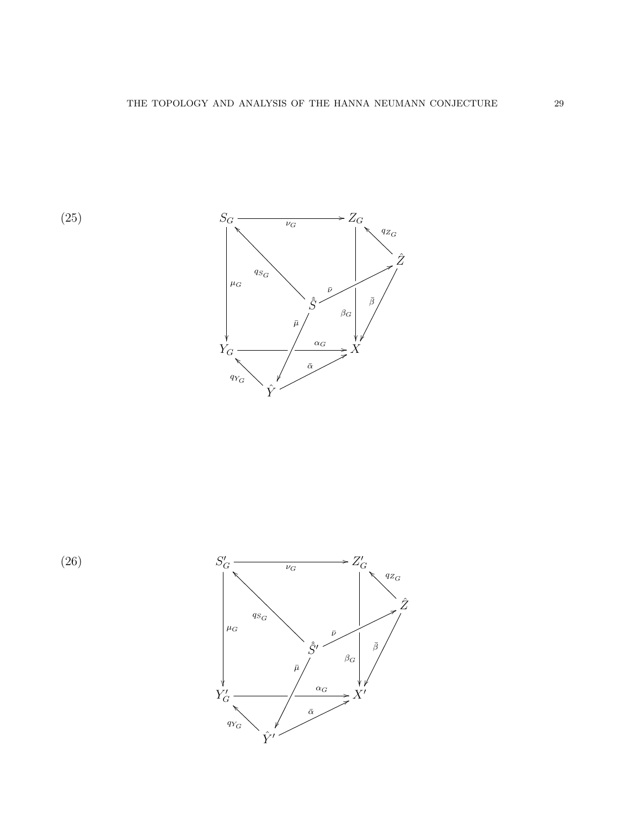

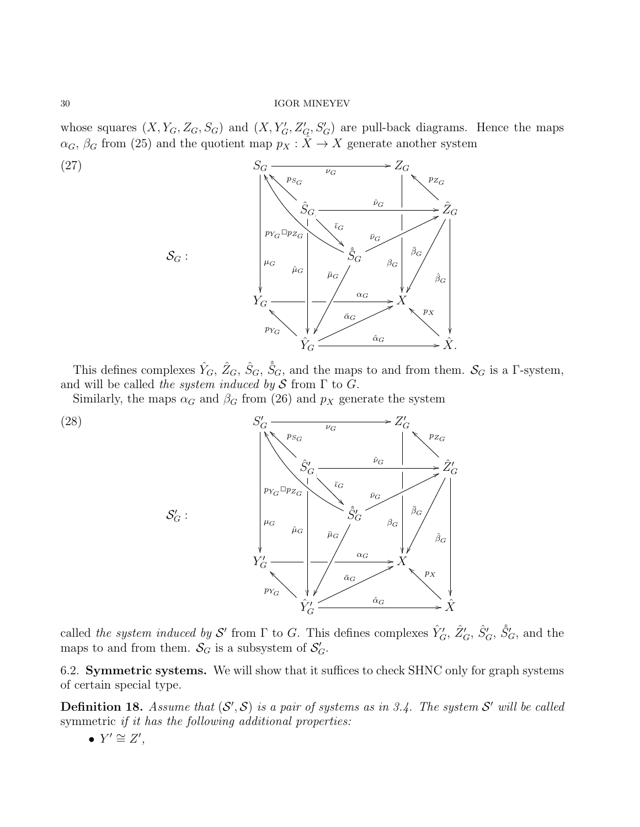whose squares  $(X, Y_G, Z_G, S_G)$  and  $(X, Y'_G, Z'_G, S'_G)$  are pull-back diagrams. Hence the maps  $\alpha_G$ ,  $\beta_G$  from (25) and the quotient map  $p_X : \hat{X} \to X$  generate another system



This defines complexes  $\hat{Y}_G$ ,  $\hat{Z}_G$ ,  $\hat{S}_G$ ,  $\hat{S}_G$ , and the maps to and from them.  $\mathcal{S}_G$  is a  $\Gamma$ -system, and will be called the system induced by  $S$  from  $\Gamma$  to  $G$ .

Similarly, the maps  $\alpha_G$  and  $\beta_G$  from (26) and  $p_X$  generate the system



called the system induced by S' from  $\Gamma$  to G. This defines complexes  $\hat{Y}'_G$ ,  $\hat{Z}'_G$ ,  $\hat{S}'_G$ ,  $\hat{S}'_G$ , and the maps to and from them.  $S_G$  is a subsystem of  $S_G'$ .

6.2. Symmetric systems. We will show that it suffices to check SHNC only for graph systems of certain special type.

**Definition 18.** Assume that  $(S', S)$  is a pair of systems as in 3.4. The system S' will be called symmetric *if it has the following additional properties:* 

•  $Y' \cong Z'$ ,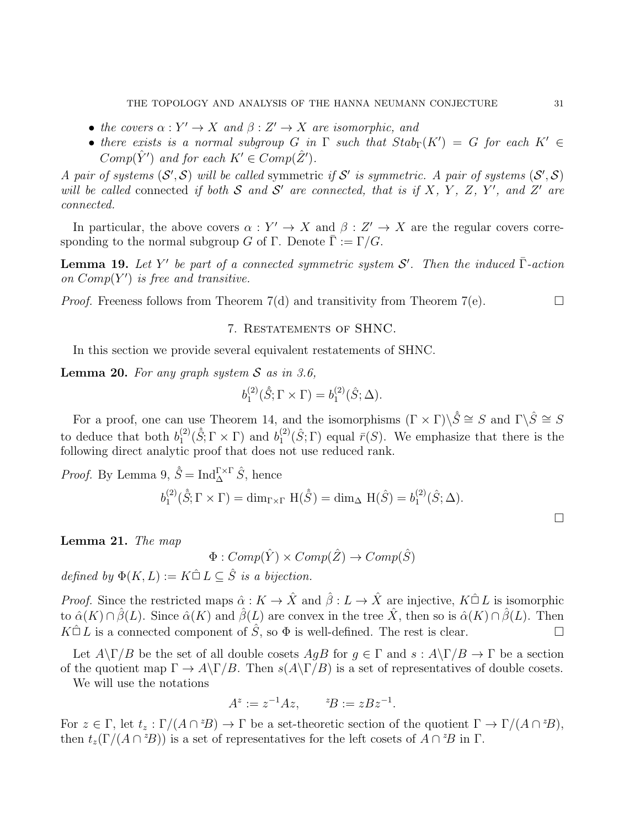- the covers  $\alpha: Y' \to X$  and  $\beta: Z' \to X$  are isomorphic, and
- there exists is a normal subgroup G in  $\Gamma$  such that  $Stab_{\Gamma}(K') = G$  for each  $K' \in$  $Comp(\hat{Y}')$  and for each  $K' \in Comp(\hat{Z}')$ .

A pair of systems  $(S', S)$  will be called symmetric if S' is symmetric. A pair of systems  $(S', S)$ will be called connected if both S and S' are connected, that is if X, Y, Z, Y', and Z' are connected.

In particular, the above covers  $\alpha: Y' \to X$  and  $\beta: Z' \to X$  are the regular covers corresponding to the normal subgroup G of Γ. Denote  $\bar{\Gamma} := \Gamma/G$ .

**Lemma 19.** Let Y' be part of a connected symmetric system S'. Then the induced  $\overline{\Gamma}$ -action on  $Comp(Y')$  is free and transitive.

*Proof.* Freeness follows from Theorem 7(d) and transitivity from Theorem 7(e).  $\Box$ 

# 7. Restatements of SHNC.

In this section we provide several equivalent restatements of SHNC.

**Lemma 20.** For any graph system  $S$  as in 3.6,

$$
b_1^{(2)}(\hat{S};\Gamma\times\Gamma)=b_1^{(2)}(\hat{S};\Delta).
$$

For a proof, one can use Theorem 14, and the isomorphisms  $(\Gamma \times \Gamma) \backslash \hat{S} \cong S$  and  $\Gamma \backslash \hat{S} \cong S$ to deduce that both  $b_1^{(2)}$  $j_1^{(2)}(\hat{S}; \Gamma \times \Gamma)$  and  $b_1^{(2)}$  $\binom{2}{1}(\hat{S};\Gamma)$  equal  $\bar{r}(S)$ . We emphasize that there is the following direct analytic proof that does not use reduced rank.

*Proof.* By Lemma 9,  $\hat{S} = \text{Ind}_{\Delta}^{\Gamma \times \Gamma} \hat{S}$ , hence

$$
b_1^{(2)}(\hat{S}; \Gamma \times \Gamma) = \dim_{\Gamma \times \Gamma} \mathcal{H}(\hat{S}) = \dim_{\Delta} \mathcal{H}(\hat{S}) = b_1^{(2)}(\hat{S}; \Delta).
$$

Lemma 21. The map

 $\Phi: Comp(\hat{Y}) \times Comp(\hat{Z}) \rightarrow Comp(\hat{S})$ 

defined by  $\Phi(K, L) := K \hat{\Box} L \subseteq \hat{S}$  is a bijection.

*Proof.* Since the restricted maps  $\hat{\alpha}: K \to \hat{X}$  and  $\hat{\beta}: L \to \hat{X}$  are injective,  $K \hat{\square} L$  is isomorphic to  $\hat{\alpha}(K) \cap \hat{\beta}(L)$ . Since  $\hat{\alpha}(K)$  and  $\hat{\beta}(L)$  are convex in the tree  $\hat{X}$ , then so is  $\hat{\alpha}(K) \cap \hat{\beta}(L)$ . Then  $K\hat{\Box} L$  is a connected component of  $\hat{S}$ , so  $\Phi$  is well-defined. The rest is clear.

Let  $A\Gamma/B$  be the set of all double cosets  $AgB$  for  $g \in \Gamma$  and  $s : A\Gamma/B \to \Gamma$  be a section of the quotient map  $\Gamma \to A\backslash \Gamma/B$ . Then  $s(A\backslash \Gamma/B)$  is a set of representatives of double cosets.

We will use the notations

$$
A^z := z^{-1} A z, \qquad {}^zB := zBz^{-1}.
$$

For  $z \in \Gamma$ , let  $t_z : \Gamma/(A \cap {}^zB) \to \Gamma$  be a set-theoretic section of the quotient  $\Gamma \to \Gamma/(A \cap {}^zB)$ , then  $t_z(\Gamma/(A \cap {}^zB))$  is a set of representatives for the left cosets of  $A \cap {}^zB$  in  $\Gamma$ .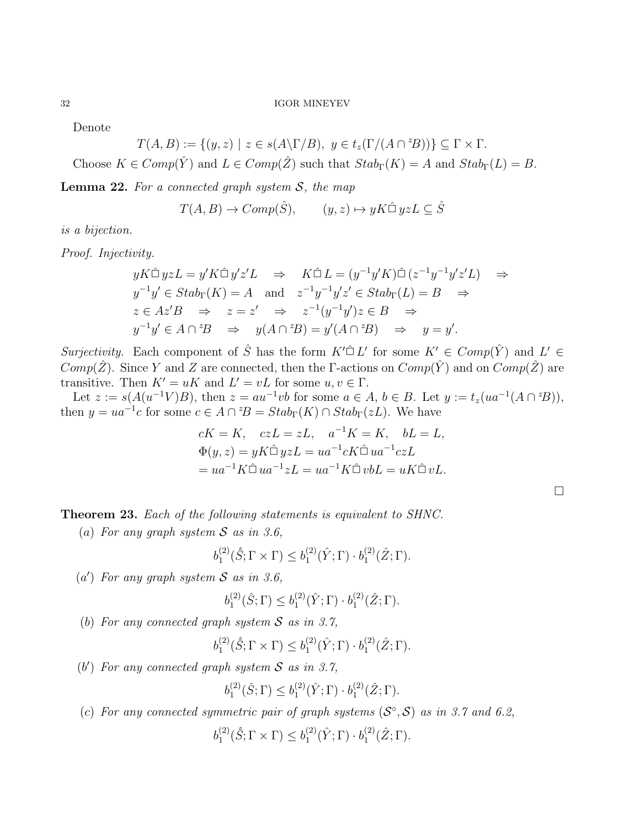Denote

 $T(A, B) := \{ (y, z) \mid z \in s(A \backslash \Gamma/B), y \in t_z(\Gamma/(A \cap {}^{z}B)) \} \subseteq \Gamma \times \Gamma.$ 

Choose  $K \in Comp(\hat{Y})$  and  $L \in Comp(\hat{Z})$  such that  $Stab_{\Gamma}(K) = A$  and  $Stab_{\Gamma}(L) = B$ .

**Lemma 22.** For a connected graph system  $S$ , the map

$$
T(A, B) \to Comp(\hat{S}), \qquad (y, z) \mapsto yK \hat{\Box} yzL \subseteq \hat{S}
$$

is a bijection.

Proof. Injectivity.

$$
yK\widehat{\Box} yzL = y'K\widehat{\Box} y'z'L \Rightarrow K\widehat{\Box} L = (y^{-1}y'K)\widehat{\Box} (z^{-1}y^{-1}y'z'L) \Rightarrow
$$
  
\n
$$
y^{-1}y' \in Stab_{\Gamma}(K) = A \text{ and } z^{-1}y^{-1}y'z' \in Stab_{\Gamma}(L) = B \Rightarrow
$$
  
\n
$$
z \in Az'B \Rightarrow z = z' \Rightarrow z^{-1}(y^{-1}y')z \in B \Rightarrow
$$
  
\n
$$
y^{-1}y' \in A \cap {}^{z}B \Rightarrow y(A \cap {}^{z}B) = y'(A \cap {}^{z}B) \Rightarrow y = y'.
$$

Surjectivity. Each component of  $\hat{S}$  has the form  $K' \hat{\Box} L'$  for some  $K' \in Comp(\hat{Y})$  and  $L' \in$  $Comp(\hat{Z})$ . Since Y and Z are connected, then the Γ-actions on  $Comp(\hat{Y})$  and on  $Comp(\hat{Z})$  are transitive. Then  $K' = uK$  and  $L' = vL$  for some  $u, v \in \Gamma$ .

Let  $z := s(A(u^{-1}V)B)$ , then  $z = au^{-1}vb$  for some  $a \in A$ ,  $b \in B$ . Let  $y := t_z(ua^{-1}(A \cap {}^zB))$ , then  $y = ua^{-1}c$  for some  $c \in A \cap {}^{z}B = Stab_{\Gamma}(K) \cap Stab_{\Gamma}(zL)$ . We have

$$
cK = K, \quad czL = zL, \quad a^{-1}K = K, \quad bL = L,
$$
  
\n
$$
\Phi(y, z) = yK\hat{\Box} yzL = ua^{-1}cK\hat{\Box} ua^{-1}czL
$$
  
\n
$$
= ua^{-1}K\hat{\Box} ua^{-1}zL = ua^{-1}K\hat{\Box} vbL = uK\hat{\Box} vL.
$$

Theorem 23. Each of the following statements is equivalent to SHNC.

(a) For any graph system  $S$  as in 3.6,

$$
b_1^{(2)}(\hat{S}; \Gamma \times \Gamma) \leq b_1^{(2)}(\hat{Y}; \Gamma) \cdot b_1^{(2)}(\hat{Z}; \Gamma).
$$

 $(a')$  For any graph system S as in 3.6,

$$
b_1^{(2)}(\hat{S};\Gamma) \leq b_1^{(2)}(\hat{Y};\Gamma) \cdot b_1^{(2)}(\hat{Z};\Gamma).
$$

(b) For any connected graph system S as in 3.7,

$$
b_1^{(2)}(\hat{S};\Gamma \times \Gamma) \leq b_1^{(2)}(\hat{Y};\Gamma) \cdot b_1^{(2)}(\hat{Z};\Gamma).
$$

(b') For any connected graph system  $S$  as in 3.7,

$$
b_1^{(2)}(\hat{S};\Gamma) \leq b_1^{(2)}(\hat{Y};\Gamma) \cdot b_1^{(2)}(\hat{Z};\Gamma).
$$

(c) For any connected symmetric pair of graph systems  $(S^{\circ}, S)$  as in 3.7 and 6.2,

$$
b_1^{(2)}(\hat{S};\Gamma \times \Gamma) \leq b_1^{(2)}(\hat{Y};\Gamma) \cdot b_1^{(2)}(\hat{Z};\Gamma).
$$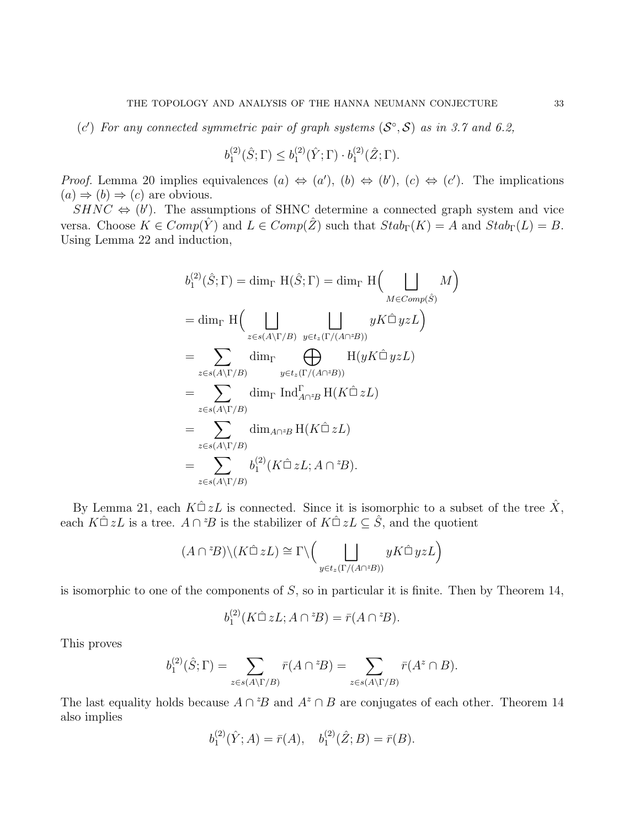(c') For any connected symmetric pair of graph systems  $(S^{\circ}, S)$  as in 3.7 and 6.2,

$$
b_1^{(2)}(\hat{S};\Gamma) \leq b_1^{(2)}(\hat{Y};\Gamma) \cdot b_1^{(2)}(\hat{Z};\Gamma).
$$

*Proof.* Lemma 20 implies equivalences  $(a) \Leftrightarrow (a')$ ,  $(b) \Leftrightarrow (b')$ ,  $(c) \Leftrightarrow (c')$ . The implications  $(a) \Rightarrow (b) \Rightarrow (c)$  are obvious.

 $SHNC \Leftrightarrow (b')$ . The assumptions of SHNC determine a connected graph system and vice versa. Choose  $K \in Comp(\hat{Y})$  and  $L \in Comp(\hat{Z})$  such that  $Stab_{\Gamma}(K) = A$  and  $Stab_{\Gamma}(L) = B$ . Using Lemma 22 and induction,

$$
b_1^{(2)}(\hat{S}; \Gamma) = \dim_{\Gamma} \mathcal{H}(\hat{S}; \Gamma) = \dim_{\Gamma} \mathcal{H}(\bigcup_{M \in Comp(\hat{S})} M)
$$
  
\n
$$
= \dim_{\Gamma} \mathcal{H}(\bigcup_{z \in s(A \backslash \Gamma/B)} \bigcup_{y \in t_z(\Gamma/(A \cap {}^{z}B))} yK \hat{\Box} yzL)
$$
  
\n
$$
= \sum_{z \in s(A \backslash \Gamma/B)} \dim_{\Gamma} \bigoplus_{y \in t_z(\Gamma/(A \cap {}^{z}B))} \mathcal{H}(yK \hat{\Box} yzL)
$$
  
\n
$$
= \sum_{z \in s(A \backslash \Gamma/B)} \dim_{\Gamma} \operatorname{Ind}_{A \cap {}^{z}B}^{\Gamma} \mathcal{H}(K \hat{\Box} zL)
$$
  
\n
$$
= \sum_{z \in s(A \backslash \Gamma/B)} \dim_{A \cap {}^{z}B} \mathcal{H}(K \hat{\Box} zL)
$$
  
\n
$$
= \sum_{z \in s(A \backslash \Gamma/B)} b_1^{(2)}(K \hat{\Box} zL; A \cap {}^{z}B).
$$

By Lemma 21, each  $K\hat{\Box} zL$  is connected. Since it is isomorphic to a subset of the tree  $\hat{X}$ , each  $K\hat{\Box} zL$  is a tree.  $A\cap {}^zB$  is the stabilizer of  $K\hat{\Box} zL\subseteq \hat{S}$ , and the quotient

$$
(A \cap {}^{z}B) \setminus (K \hat{\Box} zL) \cong \Gamma \setminus \Big( \bigsqcup_{y \in t_z(\Gamma/(A \cap {}^{z}B))} yK \hat{\Box} yzL \Big)
$$

is isomorphic to one of the components of  $S$ , so in particular it is finite. Then by Theorem 14,

$$
b_1^{(2)}(K\hat{\Box} zL; A\cap {}^z\!B) = \bar{r}(A\cap {}^z\!B).
$$

This proves

$$
b_1^{(2)}(\hat{S};\Gamma) = \sum_{z \in s(A \setminus \Gamma/B)} \bar{r}(A \cap {}^zB) = \sum_{z \in s(A \setminus \Gamma/B)} \bar{r}(A^z \cap B).
$$

The last equality holds because  $A \cap {}^zB$  and  $A^z \cap B$  are conjugates of each other. Theorem 14 also implies

$$
b_1^{(2)}(\hat{Y};A) = \bar{r}(A), \quad b_1^{(2)}(\hat{Z};B) = \bar{r}(B).
$$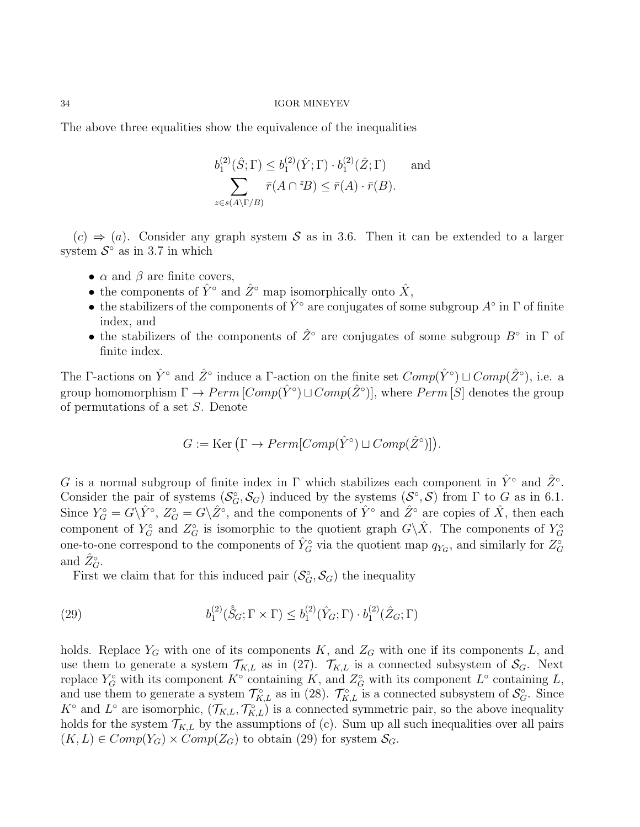The above three equalities show the equivalence of the inequalities

$$
b_1^{(2)}(\hat{S};\Gamma) \le b_1^{(2)}(\hat{Y};\Gamma) \cdot b_1^{(2)}(\hat{Z};\Gamma) \quad \text{and}
$$

$$
\sum_{z \in s(A \setminus \Gamma/B)} \bar{r}(A \cap {}^zB) \le \bar{r}(A) \cdot \bar{r}(B).
$$

 $(c) \Rightarrow (a)$ . Consider any graph system S as in 3.6. Then it can be extended to a larger system  $S^{\circ}$  as in 3.7 in which

- $\alpha$  and  $\beta$  are finite covers,
- the components of  $\hat{Y}^{\circ}$  and  $\hat{Z}^{\circ}$  map isomorphically onto  $\hat{X}$ ,
- the stabilizers of the components of  $\hat{Y}^{\circ}$  are conjugates of some subgroup  $A^{\circ}$  in  $\Gamma$  of finite index, and
- the stabilizers of the components of  $\hat{Z}^{\circ}$  are conjugates of some subgroup  $B^{\circ}$  in  $\Gamma$  of finite index.

The F-actions on  $\hat{Y}^{\circ}$  and  $\hat{Z}^{\circ}$  induce a F-action on the finite set  $Comp(\hat{Y}^{\circ}) \sqcup Comp(\hat{Z}^{\circ})$ , i.e. a group homomorphism  $\Gamma \to Perm\, [Comp(\hat{Y}^{\circ}) \sqcup Comp(\hat{Z}^{\circ})],$  where  $Perm\,[S]$  denotes the group of permutations of a set S. Denote

$$
G := \text{Ker}(\Gamma \to Perm[Comp(\hat{Y}^{\circ}) \sqcup Comp(\hat{Z}^{\circ})]).
$$

G is a normal subgroup of finite index in  $\Gamma$  which stabilizes each component in  $\hat{Y}^{\circ}$  and  $\hat{Z}^{\circ}$ . Consider the pair of systems  $(S_G^{\circ}, S_G)$  induced by the systems  $(S^{\circ}, S)$  from  $\Gamma$  to  $G$  as in 6.1. Since  $Y_G^{\circ} = G \backslash \hat{Y}^{\circ}$ ,  $Z_G^{\circ} = G \backslash \hat{Z}^{\circ}$ , and the components of  $\hat{Y}^{\circ}$  and  $\hat{Z}^{\circ}$  are copies of  $\hat{X}$ , then each component of  $Y_G^{\circ}$  and  $Z_G^{\circ}$  is isomorphic to the quotient graph  $G\backslash\hat{X}$ . The components of  $Y_G^{\circ}$ one-to-one correspond to the components of  $\hat{Y}_G^{\circ}$  via the quotient map  $q_{Y_G}$ , and similarly for  $Z_G^{\circ}$ and  $\hat{Z}_G^{\circ}$ .

First we claim that for this induced pair  $(S_G^{\circ}, S_G)$  the inequality

(29) 
$$
b_1^{(2)}(\hat{S}_G; \Gamma \times \Gamma) \leq b_1^{(2)}(\hat{Y}_G; \Gamma) \cdot b_1^{(2)}(\hat{Z}_G; \Gamma)
$$

holds. Replace  $Y_G$  with one of its components K, and  $Z_G$  with one if its components L, and use them to generate a system  $\mathcal{T}_{K,L}$  as in (27).  $\mathcal{T}_{K,L}$  is a connected subsystem of  $\mathcal{S}_G$ . Next replace  $Y_G^{\circ}$  with its component  $K^{\circ}$  containing K, and  $Z_G^{\circ}$  with its component  $L^{\circ}$  containing L, and use them to generate a system  $\mathcal{T}_{K,L}^{\circ}$  as in (28).  $\mathcal{T}_{K,L}^{\circ}$  is a connected subsystem of  $\mathcal{S}_{G}^{\circ}$ . Since  $K^{\circ}$  and  $L^{\circ}$  are isomorphic,  $(\mathcal{T}_{K,L}, \mathcal{T}_{K,L}^{\circ})$  is a connected symmetric pair, so the above inequality holds for the system  $\mathcal{T}_{K,L}$  by the assumptions of (c). Sum up all such inequalities over all pairs  $(K, L) \in Comp(Y_G) \times Comp(Z_G)$  to obtain (29) for system  $S_G$ .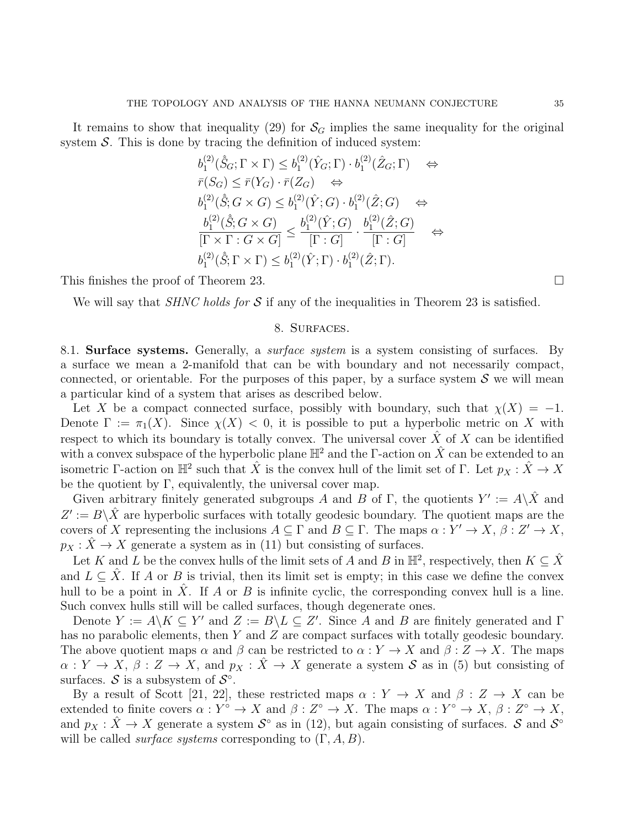It remains to show that inequality (29) for  $\mathcal{S}_G$  implies the same inequality for the original system  $S$ . This is done by tracing the definition of induced system:

$$
b_1^{(2)}(\hat{S}_G; \Gamma \times \Gamma) \leq b_1^{(2)}(\hat{Y}_G; \Gamma) \cdot b_1^{(2)}(\hat{Z}_G; \Gamma) \quad \Leftrightarrow
$$
  
\n
$$
\bar{r}(S_G) \leq \bar{r}(Y_G) \cdot \bar{r}(Z_G) \quad \Leftrightarrow
$$
  
\n
$$
b_1^{(2)}(\hat{S}; G \times G) \leq b_1^{(2)}(\hat{Y}; G) \cdot b_1^{(2)}(\hat{Z}; G) \quad \Leftrightarrow
$$
  
\n
$$
\frac{b_1^{(2)}(\hat{S}; G \times G)}{[\Gamma \times \Gamma : G \times G]} \leq \frac{b_1^{(2)}(\hat{Y}; G)}{[\Gamma : G]} \cdot \frac{b_1^{(2)}(\hat{Z}; G)}{[\Gamma : G]} \quad \Leftrightarrow
$$
  
\n
$$
b_1^{(2)}(\hat{S}; \Gamma \times \Gamma) \leq b_1^{(2)}(\hat{Y}; \Gamma) \cdot b_1^{(2)}(\hat{Z}; \Gamma).
$$

This finishes the proof of Theorem 23.

We will say that *SHNC holds for*  $S$  if any of the inequalities in Theorem 23 is satisfied.

# 8. Surfaces.

8.1. **Surface systems.** Generally, a *surface system* is a system consisting of surfaces. By a surface we mean a 2-manifold that can be with boundary and not necessarily compact, connected, or orientable. For the purposes of this paper, by a surface system  $\mathcal S$  we will mean a particular kind of a system that arises as described below.

Let X be a compact connected surface, possibly with boundary, such that  $\chi(X) = -1$ . Denote  $\Gamma := \pi_1(X)$ . Since  $\chi(X) < 0$ , it is possible to put a hyperbolic metric on X with respect to which its boundary is totally convex. The universal cover  $\hat{X}$  of X can be identified with a convex subspace of the hyperbolic plane  $\mathbb{H}^2$  and the Γ-action on  $\hat{X}$  can be extended to an isometric Γ-action on  $\mathbb{H}^2$  such that  $\hat{X}$  is the convex hull of the limit set of Γ. Let  $p_X : \hat{X} \to X$ be the quotient by  $\Gamma$ , equivalently, the universal cover map.

Given arbitrary finitely generated subgroups A and B of Γ, the quotients  $Y' := A \backslash \hat{X}$  and  $Z' := B \setminus \hat{X}$  are hyperbolic surfaces with totally geodesic boundary. The quotient maps are the covers of X representing the inclusions  $A \subseteq \Gamma$  and  $B \subseteq \Gamma$ . The maps  $\alpha : Y' \to X$ ,  $\beta : Z' \to X$ ,  $p_X : \hat{X} \to X$  generate a system as in (11) but consisting of surfaces.

Let K and L be the convex hulls of the limit sets of A and B in  $\mathbb{H}^2$ , respectively, then  $K \subseteq \hat{X}$ and  $L \subseteq \hat{X}$ . If A or B is trivial, then its limit set is empty; in this case we define the convex hull to be a point in  $\hat{X}$ . If A or B is infinite cyclic, the corresponding convex hull is a line. Such convex hulls still will be called surfaces, though degenerate ones.

Denote  $Y := A \backslash K \subseteq Y'$  and  $Z := B \backslash L \subseteq Z'$ . Since A and B are finitely generated and  $\Gamma$ has no parabolic elements, then Y and Z are compact surfaces with totally geodesic boundary. The above quotient maps  $\alpha$  and  $\beta$  can be restricted to  $\alpha: Y \to X$  and  $\beta: Z \to X$ . The maps  $\alpha: Y \to X, \beta: Z \to X$ , and  $p_X: \hat{X} \to X$  generate a system S as in (5) but consisting of surfaces.  $S$  is a subsystem of  $S^{\circ}$ .

By a result of Scott [21, 22], these restricted maps  $\alpha: Y \to X$  and  $\beta: Z \to X$  can be extended to finite covers  $\alpha: Y^{\circ} \to X$  and  $\beta: Z^{\circ} \to X$ . The maps  $\alpha: Y^{\circ} \to X$ ,  $\beta: Z^{\circ} \to X$ , and  $p_X : \hat{X} \to X$  generate a system  $S^{\circ}$  as in (12), but again consisting of surfaces. S and  $S^{\circ}$ will be called *surface systems* corresponding to  $(\Gamma, A, B)$ .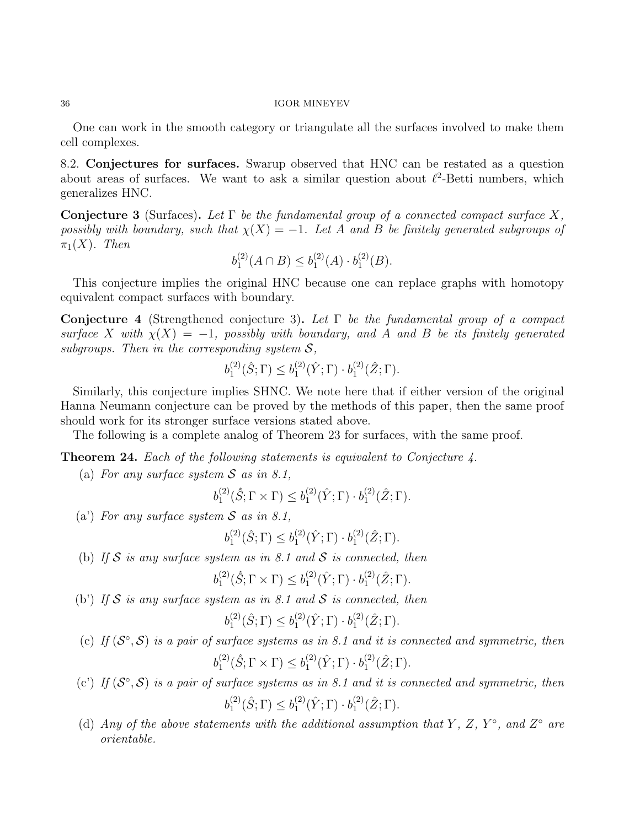One can work in the smooth category or triangulate all the surfaces involved to make them cell complexes.

8.2. Conjectures for surfaces. Swarup observed that HNC can be restated as a question about areas of surfaces. We want to ask a similar question about  $\ell^2$ -Betti numbers, which generalizes HNC.

**Conjecture 3** (Surfaces). Let  $\Gamma$  be the fundamental group of a connected compact surface X, possibly with boundary, such that  $\chi(X) = -1$ . Let A and B be finitely generated subgroups of  $\pi_1(X)$ . Then

$$
b_1^{(2)}(A \cap B) \le b_1^{(2)}(A) \cdot b_1^{(2)}(B).
$$

This conjecture implies the original HNC because one can replace graphs with homotopy equivalent compact surfaces with boundary.

**Conjecture 4** (Strengthened conjecture 3). Let  $\Gamma$  be the fundamental group of a compact surface X with  $\chi(X) = -1$ , possibly with boundary, and A and B be its finitely generated subgroups. Then in the corresponding system  $S$ ,

$$
b_1^{(2)}(\hat{S};\Gamma) \leq b_1^{(2)}(\hat{Y};\Gamma) \cdot b_1^{(2)}(\hat{Z};\Gamma).
$$

Similarly, this conjecture implies SHNC. We note here that if either version of the original Hanna Neumann conjecture can be proved by the methods of this paper, then the same proof should work for its stronger surface versions stated above.

The following is a complete analog of Theorem 23 for surfaces, with the same proof.

**Theorem 24.** Each of the following statements is equivalent to Conjecture 4.

(a) For any surface system  $S$  as in 8.1,

$$
b_1^{(2)}(\hat{S};\Gamma \times \Gamma) \leq b_1^{(2)}(\hat{Y};\Gamma) \cdot b_1^{(2)}(\hat{Z};\Gamma).
$$

(a) For any surface system  $S$  as in 8.1,

$$
b_1^{(2)}(\hat{S};\Gamma) \le b_1^{(2)}(\hat{Y};\Gamma) \cdot b_1^{(2)}(\hat{Z};\Gamma).
$$

(b) If S is any surface system as in 8.1 and S is connected, then

$$
b_1^{(2)}(\hat{S};\Gamma\times\Gamma)\leq b_1^{(2)}(\hat{Y};\Gamma)\cdot b_1^{(2)}(\hat{Z};\Gamma).
$$

(b) If  $S$  is any surface system as in 8.1 and  $S$  is connected, then

$$
b_1^{(2)}(\hat{S};\Gamma) \leq b_1^{(2)}(\hat{Y};\Gamma) \cdot b_1^{(2)}(\hat{Z};\Gamma).
$$

(c) If  $(S^{\circ}, S)$  is a pair of surface systems as in 8.1 and it is connected and symmetric, then

$$
b_1^{(2)}(\hat{S};\Gamma \times \Gamma) \le b_1^{(2)}(\hat{Y};\Gamma) \cdot b_1^{(2)}(\hat{Z};\Gamma).
$$

- (c') If  $(S^{\circ}, S)$  is a pair of surface systems as in 8.1 and it is connected and symmetric, then  $b_1^{(2)}$  $b_1^{(2)}(\hat{S};\Gamma) \leq b_1^{(2)}$  $b_1^{(2)}(\hat{Y};\Gamma)\cdot b_1^{(2)}$  ${2 \choose 1} (\hat{Z}; \Gamma).$
- (d) Any of the above statements with the additional assumption that Y, Z, Y°, and Z° are orientable.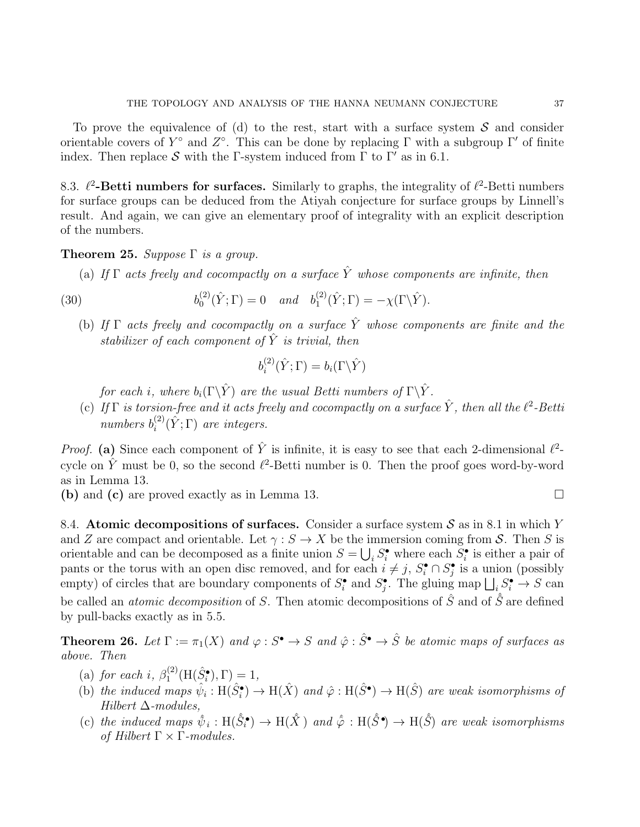To prove the equivalence of (d) to the rest, start with a surface system  $S$  and consider orientable covers of  $Y^{\circ}$  and  $Z^{\circ}$ . This can be done by replacing  $\Gamma$  with a subgroup  $\Gamma'$  of finite index. Then replace S with the Γ-system induced from  $\Gamma$  to  $\Gamma'$  as in 6.1.

8.3.  $\ell^2$ -Betti numbers for surfaces. Similarly to graphs, the integrality of  $\ell^2$ -Betti numbers for surface groups can be deduced from the Atiyah conjecture for surface groups by Linnell's result. And again, we can give an elementary proof of integrality with an explicit description of the numbers.

# **Theorem 25.** Suppose  $\Gamma$  is a group.

(a) If  $\Gamma$  acts freely and cocompactly on a surface  $\hat{Y}$  whose components are infinite, then

(30) 
$$
b_0^{(2)}(\hat{Y}; \Gamma) = 0 \quad and \quad b_1^{(2)}(\hat{Y}; \Gamma) = -\chi(\Gamma \backslash \hat{Y}).
$$

(b) If  $\Gamma$  acts freely and cocompactly on a surface  $\hat{Y}$  whose components are finite and the stabilizer of each component of  $\hat{Y}$  is trivial, then

$$
b_i^{(2)}(\hat{Y};\Gamma) = b_i(\Gamma \backslash \hat{Y})
$$

for each i, where  $b_i(\Gamma \backslash \hat{Y})$  are the usual Betti numbers of  $\Gamma \backslash \hat{Y}$ .

(c) If  $\Gamma$  is torsion-free and it acts freely and cocompactly on a surface  $\hat{Y}$ , then all the  $\ell^2$ -Betti numbers  $b_i^{(2)}$  $i^{(2)}(\hat{Y}; \Gamma)$  are integers.

*Proof.* (a) Since each component of  $\hat{Y}$  is infinite, it is easy to see that each 2-dimensional  $\ell^2$ cycle on  $\hat{Y}$  must be 0, so the second  $\ell^2$ -Betti number is 0. Then the proof goes word-by-word as in Lemma 13.

(b) and (c) are proved exactly as in Lemma 13.

8.4. Atomic decompositions of surfaces. Consider a surface system  $S$  as in 8.1 in which Y and Z are compact and orientable. Let  $\gamma : S \to X$  be the immersion coming from S. Then S is orientable and can be decomposed as a finite union  $S = \bigcup_i S_i^{\bullet}$  where each  $S_i^{\bullet}$  is either a pair of pants or the torus with an open disc removed, and for each  $i \neq j$ ,  $S_i^{\bullet} \cap S_j^{\bullet}$  is a union (possibly empty) of circles that are boundary components of  $S_i^{\bullet}$  and  $S_j^{\bullet}$ . The gluing map  $\bigsqcup_i S_i^{\bullet} \to S$  can be called an *atomic decomposition* of S. Then atomic decompositions of  $\hat{S}$  and of  $\hat{S}$  are defined by pull-backs exactly as in 5.5.

**Theorem 26.** Let  $\Gamma := \pi_1(X)$  and  $\varphi : S^{\bullet} \to S$  and  $\hat{\varphi} : \hat{S}^{\bullet} \to \hat{S}$  be atomic maps of surfaces as above. Then

- (a) for each i,  $\beta_1^{(2)}$  $I_1^{(2)}(H(\hat{S}_i^{\bullet}), \Gamma) = 1,$
- (b) the induced maps  $\hat{\psi}_i : H(\hat{S}_i^{\bullet}) \to H(\hat{X})$  and  $\hat{\varphi} : H(\hat{S}^{\bullet}) \to H(\hat{S})$  are weak isomorphisms of Hilbert  $\Delta$ -modules,
- (c) the induced maps  $\hat{\psi}_i : H(\hat{S}_i^{\bullet}) \to H(\hat{X})$  and  $\hat{\varphi} : H(\hat{S}^{\bullet}) \to H(\hat{S})$  are weak isomorphisms of Hilbert  $\Gamma \times \Gamma$ -modules.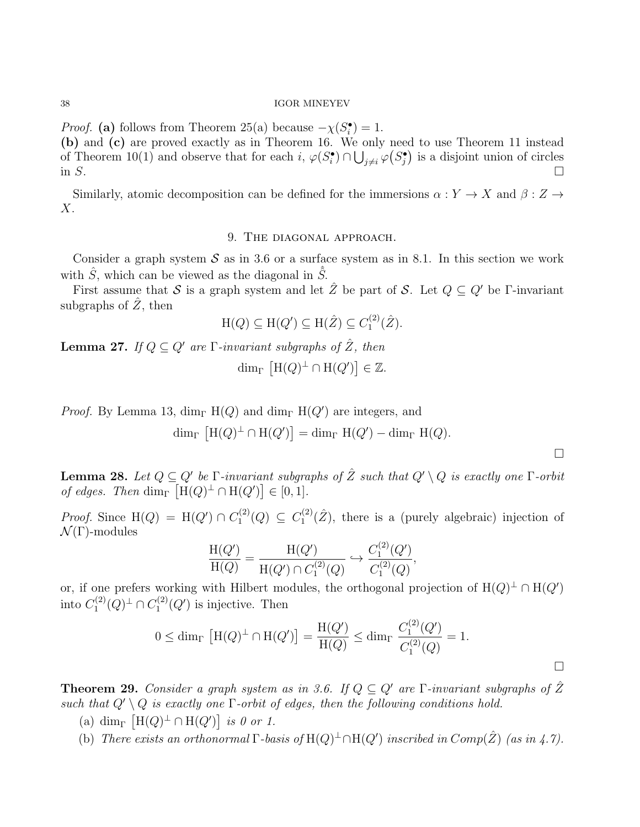*Proof.* (a) follows from Theorem 25(a) because  $-\chi(S_i^{\bullet}) = 1$ . (b) and (c) are proved exactly as in Theorem 16. We only need to use Theorem 11 instead of Theorem 10(1) and observe that for each  $i, \varphi(S_i^{\bullet}) \cap \bigcup_{j \neq i} \varphi(S_j^{\bullet})$  is a disjoint union of circles in  $S$ .

Similarly, atomic decomposition can be defined for the immersions  $\alpha: Y \to X$  and  $\beta: Z \to Y$ X.

# 9. The diagonal approach.

Consider a graph system  $S$  as in 3.6 or a surface system as in 8.1. In this section we work with  $\hat{S}$ , which can be viewed as the diagonal in  $\hat{S}$ .

First assume that S is a graph system and let  $\hat{Z}$  be part of S. Let  $Q \subseteq Q'$  be Γ-invariant subgraphs of  $\hat{Z}$ , then

$$
H(Q) \subseteq H(Q') \subseteq H(\hat{Z}) \subseteq C_1^{(2)}(\hat{Z}).
$$

**Lemma 27.** If  $Q \subseteq Q'$  are  $\Gamma$ -invariant subgraphs of  $\hat{Z}$ , then  $\dim_{\Gamma} \left[ H(Q)^{\perp} \cap H(Q') \right] \in \mathbb{Z}.$ 

*Proof.* By Lemma 13,  $\dim_{\Gamma} H(Q)$  and  $\dim_{\Gamma} H(Q')$  are integers, and  $\dim_{\Gamma} \left[ H(Q)^{\perp} \cap H(Q') \right] = \dim_{\Gamma} H(Q') - \dim_{\Gamma} H(Q).$ 

**Lemma 28.** Let  $Q \subseteq Q'$  be  $\Gamma$ -invariant subgraphs of  $\hat{Z}$  such that  $Q' \setminus Q$  is exactly one  $\Gamma$ -orbit of edges. Then dim<sub>Γ</sub>  $[H(Q)^{\perp} \cap H(Q')] \in [0,1].$ 

*Proof.* Since  $H(Q) = H(Q') \cap C_1^{(2)}$  $C_1^{(2)}(Q) \subseteq C_1^{(2)}$  $1^{(2)}(\hat{Z})$ , there is a (purely algebraic) injection of  $\mathcal{N}(\Gamma)$ -modules

$$
\frac{\mathrm{H}(Q')}{\mathrm{H}(Q)} = \frac{\mathrm{H}(Q')}{\mathrm{H}(Q') \cap C_1^{(2)}(Q)} \hookrightarrow \frac{C_1^{(2)}(Q')}{C_1^{(2)}(Q)},
$$

or, if one prefers working with Hilbert modules, the orthogonal projection of  $H(Q)^{\perp} \cap H(Q')$ into  $C_1^{(2)}$  $C_1^{(2)}(Q)^{\perp} \cap C_1^{(2)}$  $I_1^{(2)}(Q')$  is injective. Then

$$
0 \le \dim_{\Gamma} \left[ H(Q)^{\perp} \cap H(Q') \right] = \frac{H(Q')}{H(Q)} \le \dim_{\Gamma} \frac{C_1^{(2)}(Q')}{C_1^{(2)}(Q)} = 1.
$$

 $\Box$ 

**Theorem 29.** Consider a graph system as in 3.6. If  $Q \subseteq Q'$  are Γ-invariant subgraphs of  $\hat{Z}$ such that  $Q' \setminus Q$  is exactly one  $\Gamma$ -orbit of edges, then the following conditions hold.

- (a) dim<sub>Γ</sub>  $[H(Q)^{\perp} \cap H(Q')]$  is 0 or 1.
- (b) There exists an orthonormal  $\Gamma$ -basis of  $H(Q)^{\perp} \cap H(Q')$  inscribed in  $Comp(\hat{Z})$  (as in 4.7).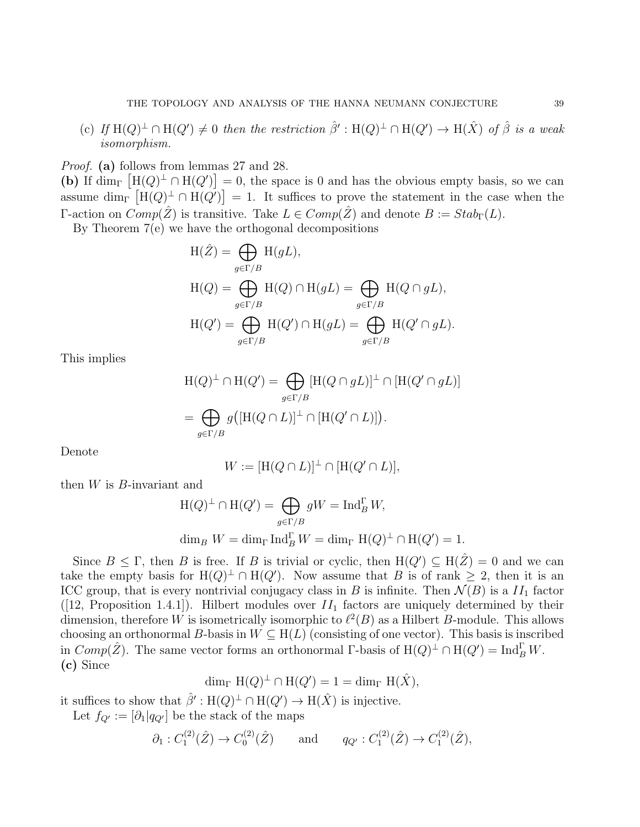(c) If  $H(Q)^{\perp} \cap H(Q') \neq 0$  then the restriction  $\hat{\beta}' : H(Q)^{\perp} \cap H(Q') \rightarrow H(\hat{X})$  of  $\hat{\beta}$  is a weak isomorphism.

Proof. (a) follows from lemmas 27 and 28.

(b) If  $\dim_{\Gamma} [\text{H}(Q)^{\perp} \cap \text{H}(Q')] = 0$ , the space is 0 and has the obvious empty basis, so we can assume dim<sub>Γ</sub>  $[H(Q)^{\perp} \cap H(Q')] = 1$ . It suffices to prove the statement in the case when the Γ-action on  $Comp(\hat{Z})$  is transitive. Take  $L \in Comp(\hat{Z})$  and denote  $B := Stab<sub>\Gamma</sub>(L)$ .

By Theorem 7(e) we have the orthogonal decompositions

$$
H(\hat{Z}) = \bigoplus_{g \in \Gamma/B} H(gL),
$$
  
\n
$$
H(Q) = \bigoplus_{g \in \Gamma/B} H(Q) \cap H(gL) = \bigoplus_{g \in \Gamma/B} H(Q \cap gL),
$$
  
\n
$$
H(Q') = \bigoplus_{g \in \Gamma/B} H(Q') \cap H(gL) = \bigoplus_{g \in \Gamma/B} H(Q' \cap gL).
$$

This implies

$$
H(Q)^{\perp} \cap H(Q') = \bigoplus_{g \in \Gamma/B} [H(Q \cap gL)]^{\perp} \cap [H(Q' \cap gL)]
$$
  
= 
$$
\bigoplus_{g \in \Gamma/B} g([H(Q \cap L)]^{\perp} \cap [H(Q' \cap L)]).
$$

Denote

$$
W := [H(Q \cap L)]^{\perp} \cap [H(Q' \cap L)],
$$

then  $W$  is  $B$ -invariant and

$$
H(Q)^{\perp} \cap H(Q') = \bigoplus_{g \in \Gamma/B} gW = \text{Ind}_{B}^{\Gamma} W,
$$
  

$$
\dim_{B} W = \dim_{\Gamma} \text{Ind}_{B}^{\Gamma} W = \dim_{\Gamma} H(Q)^{\perp} \cap H(Q') = 1.
$$

Since  $B \leq \Gamma$ , then B is free. If B is trivial or cyclic, then  $H(Q') \subseteq H(\hat{Z}) = 0$  and we can take the empty basis for  $H(Q)^{\perp} \cap H(Q')$ . Now assume that B is of rank  $\geq 2$ , then it is an ICC group, that is every nontrivial conjugacy class in B is infinite. Then  $\mathcal{N}(B)$  is a  $II_1$  factor ([12, Proposition 1.4.1]). Hilbert modules over  $II_1$  factors are uniquely determined by their dimension, therefore W is isometrically isomorphic to  $\ell^2(B)$  as a Hilbert B-module. This allows choosing an orthonormal B-basis in  $W \subseteq H(L)$  (consisting of one vector). This basis is inscribed in  $Comp(\hat{Z})$ . The same vector forms an orthonormal  $\Gamma$ -basis of  $H(Q)^{\perp} \cap H(Q') = \text{Ind}_{B}^{\Gamma} W$ . (c) Since

$$
\dim_{\Gamma} H(Q)^{\perp} \cap H(Q') = 1 = \dim_{\Gamma} H(\hat{X}),
$$

it suffices to show that  $\hat{\beta}' : H(Q)^{\perp} \cap H(Q') \to H(\hat{X})$  is injective.

Let  $f_{Q'} := [\partial_1 | q_{Q'}]$  be the stack of the maps

$$
\partial_1: C_1^{(2)}(\hat{Z}) \to C_0^{(2)}(\hat{Z})
$$
 and  $q_{Q'}: C_1^{(2)}(\hat{Z}) \to C_1^{(2)}(\hat{Z}),$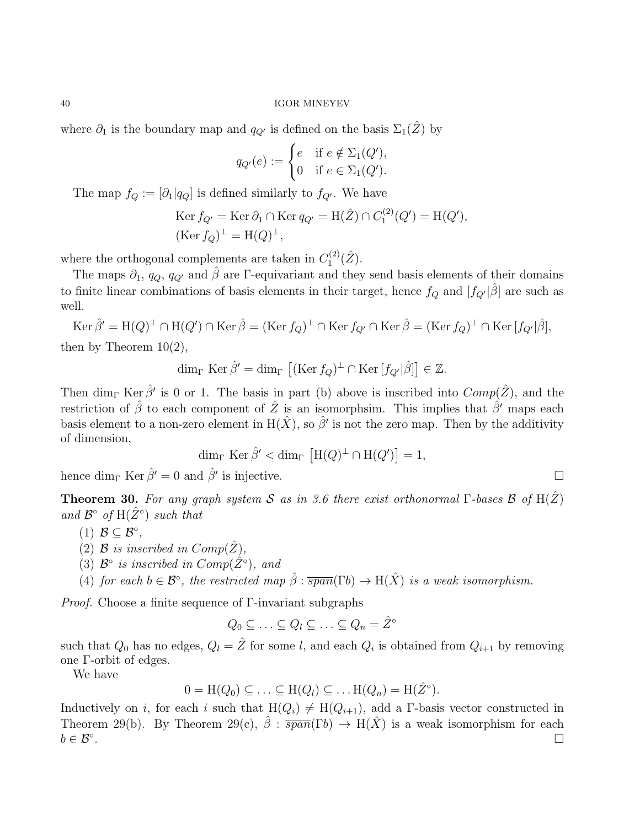where  $\partial_1$  is the boundary map and  $q_{Q'}$  is defined on the basis  $\Sigma_1(\hat{Z})$  by

$$
q_{Q'}(e) := \begin{cases} e & \text{if } e \notin \Sigma_1(Q'), \\ 0 & \text{if } e \in \Sigma_1(Q'). \end{cases}
$$

The map  $f_Q := [\partial_1 | q_Q]$  is defined similarly to  $f_{Q'}$ . We have

$$
\text{Ker } f_{Q'} = \text{Ker } \partial_1 \cap \text{Ker } q_{Q'} = \text{H}(\hat{Z}) \cap C_1^{(2)}(Q') = \text{H}(Q'),
$$
\n
$$
(\text{Ker } f_Q)^{\perp} = \text{H}(Q)^{\perp},
$$

where the orthogonal complements are taken in  $C_1^{(2)}$  $\stackrel{\text{\tiny{(2)}}}{_{1}}(\hat{Z}).$ 

The maps  $\partial_1$ ,  $q_Q$ ,  $q_{Q'}$  and  $\hat{\beta}$  are Γ-equivariant and they send basis elements of their domains to finite linear combinations of basis elements in their target, hence  $f_Q$  and  $[f_{Q'}|\hat{\beta}]$  are such as well.

 $\operatorname{Ker} \hat{\beta}' = \operatorname{H}(Q)^{\perp} \cap \operatorname{H}(Q') \cap \operatorname{Ker} \hat{\beta} = (\operatorname{Ker} f_Q)^{\perp} \cap \operatorname{Ker} f_{Q'} \cap \operatorname{Ker} \hat{\beta} = (\operatorname{Ker} f_Q)^{\perp} \cap \operatorname{Ker} [f_{Q'} | \hat{\beta}],$ then by Theorem  $10(2)$ ,

$$
\dim_{\Gamma} \operatorname{Ker} \hat{\beta}' = \dim_{\Gamma} \left[ (\operatorname{Ker} f_Q)^{\perp} \cap \operatorname{Ker} [f_{Q'} | \hat{\beta}] \right] \in \mathbb{Z}.
$$

Then  $\dim_{\Gamma} \text{Ker } \hat{\beta}'$  is 0 or 1. The basis in part (b) above is inscribed into  $Comp(\hat{Z})$ , and the restriction of  $\hat{\beta}$  to each component of  $\hat{Z}$  is an isomorphsim. This implies that  $\hat{\beta}'$  maps each basis element to a non-zero element in  $H(\hat{X})$ , so  $\hat{\beta}'$  is not the zero map. Then by the additivity of dimension,

$$
\dim_{\Gamma} \operatorname{Ker} \hat{\beta}' < \dim_{\Gamma} \left[ H(Q)^{\perp} \cap H(Q') \right] = 1,
$$

hence  $\dim_{\Gamma} \text{Ker } \hat{\beta}' = 0$  and  $\hat{\beta}'$  is injective.

**Theorem 30.** For any graph system S as in 3.6 there exist orthonormal  $\Gamma$ -bases  $\mathcal{B}$  of  $H(\hat{Z})$ and  $\mathcal{B}^{\circ}$  of  $H(\hat{Z}^{\circ})$  such that

- (1)  $\mathcal{B} \subseteq \mathcal{B}^{\circ}$ ,
- (2) B is inscribed in  $Comp(\hat{Z})$ ,
- (3)  $\mathcal{B}^{\circ}$  is inscribed in  $Comp(\hat{Z}^{\circ})$ , and
- (4) for each  $b \in \mathcal{B}^{\circ}$ , the restricted map  $\hat{\beta}$ :  $\overline{span}(\Gamma b) \to H(\hat{X})$  is a weak isomorphism.

Proof. Choose a finite sequence of Γ-invariant subgraphs

$$
Q_0 \subseteq \ldots \subseteq Q_l \subseteq \ldots \subseteq Q_n = \hat{Z}^{\circ}
$$

such that  $Q_0$  has no edges,  $Q_l = \hat{Z}$  for some l, and each  $Q_i$  is obtained from  $Q_{i+1}$  by removing one Γ-orbit of edges.

We have

$$
0 = \mathrm{H}(Q_0) \subseteq \ldots \subseteq \mathrm{H}(Q_l) \subseteq \ldots \mathrm{H}(Q_n) = \mathrm{H}(\hat{Z}^{\circ}).
$$

Inductively on i, for each i such that  $H(Q_i) \neq H(Q_{i+1})$ , add a Γ-basis vector constructed in Theorem 29(b). By Theorem 29(c),  $\hat{\beta}$ :  $\overline{span}(\Gamma b) \to H(\hat{X})$  is a weak isomorphism for each  $b \in \mathcal{B}^{\circ}$ . .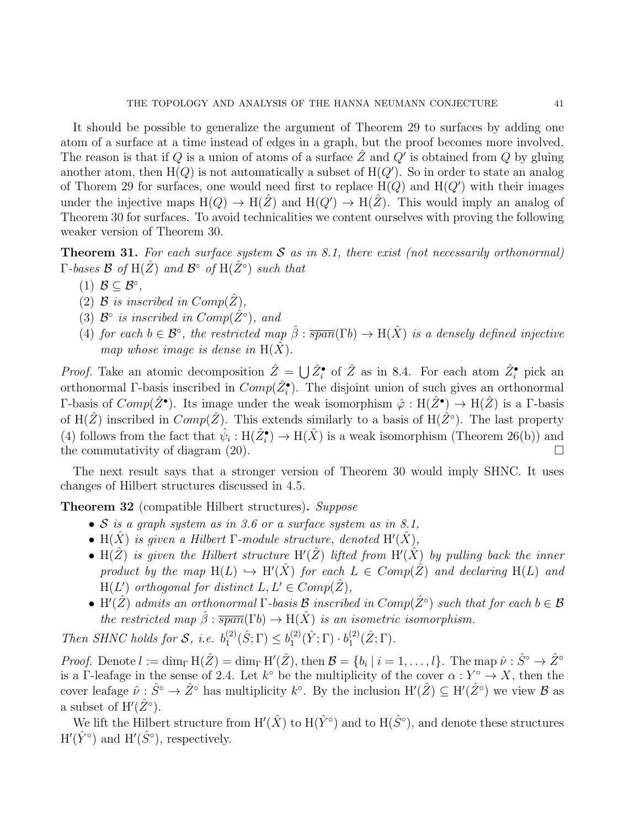It should be possible to generalize the argument of Theorem 29 to surfaces by adding one atom of a surface at a time instead of edges in a graph, but the proof becomes more involved. The reason is that if Q is a union of atoms of a surface  $\hat{Z}$  and  $Q'$  is obtained from Q by gluing another atom, then  $H(Q)$  is not automatically a subset of  $H(Q')$ . So in order to state an analog of Thorem 29 for surfaces, one would need first to replace  $H(Q)$  and  $H(Q')$  with their images under the injective maps  $H(Q) \to H(\hat{Z})$  and  $H(Q') \to H(\hat{Z})$ . This would imply an analog of Theorem 30 for surfaces. To avoid technicalities we content ourselves with proving the following weaker version of Theorem 30.

**Theorem 31.** For each surface system  $S$  as in 8.1, there exist (not necessarily orthonormal)  $\Gamma$ -bases  $\mathcal B$  of  ${\rm H}(\hat Z)$  and  $\mathcal B^\circ$  of  ${\rm H}(\hat Z^\circ)$  such that

- (1)  $\mathcal{B} \subseteq \mathcal{B}^{\circ}$ ,
- (2)  $\mathcal B$  is inscribed in  $Comp(Z)$ ,
- (3)  $\mathcal{B}^{\circ}$  is inscribed in  $Comp(\hat{Z}^{\circ})$ , and
- (4) for each  $b \in \mathcal{B}^{\circ}$ , the restricted map  $\hat{\beta}$ :  $\overline{span}(\Gamma b) \to H(\hat{X})$  is a densely defined injective map whose image is dense in  $H(X)$ .

*Proof.* Take an atomic decomposition  $\hat{Z} = \bigcup \hat{Z}^{\bullet}$  of  $\hat{Z}$  as in 8.4. For each atom  $\hat{Z}^{\bullet}$  pick an orthonormal Γ-basis inscribed in  $Comp(\hat{Z}_i^{\bullet})$ . The disjoint union of such gives an orthonormal Γ-basis of  $Comp(\hat{Z}^{\bullet})$ . Its image under the weak isomorphism  $\hat{\varphi}$  : H( $\hat{Z}^{\bullet}$ ) → H( $\hat{Z}$ ) is a Γ-basis of H( $\hat{Z}$ ) inscribed in  $Comp(\hat{Z})$ . This extends similarly to a basis of H( $\hat{Z}^{\circ}$ ). The last property (4) follows from the fact that  $\hat{\psi}_i : H(\hat{Z}^{\bullet}_i) \to H(\hat{X})$  is a weak isomorphism (Theorem 26(b)) and the commutativity of diagram  $(20)$ .

The next result says that a stronger version of Theorem 30 would imply SHNC. It uses changes of Hilbert structures discussed in 4.5.

Theorem 32 (compatible Hilbert structures). Suppose

- $S$  is a graph system as in 3.6 or a surface system as in 8.1,
- H( $\hat{X}$ ) is given a Hilbert  $\Gamma$ -module structure, denoted H'( $\hat{X}$ ),
- H( $\hat{Z}$ ) is given the Hilbert structure H'( $\hat{Z}$ ) lifted from H'( $\hat{X}$ ) by pulling back the inner product by the map  $H(L) \hookrightarrow H'(\hat{X})$  for each  $L \in Comp(\hat{Z})$  and declaring  $H(L)$  and  $H(L')$  orthogonal for distinct  $L, L' \in Comp(\hat{Z}),$
- H'( $\hat{Z}$ ) admits an orthonormal  $\Gamma$ -basis  $\cal B$  inscribed in  $Comp(\hat{Z}^{\circ})$  such that for each  $b \in \cal B$ the restricted map  $\hat{\beta}$ :  $\overline{span}(\Gamma b) \rightarrow H(\hat{X})$  is an isometric isomorphism.

Then SHNC holds for  $S$ , i.e.  $b_1^{(2)}$  $b_1^{(2)}(\hat{S};\Gamma) \leq b_1^{(2)}$  $\mathfrak{h}_{1}^{(2)}(\hat{Y};\Gamma)\cdot b_{1}^{(2)}$  $_{1}^{(2)}(\hat{Z};\Gamma).$ 

Proof. Denote  $l := \dim_{\Gamma} H(\hat{Z}) = \dim_{\Gamma} H'(\hat{Z})$ , then  $\mathcal{B} = \{b_i \mid i = 1, \ldots, l\}$ . The map  $\hat{\nu} : \hat{S}^{\circ} \to \hat{Z}^{\circ}$ is a Γ-leafage in the sense of 2.4. Let  $k^{\circ}$  be the multiplicity of the cover  $\alpha: Y^{\circ} \to X$ , then the cover leafage  $\hat{\nu}: \hat{S}^{\circ} \to \hat{Z}^{\circ}$  has multiplicity  $k^{\circ}$ . By the inclusion  $H'(\hat{Z}) \subseteq H'(\hat{Z}^{\circ})$  we view  $\mathcal{B}$  as a subset of  $H'(\hat{Z}^{\circ}).$ 

We lift the Hilbert structure from  $H'(\hat{X})$  to  $H(\hat{Y}^{\circ})$  and to  $H(\hat{S}^{\circ})$ , and denote these structures  $H'(\hat{Y}^{\circ})$  and  $H'(\hat{S}^{\circ})$ , respectively.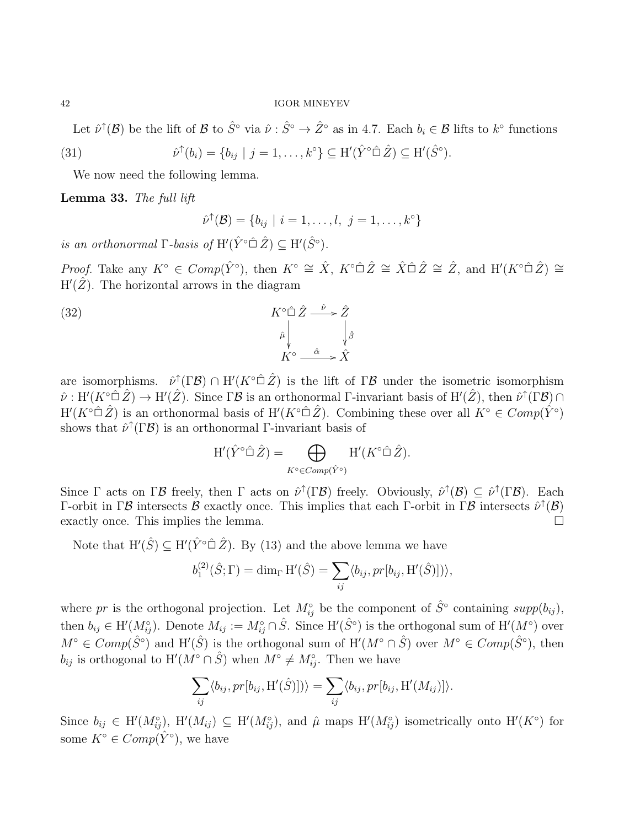Let  $\hat{\nu}^{\uparrow}(\mathcal{B})$  be the lift of  $\mathcal{B}$  to  $\hat{S}^{\circ}$  via  $\hat{\nu} : \hat{S}^{\circ} \to \hat{Z}^{\circ}$  as in 4.7. Each  $b_i \in \mathcal{B}$  lifts to  $k^{\circ}$  functions

(31) 
$$
\hat{\nu}^{\uparrow}(b_i) = \{b_{ij} \mid j = 1, \dots, k^{\circ}\} \subseteq H'(\hat{Y}^{\circ} \hat{\square} \hat{Z}) \subseteq H'(\hat{S}^{\circ}).
$$

We now need the following lemma.

Lemma 33. The full lift

$$
\hat{\nu}^{\uparrow}(\mathcal{B}) = \{b_{ij} \mid i = 1, \ldots, l, j = 1, \ldots, k^{\circ}\}
$$

is an orthonormal  $\Gamma$ -basis of  $H'(\hat{Y} \circ \hat{\Box} \hat{Z}) \subseteq H'(\hat{S} \circ)$ .

*Proof.* Take any  $K^{\circ} \in Comp(\hat{Y}^{\circ})$ , then  $K^{\circ} \cong \hat{X}$ ,  $K^{\circ} \hat{\Box} \hat{Z} \cong \hat{X} \hat{\Box} \hat{Z} \cong \hat{Z}$ , and  $H'(K^{\circ} \hat{\Box} \hat{Z}) \cong$  $H'(\hat{Z})$ . The horizontal arrows in the diagram

(32) 
$$
K^{\circ} \hat{\square} \hat{Z} \xrightarrow{\hat{\nu}} \hat{Z}
$$

$$
\hat{\mu} \downarrow \hat{\beta}
$$

$$
K^{\circ} \xrightarrow{\hat{\alpha}} \hat{X}
$$

are isomorphisms.  $\hat{\nu}^{\uparrow}(\Gamma \mathcal{B}) \cap H'(K^{\circ} \hat{\square} \hat{Z})$  is the lift of  $\Gamma \mathcal{B}$  under the isometric isomorphism  $\hat{\nu}: H'(K^{\circ}\hat{\Box}\hat{Z}) \to H'(\hat{Z})$ . Since  $\Gamma\mathcal{B}$  is an orthonormal  $\Gamma$ -invariant basis of  $H'(\hat{Z})$ , then  $\hat{\nu}^{\uparrow}(\Gamma\mathcal{B}) \cap$  $H'(K^{\circ}\hat{\Box}\hat{Z})$  is an orthonormal basis of  $H'(K^{\circ}\hat{\Box}\hat{Z})$ . Combining these over all  $K^{\circ} \in Comp(\hat{Y}^{\circ})$ shows that  $\hat{\nu}^{\uparrow}(\Gamma \mathcal{B})$  is an orthonormal  $\Gamma$ -invariant basis of

$$
\mathrm{H}'(\hat{Y}^{\circ}\hat{\Box}\,\hat{Z})=\bigoplus_{K^{\circ}\in Comp(\hat{Y}^{\circ})}\mathrm{H}'(K^{\circ}\hat{\Box}\,\hat{Z}).
$$

Since  $\Gamma$  acts on  $\Gamma \mathcal{B}$  freely, then  $\Gamma$  acts on  $\hat{\nu}^{\uparrow}(\Gamma \mathcal{B})$  freely. Obviously,  $\hat{\nu}^{\uparrow}(\mathcal{B}) \subseteq \hat{\nu}^{\uparrow}(\Gamma \mathcal{B})$ . Each Γ-orbit in Γβ intersects B exactly once. This implies that each Γ-orbit in Γβ intersects  $\hat{\nu}^{\uparrow}(\mathcal{B})$ exactly once. This implies the lemma.

Note that  $H'(\hat{S}) \subseteq H'(\hat{Y} \circ \hat{\square} \hat{Z})$ . By (13) and the above lemma we have

$$
b_1^{(2)}(\hat{S};\Gamma) = \dim_{\Gamma} \mathrm{H}'(\hat{S}) = \sum_{ij} \langle b_{ij}, pr[b_{ij}, \mathrm{H}'(\hat{S})] \rangle,
$$

where pr is the orthogonal projection. Let  $M_{ij}^{\circ}$  be the component of  $\hat{S}^{\circ}$  containing  $supp(b_{ij}),$ then  $b_{ij} \in H'(M_{ij}^{\circ})$ . Denote  $M_{ij} := M_{ij}^{\circ} \cap \hat{S}$ . Since  $H'(\hat{S}^{\circ})$  is the orthogonal sum of  $H'(M^{\circ})$  over  $M^{\circ} \in Comp(\hat{S}^{\circ})$  and  $H'(\hat{S})$  is the orthogonal sum of  $H'(M^{\circ} \cap \hat{S})$  over  $M^{\circ} \in Comp(\hat{S}^{\circ})$ , then  $b_{ij}$  is orthogonal to  $H'(M^{\circ} \cap \hat{S})$  when  $M^{\circ} \neq M^{\circ}_{ij}$ . Then we have

$$
\sum_{ij} \langle b_{ij}, pr[b_{ij}, \mathbf{H}'(\hat{S})] \rangle \rangle = \sum_{ij} \langle b_{ij}, pr[b_{ij}, \mathbf{H}'(M_{ij})] \rangle.
$$

Since  $b_{ij} \in H'(M_{ij}^{\circ}), H'(M_{ij}) \subseteq H'(M_{ij}^{\circ}),$  and  $\hat{\mu}$  maps  $H'(M_{ij}^{\circ})$  isometrically onto  $H'(K^{\circ})$  for some  $K^{\circ} \in Comp(\hat{Y}^{\circ}),$  we have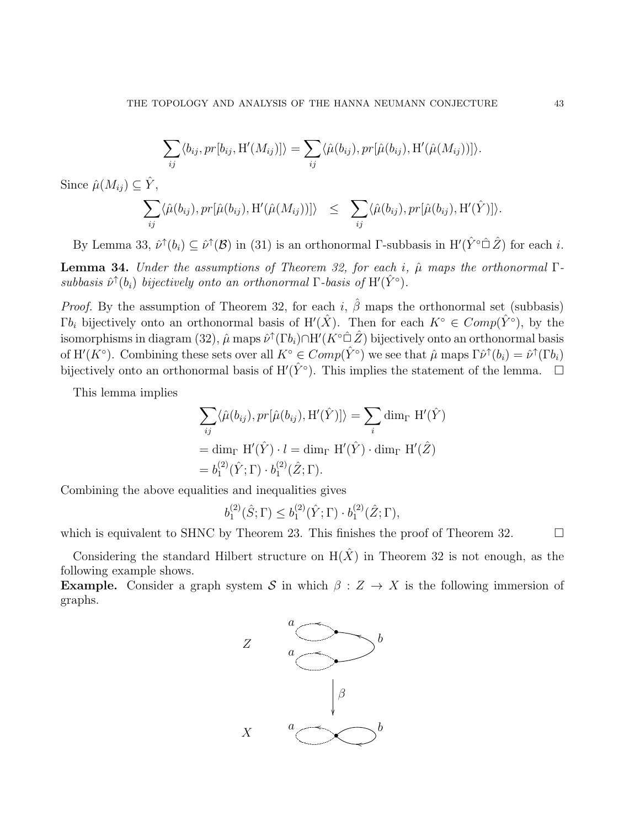$$
\sum_{ij} \langle b_{ij}, pr[b_{ij}, H'(M_{ij})] \rangle = \sum_{ij} \langle \hat{\mu}(b_{ij}), pr[\hat{\mu}(b_{ij}), H'(\hat{\mu}(M_{ij}))] \rangle.
$$

Since  $\hat{\mu}(M_{ij}) \subseteq \hat{Y}$ ,

$$
\sum_{ij} \langle \hat{\mu}(b_{ij}), pr[\hat{\mu}(b_{ij}), \mathbf{H}'(\hat{\mu}(M_{ij}))] \rangle \leq \sum_{ij} \langle \hat{\mu}(b_{ij}), pr[\hat{\mu}(b_{ij}), \mathbf{H}'(\hat{Y})] \rangle.
$$

By Lemma 33,  $\hat{\nu}^{\uparrow}(b_i) \subseteq \hat{\nu}^{\uparrow}(\mathcal{B})$  in (31) is an orthonormal  $\Gamma$ -subbasis in  $H'(\hat{Y}^{\circ} \cap \hat{Z})$  for each i.

Lemma 34. Under the assumptions of Theorem 32, for each i,  $\hat{\mu}$  maps the orthonormal Γsubbasis  $\hat{\nu}^{\uparrow}(b_i)$  bijectively onto an orthonormal  $\Gamma$ -basis of  $H'(\hat{Y}^{\circ})$ .

*Proof.* By the assumption of Theorem 32, for each i,  $\hat{\beta}$  maps the orthonormal set (subbasis)  $\Gamma b_i$  bijectively onto an orthonormal basis of  $H'(\hat{X})$ . Then for each  $K^{\circ} \in Comp(\hat{Y}^{\circ})$ , by the isomorphisms in diagram (32),  $\hat\mu$  maps  $\hat\nu^\uparrow(\Gamma b_i)\cap{\rm H}'(K^{\circ\hat{\Box}}\,\hat{Z})$  bijectively onto an orthonormal basis of H'(K°). Combining these sets over all  $K^{\circ} \in Comp(\hat{Y}^{\circ})$  we see that  $\hat{\mu}$  maps  $\Gamma \hat{\nu}^{\uparrow}(b_i) = \hat{\nu}^{\uparrow}(\Gamma b_i)$ bijectively onto an orthonormal basis of  $H'(\hat{Y}^{\circ})$ . This implies the statement of the lemma.  $\Box$ 

This lemma implies

$$
\sum_{ij} \langle \hat{\mu}(b_{ij}), pr[\hat{\mu}(b_{ij}), \mathbf{H}'(\hat{Y})] \rangle = \sum_{i} \dim_{\Gamma} \mathbf{H}'(\hat{Y})
$$

$$
= \dim_{\Gamma} \mathbf{H}'(\hat{Y}) \cdot l = \dim_{\Gamma} \mathbf{H}'(\hat{Y}) \cdot \dim_{\Gamma} \mathbf{H}'(\hat{Z})
$$

$$
= b_1^{(2)}(\hat{Y}; \Gamma) \cdot b_1^{(2)}(\hat{Z}; \Gamma).
$$

Combining the above equalities and inequalities gives

$$
b_1^{(2)}(\hat{S};\Gamma) \leq b_1^{(2)}(\hat{Y};\Gamma) \cdot b_1^{(2)}(\hat{Z};\Gamma),
$$

which is equivalent to SHNC by Theorem 23. This finishes the proof of Theorem 32.  $\Box$ 

Considering the standard Hilbert structure on  $H(\hat{X})$  in Theorem 32 is not enough, as the following example shows.

**Example.** Consider a graph system S in which  $\beta : Z \to X$  is the following immersion of graphs.

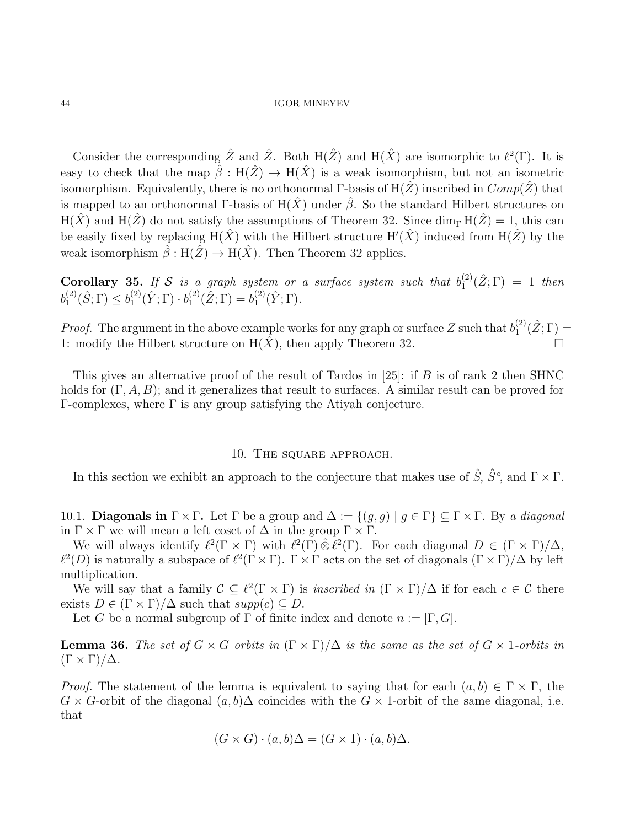Consider the corresponding  $\hat{Z}$  and  $\hat{Z}$ . Both  $H(\hat{Z})$  and  $H(\hat{X})$  are isomorphic to  $\ell^2(\Gamma)$ . It is easy to check that the map  $\hat{\beta}: H(\hat{Z}) \to H(\hat{X})$  is a weak isomorphism, but not an isometric isomorphism. Equivalently, there is no orthonormal Γ-basis of  $H(Z)$  inscribed in  $Comp(Z)$  that is mapped to an orthonormal Γ-basis of  $H(\hat{X})$  under  $\hat{\beta}$ . So the standard Hilbert structures on  $H(\hat{X})$  and  $H(\hat{Z})$  do not satisfy the assumptions of Theorem 32. Since  $\dim_{\Gamma} H(\hat{Z}) = 1$ , this can be easily fixed by replacing  $H(\hat{X})$  with the Hilbert structure  $H'(\hat{X})$  induced from  $H(\hat{Z})$  by the weak isomorphism  $\hat{\beta}: H(\hat{Z}) \to H(\hat{X})$ . Then Theorem 32 applies.

**Corollary 35.** If S is a graph system or a surface system such that  $b_1^{(2)}$  $_{1}^{(2)}(\hat{Z};\Gamma) = 1$  then  $b_1^{(2)}$  $b_1^{(2)}(\hat{S};\Gamma) \leq b_1^{(2)}$  $\mathfrak{j}_{1}^{(2)}(\hat{Y};\Gamma)\cdot b_{1}^{(2)}$  $b_1^{(2)}(\hat{Z};\Gamma) = b_1^{(2)}$  $_{1}^{(2)}(\hat{Y};\Gamma).$ 

*Proof.* The argument in the above example works for any graph or surface Z such that  $b_1^{(2)}$  $_{1}^{(2)}(\hat{Z};\Gamma) =$ 1: modify the Hilbert structure on  $H(\hat{X})$ , then apply Theorem 32.

This gives an alternative proof of the result of Tardos in  $[25]$ : if B is of rank 2 then SHNC holds for  $(\Gamma, A, B)$ ; and it generalizes that result to surfaces. A similar result can be proved for Γ-complexes, where Γ is any group satisfying the Atiyah conjecture.

## 10. The square approach.

In this section we exhibit an approach to the conjecture that makes use of  $\hat{S}$ ,  $\hat{S}^{\circ}$ , and  $\Gamma \times \Gamma$ .

10.1. **Diagonals in**  $\Gamma \times \Gamma$ . Let  $\Gamma$  be a group and  $\Delta := \{(g, g) \mid g \in \Gamma\} \subseteq \Gamma \times \Gamma$ . By a diagonal in  $\Gamma \times \Gamma$  we will mean a left coset of  $\Delta$  in the group  $\Gamma \times \Gamma$ .

We will always identify  $\ell^2(\Gamma \times \Gamma)$  with  $\ell^2(\Gamma) \hat{\otimes} \ell^2(\Gamma)$ . For each diagonal  $D \in (\Gamma \times \Gamma)/\Delta$ ,  $\ell^2(D)$  is naturally a subspace of  $\ell^2(\Gamma \times \Gamma)$ .  $\Gamma \times \Gamma$  acts on the set of diagonals  $(\Gamma \times \Gamma)/\Delta$  by left multiplication.

We will say that a family  $\mathcal{C} \subseteq \ell^2(\Gamma \times \Gamma)$  is *inscribed in*  $(\Gamma \times \Gamma)/\Delta$  if for each  $c \in \mathcal{C}$  there exists  $D \in (\Gamma \times \Gamma)/\Delta$  such that  $supp(c) \subseteq D$ .

Let G be a normal subgroup of  $\Gamma$  of finite index and denote  $n := [\Gamma, G]$ .

**Lemma 36.** The set of  $G \times G$  orbits in  $(\Gamma \times \Gamma)/\Delta$  is the same as the set of  $G \times 1$ -orbits in  $(\Gamma \times \Gamma)/\Delta$ .

*Proof.* The statement of the lemma is equivalent to saying that for each  $(a, b) \in \Gamma \times \Gamma$ , the  $G \times G$ -orbit of the diagonal  $(a, b)$  $\Delta$  coincides with the  $G \times 1$ -orbit of the same diagonal, i.e. that

$$
(G \times G) \cdot (a, b)\Delta = (G \times 1) \cdot (a, b)\Delta.
$$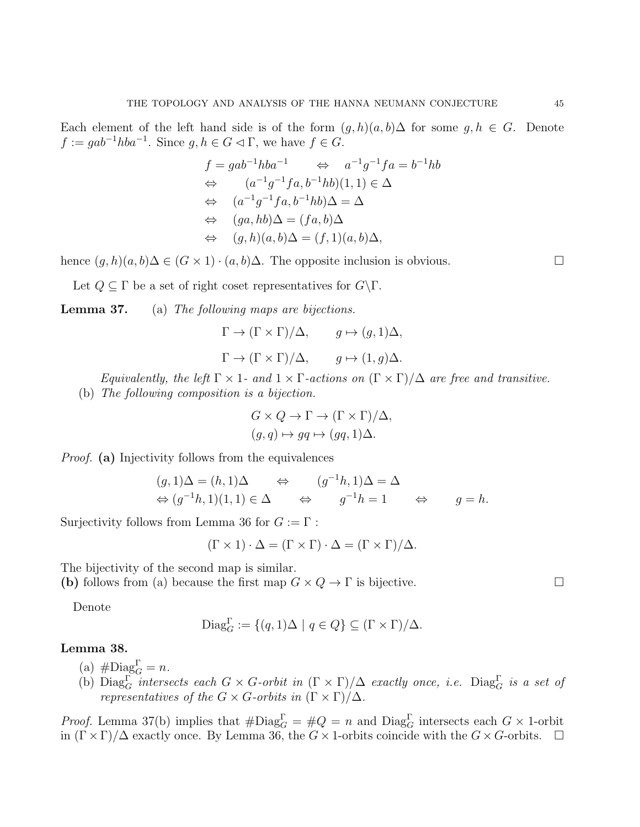Each element of the left hand side is of the form  $(g, h)(a, b) \Delta$  for some  $g, h \in G$ . Denote  $f := gab^{-1}hba^{-1}$ . Since  $g, h \in G \triangleleft \Gamma$ , we have  $f \in G$ .

$$
f = gab^{-1}hba^{-1} \Leftrightarrow a^{-1}g^{-1}fa = b^{-1}hb
$$
  
\n
$$
\Leftrightarrow (a^{-1}g^{-1}fa, b^{-1}hb)(1, 1) \in \Delta
$$
  
\n
$$
\Leftrightarrow (a^{-1}g^{-1}fa, b^{-1}hb)\Delta = \Delta
$$
  
\n
$$
\Leftrightarrow (ga, hb)\Delta = (fa, b)\Delta
$$
  
\n
$$
\Leftrightarrow (g, h)(a, b)\Delta = (f, 1)(a, b)\Delta,
$$

hence  $(g, h)(a, b)$  $\Delta \in (G \times 1) \cdot (a, b)$  $\Delta$ . The opposite inclusion is obvious.

Let  $Q \subseteq \Gamma$  be a set of right coset representatives for  $G \backslash \Gamma$ .

Lemma 37. (a) The following maps are bijections.

$$
\Gamma \to (\Gamma \times \Gamma)/\Delta, \qquad g \mapsto (g, 1)\Delta,
$$
  

$$
\Gamma \to (\Gamma \times \Gamma)/\Delta, \qquad g \mapsto (1, g)\Delta.
$$

Equivalently, the left 
$$
\Gamma \times 1
$$
- and  $1 \times \Gamma$ -actions on  $(\Gamma \times \Gamma)/\Delta$  are free and transitive.  
(b) The following composition is a bijection.

$$
G \times Q \to \Gamma \to (\Gamma \times \Gamma)/\Delta,
$$
  

$$
(g, q) \mapsto gg \mapsto (gq, 1)\Delta.
$$

Proof. (a) Injectivity follows from the equivalences

$$
(g, 1)\Delta = (h, 1)\Delta \qquad \Leftrightarrow \qquad (g^{-1}h, 1)\Delta = \Delta
$$
  

$$
\Leftrightarrow (g^{-1}h, 1)(1, 1) \in \Delta \qquad \Leftrightarrow \qquad g^{-1}h = 1 \qquad \Leftrightarrow \qquad g = h.
$$

Surjectivity follows from Lemma 36 for  $G := \Gamma$ :

$$
(\Gamma \times 1) \cdot \Delta = (\Gamma \times \Gamma) \cdot \Delta = (\Gamma \times \Gamma) / \Delta.
$$

The bijectivity of the second map is similar.

(b) follows from (a) because the first map  $G \times Q \to \Gamma$  is bijective.

Denote

$$
\text{Diag}_G^{\Gamma} := \{ (q, 1) \Delta \mid q \in Q \} \subseteq (\Gamma \times \Gamma) / \Delta.
$$

# Lemma 38.

(a)  $\#\text{Diag}_G^{\Gamma} = n$ .

(b)  $Diag_G^{\Gamma}$  intersects each  $G \times G$ -orbit in  $(\Gamma \times \Gamma)/\Delta$  exactly once, i.e.  $Diag_G^{\Gamma}$  is a set of representatives of the  $G \times G$ -orbits in  $(\Gamma \times \Gamma)/\Delta$ .

*Proof.* Lemma 37(b) implies that  $\#\text{Diag}_G^{\Gamma} = \#Q = n$  and  $\text{Diag}_G^{\Gamma}$  intersects each  $G \times 1$ -orbit in  $(\Gamma \times \Gamma)/\Delta$  exactly once. By Lemma 36, the  $G \times 1$ -orbits coincide with the  $G \times G$ -orbits.  $\Box$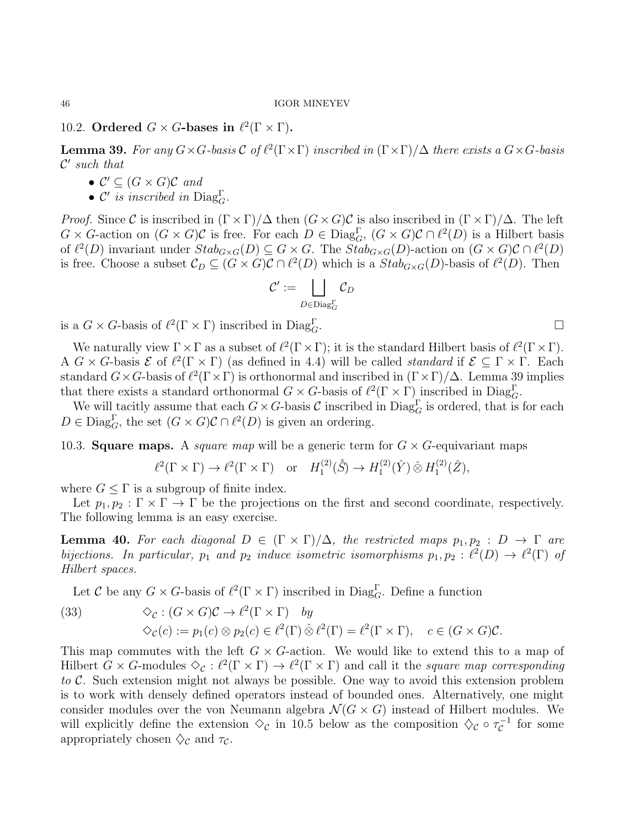# 10.2. Ordered  $G \times G$ -bases in  $\ell^2(\Gamma \times \Gamma)$ .

**Lemma 39.** For any  $G \times G$ -basis  $\mathcal{C}$  of  $\ell^2(\Gamma \times \Gamma)$  inscribed in  $(\Gamma \times \Gamma)/\Delta$  there exists a  $G \times G$ -basis  $\mathcal{C}'$  such that

- $C' \subseteq (G \times G)\mathcal{C}$  and
- $\mathcal{C}'$  is inscribed in  $\text{Diag}_G^{\Gamma}$ .

*Proof.* Since C is inscribed in  $(\Gamma \times \Gamma)/\Delta$  then  $(G \times G)\mathcal{C}$  is also inscribed in  $(\Gamma \times \Gamma)/\Delta$ . The left  $G \times G$ -action on  $(G \times G)\mathcal{C}$  is free. For each  $D \in \text{Diag}_G^{\Gamma}$ ,  $(G \times G)\mathcal{C} \cap \ell^2(D)$  is a Hilbert basis of  $\ell^2(D)$  invariant under  $Stab_{G\times G}(D) \subseteq G \times G$ . The  $Stab_{G\times G}(D)$ -action on  $(G \times G)\mathcal{C} \cap \ell^2(D)$ is free. Choose a subset  $\mathcal{C}_D \subseteq (G \times G)\mathcal{C} \cap \ell^2(D)$  which is a  $Stab_{G \times G}(D)$ -basis of  $\ell^2(D)$ . Then

$$
\mathcal{C}':=\bigsqcup_{D\in \operatorname{Diag}_G^\Gamma} \mathcal{C}_D
$$

is a  $G \times G$ -basis of  $\ell^2(\Gamma \times \Gamma)$  inscribed in Diag<sub>G</sub>

We naturally view  $\Gamma \times \Gamma$  as a subset of  $\ell^2(\Gamma \times \Gamma)$ ; it is the standard Hilbert basis of  $\ell^2(\Gamma \times \Gamma)$ . A  $G \times G$ -basis  $\mathcal E$  of  $\ell^2(\Gamma \times \Gamma)$  (as defined in 4.4) will be called *standard* if  $\mathcal E \subseteq \Gamma \times \Gamma$ . Each standard  $G \times G$ -basis of  $\ell^2(\Gamma \times \Gamma)$  is orthonormal and inscribed in  $(\Gamma \times \Gamma)/\Delta$ . Lemma 39 implies that there exists a standard orthonormal  $G \times G$ -basis of  $\ell^2(\Gamma \times \Gamma)$  inscribed in Diag<sub>G</sub>.

We will tacitly assume that each  $G \times G$ -basis C inscribed in  $Diag_G^{\Gamma}$  is ordered, that is for each  $D \in \text{Diag}_{G}^{\Gamma}$ , the set  $(G \times G)C \cap \ell^{2}(D)$  is given an ordering.

10.3. **Square maps.** A *square map* will be a generic term for  $G \times G$ -equivariant maps

$$
\ell^2(\Gamma \times \Gamma) \to \ell^2(\Gamma \times \Gamma) \quad \text{or} \quad H_1^{(2)}(\hat{S}) \to H_1^{(2)}(\hat{Y}) \hat{\otimes} H_1^{(2)}(\hat{Z}),
$$

where  $G \leq \Gamma$  is a subgroup of finite index.

Let  $p_1, p_2 : \Gamma \times \Gamma \to \Gamma$  be the projections on the first and second coordinate, respectively. The following lemma is an easy exercise.

**Lemma 40.** For each diagonal  $D \in (\Gamma \times \Gamma)/\Delta$ , the restricted maps  $p_1, p_2 : D \to \Gamma$  are bijections. In particular,  $p_1$  and  $p_2$  induce isometric isomorphisms  $p_1, p_2 : \ell^2(D) \to \ell^2(\Gamma)$  of Hilbert spaces.

Let C be any  $G \times G$ -basis of  $\ell^2(\Gamma \times \Gamma)$  inscribed in Diag<sub>G</sub>. Define a function

(33) 
$$
\diamondsuit_{\mathcal{C}} : (G \times G)\mathcal{C} \to \ell^2(\Gamma \times \Gamma) \quad by \diamondsuit_{\mathcal{C}}(c) := p_1(c) \otimes p_2(c) \in \ell^2(\Gamma) \hat{\otimes} \ell^2(\Gamma) = \ell^2(\Gamma \times \Gamma), \quad c \in (G \times G)\mathcal{C}.
$$

This map commutes with the left  $G \times G$ -action. We would like to extend this to a map of Hilbert  $G \times G$ -modules  $\Diamond_{\mathcal{C}} : \ell^2(\Gamma \times \Gamma) \to \ell^2(\Gamma \times \Gamma)$  and call it the square map corresponding to C. Such extension might not always be possible. One way to avoid this extension problem is to work with densely defined operators instead of bounded ones. Alternatively, one might consider modules over the von Neumann algebra  $\mathcal{N}(G \times G)$  instead of Hilbert modules. We will explicitly define the extension  $\Diamond_{\mathcal{C}}$  in 10.5 below as the composition  $\Diamond_{\mathcal{C}} \circ \tau_{\mathcal{C}}^{-1}$  $\bar{c}^{-1}$  for some appropriately chosen  $\Diamond_{\mathcal{C}}$  and  $\tau_{\mathcal{C}}$ .

 $\Gamma$ .  $G$ .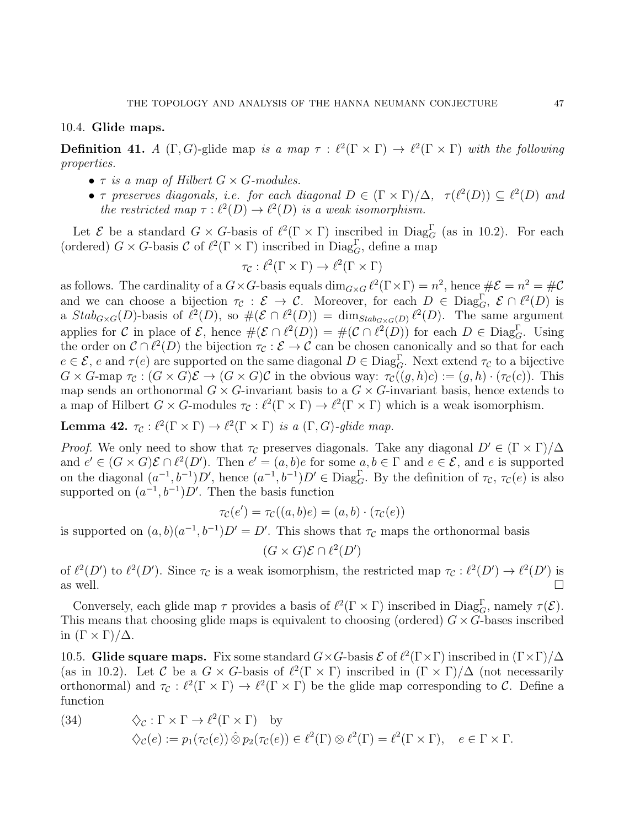# 10.4. Glide maps.

**Definition 41.** A  $(\Gamma, G)$ -glide map is a map  $\tau : \ell^2(\Gamma \times \Gamma) \to \ell^2(\Gamma \times \Gamma)$  with the following properties.

- $\tau$  is a map of Hilbert  $G \times G$ -modules.
- $\tau$  preserves diagonals, i.e. for each diagonal  $D \in (\Gamma \times \Gamma)/\Delta$ ,  $\tau(\ell^2(D)) \subseteq \ell^2(D)$  and the restricted map  $\tau : \ell^2(D) \to \ell^2(D)$  is a weak isomorphism.

Let  $\mathcal E$  be a standard  $G \times G$ -basis of  $\ell^2(\Gamma \times \Gamma)$  inscribed in Diag<sub>G</sub> (as in 10.2). For each (ordered)  $G \times G$ -basis  $\mathcal{C}$  of  $\ell^2(\Gamma \times \Gamma)$  inscribed in Diag<sub>G</sub>, define a map

$$
\tau_{\mathcal{C}} : \ell^2(\Gamma \times \Gamma) \to \ell^2(\Gamma \times \Gamma)
$$

as follows. The cardinality of a  $G \times G$ -basis equals  $\dim_{G \times G} \ell^2(\Gamma \times \Gamma) = n^2$ , hence  $\#\mathcal{E} = n^2 = \#\mathcal{C}$ and we can choose a bijection  $\tau_{\mathcal{C}} : \mathcal{E} \to \mathcal{C}$ . Moreover, for each  $D \in \text{Diag}_{G}^{\Gamma}$ ,  $\mathcal{E} \cap \ell^2(D)$  is a  $Stab_{G\times G}(D)$ -basis of  $\ell^2(D)$ , so  $\#(\mathcal{E}\cap \ell^2(D)) = \dim_{Stab_{G\times G}(D)} \ell^2(D)$ . The same argument applies for C in place of E, hence  $\#(\mathcal{E} \cap \ell^2(D)) = \#(\mathcal{C} \cap \ell^2(D))$  for each  $D \in \text{Diag}_G^{\Gamma}$ . Using the order on  $\mathcal{C} \cap \ell^2(D)$  the bijection  $\tau_{\mathcal{C}} : \mathcal{E} \to \mathcal{C}$  can be chosen canonically and so that for each  $e \in \mathcal{E}$ , e and  $\tau(e)$  are supported on the same diagonal  $D \in \text{Diag}_G^{\Gamma}$ . Next extend  $\tau_{\mathcal{C}}$  to a bijective  $G \times G$ -map  $\tau_c : (G \times G)\mathcal{E} \to (G \times G)\mathcal{C}$  in the obvious way:  $\tau_c((g,h)c) := (g,h) \cdot (\tau_c(c))$ . This map sends an orthonormal  $G \times G$ -invariant basis to a  $G \times G$ -invariant basis, hence extends to a map of Hilbert  $G \times G$ -modules  $\tau_{\mathcal{C}} : \ell^2(\Gamma \times \Gamma) \to \ell^2(\Gamma \times \Gamma)$  which is a weak isomorphism.

**Lemma 42.**  $\tau_{\mathcal{C}} : \ell^2(\Gamma \times \Gamma) \to \ell^2(\Gamma \times \Gamma)$  is a  $(\Gamma, G)$ -glide map.

*Proof.* We only need to show that  $\tau_c$  preserves diagonals. Take any diagonal  $D' \in (\Gamma \times \Gamma)/\Delta$ and  $e' \in (G \times G)\mathcal{E} \cap \ell^2(D')$ . Then  $e' = (a, b)e$  for some  $a, b \in \Gamma$  and  $e \in \mathcal{E}$ , and e is supported on the diagonal  $(a^{-1}, b^{-1})D'$ , hence  $(a^{-1}, b^{-1})D' \in \text{Diag}_G^{\Gamma}$ . By the definition of  $\tau_{\mathcal{C}}$ ,  $\tau_{\mathcal{C}}(e)$  is also supported on  $(a^{-1}, b^{-1})D'$ . Then the basis function

$$
\tau_{\mathcal{C}}(e') = \tau_{\mathcal{C}}((a,b)e) = (a,b) \cdot (\tau_{\mathcal{C}}(e))
$$

is supported on  $(a, b)(a^{-1}, b^{-1})D' = D'$ . This shows that  $\tau_{\mathcal{C}}$  maps the orthonormal basis

$$
(G \times G)\mathcal{E} \cap \ell^2(D')
$$

of  $\ell^2(D')$  to  $\ell^2(D')$ . Since  $\tau_c$  is a weak isomorphism, the restricted map  $\tau_c : \ell^2(D') \to \ell^2(D')$  is as well.

Conversely, each glide map  $\tau$  provides a basis of  $\ell^2(\Gamma \times \Gamma)$  inscribed in Diag<sub>G</sub>, namely  $\tau(\mathcal{E})$ . This means that choosing glide maps is equivalent to choosing (ordered)  $G \times G$ -bases inscribed in  $(\Gamma \times \Gamma)/\Delta$ .

10.5. Glide square maps. Fix some standard  $G \times G$ -basis  $\mathcal E$  of  $\ell^2(\Gamma \times \Gamma)$  inscribed in  $(\Gamma \times \Gamma)/\Delta$ (as in 10.2). Let C be a  $G \times G$ -basis of  $\ell^2(\Gamma \times \Gamma)$  inscribed in  $(\Gamma \times \Gamma)/\Delta$  (not necessarily orthonormal) and  $\tau_c : l^2(\Gamma \times \Gamma) \to l^2(\Gamma \times \Gamma)$  be the glide map corresponding to C. Define a function

(34) 
$$
\diamondsuit_{\mathcal{C}} : \Gamma \times \Gamma \to \ell^2(\Gamma \times \Gamma) \text{ by} \diamondsuit_{\mathcal{C}}(e) := p_1(\tau_{\mathcal{C}}(e)) \hat{\otimes} p_2(\tau_{\mathcal{C}}(e)) \in \ell^2(\Gamma) \otimes \ell^2(\Gamma) = \ell^2(\Gamma \times \Gamma), \quad e \in \Gamma \times \Gamma.
$$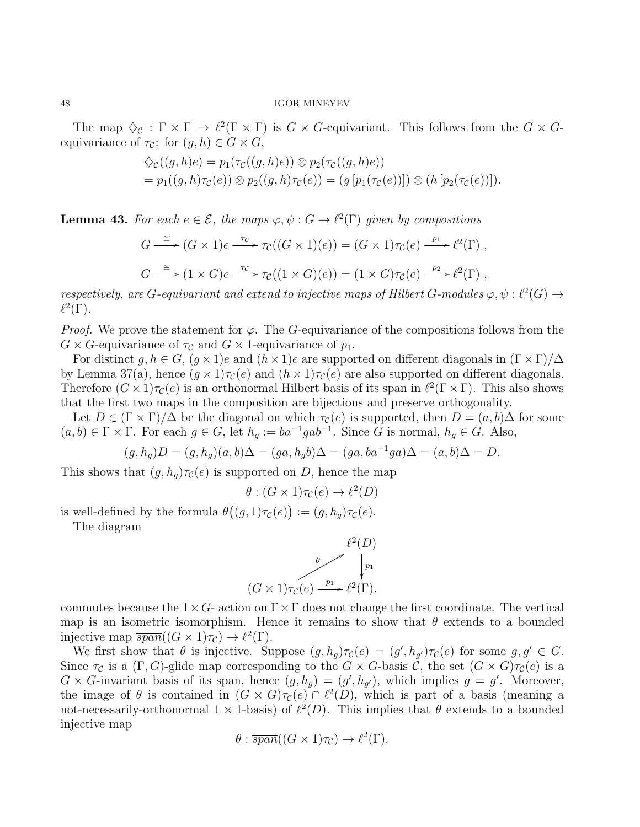The map  $\Diamond_{\mathcal{C}} : \Gamma \times \Gamma \to \ell^2(\Gamma \times \Gamma)$  is  $G \times G$ -equivariant. This follows from the  $G \times G$ equivariance of  $\tau_{\mathcal{C}}$ : for  $(g, h) \in G \times G$ ,

$$
\begin{aligned} \diamondsuit_{\mathcal{C}}((g,h)e) &= p_1(\tau_{\mathcal{C}}((g,h)e)) \otimes p_2(\tau_{\mathcal{C}}((g,h)e)) \\ &= p_1((g,h)\tau_{\mathcal{C}}(e)) \otimes p_2((g,h)\tau_{\mathcal{C}}(e)) = (g[p_1(\tau_{\mathcal{C}}(e))]) \otimes (h[p_2(\tau_{\mathcal{C}}(e))]). \end{aligned}
$$

**Lemma 43.** For each  $e \in \mathcal{E}$ , the maps  $\varphi, \psi : G \to \ell^2(\Gamma)$  given by compositions

$$
G \xrightarrow{\cong} (G \times 1)e \xrightarrow{\tau_C} \tau_C((G \times 1)(e)) = (G \times 1)\tau_C(e) \xrightarrow{p_1} \ell^2(\Gamma) ,
$$
  

$$
G \xrightarrow{\cong} (1 \times G)e \xrightarrow{\tau_C} \tau_C((1 \times G)(e)) = (1 \times G)\tau_C(e) \xrightarrow{p_2} \ell^2(\Gamma) ,
$$

respectively, are G-equivariant and extend to injective maps of Hilbert G-modules  $\varphi, \psi : \ell^2(G) \to$  $\ell^2(\Gamma)$ .

*Proof.* We prove the statement for  $\varphi$ . The G-equivariance of the compositions follows from the  $G \times G$ -equivariance of  $\tau_{\mathcal{C}}$  and  $G \times 1$ -equivariance of  $p_1$ .

For distinct g,  $h \in G$ ,  $(g \times 1)e$  and  $(h \times 1)e$  are supported on different diagonals in  $(\Gamma \times \Gamma)/\Delta$ by Lemma 37(a), hence  $(g \times 1)\tau_c(e)$  and  $(h \times 1)\tau_c(e)$  are also supported on different diagonals. Therefore  $(G \times 1)\tau_c(e)$  is an orthonormal Hilbert basis of its span in  $\ell^2(\Gamma \times \Gamma)$ . This also shows that the first two maps in the composition are bijections and preserve orthogonality.

Let  $D \in (\Gamma \times \Gamma)/\Delta$  be the diagonal on which  $\tau_c(e)$  is supported, then  $D = (a, b)\Delta$  for some  $(a, b) \in \Gamma \times \Gamma$ . For each  $g \in G$ , let  $h_g := ba^{-1}gab^{-1}$ . Since G is normal,  $h_g \in G$ . Also,

$$
(g, h_g)D = (g, h_g)(a, b)\Delta = (ga, h_g b)\Delta = (ga, ba^{-1}ga)\Delta = (a, b)\Delta = D.
$$

This shows that  $(g, h_q) \tau_c(e)$  is supported on D, hence the map

$$
\theta : (G \times 1)\tau_{\mathcal{C}}(e) \to \ell^2(D)
$$

is well-defined by the formula  $\theta((g,1)\tau_{\mathcal{C}}(e)) := (g,h_g)\tau_{\mathcal{C}}(e)$ .

The diagram



commutes because the  $1\times G$ - action on  $\Gamma\times\Gamma$  does not change the first coordinate. The vertical map is an isometric isomorphism. Hence it remains to show that  $\theta$  extends to a bounded injective map  $\overline{span}((G \times 1)\tau_{\mathcal{C}}) \to \ell^2(\Gamma).$ 

We first show that  $\theta$  is injective. Suppose  $(g, h_g) \tau_c(e) = (g', h_{g'}) \tau_c(e)$  for some  $g, g' \in G$ . Since  $\tau_C$  is a  $(\Gamma, G)$ -glide map corresponding to the  $G \times G$ -basis  $\check{C}$ , the set  $(G \times G)\tau_C(e)$  is a  $G \times G$ -invariant basis of its span, hence  $(g, h_g) = (g', h_{g'})$ , which implies  $g = g'$ . Moreover, the image of  $\theta$  is contained in  $(G \times G)\tau_c(e) \cap \ell^2(D)$ , which is part of a basis (meaning a not-necessarily-orthonormal  $1 \times 1$ -basis) of  $\ell^2(D)$ . This implies that  $\theta$  extends to a bounded injective map

$$
\theta : \overline{span}((G \times 1)\tau_C) \to \ell^2(\Gamma).
$$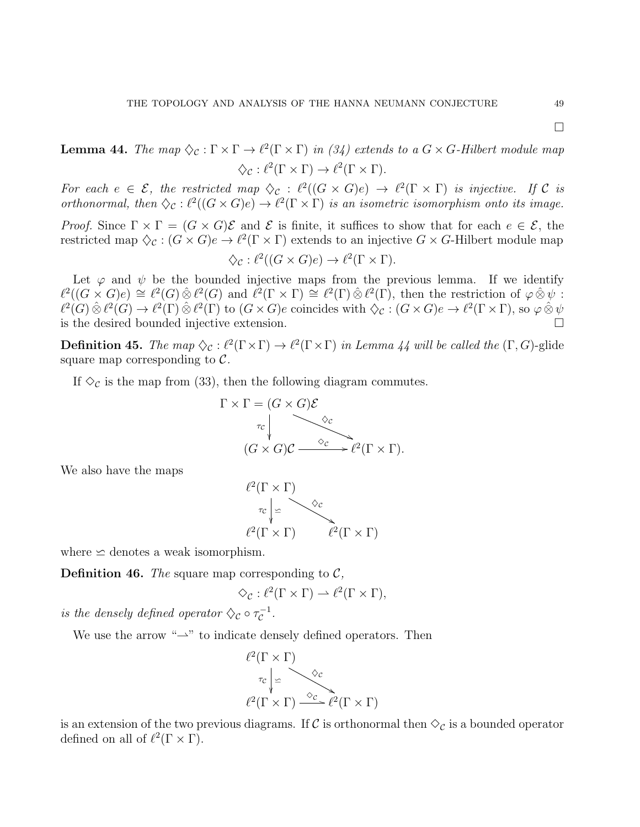$\Box$ 

**Lemma 44.** The map  $\Diamond$  c :  $\Gamma \times \Gamma \to \ell^2(\Gamma \times \Gamma)$  in (34) extends to a  $G \times G$ -Hilbert module map  $\diamondsuit_{\mathcal{C}} : \ell^2(\Gamma \times \Gamma) \to \ell^2(\Gamma \times \Gamma).$ 

For each  $e \in \mathcal{E}$ , the restricted map  $\Diamond_{\mathcal{C}} : \ell^2((G \times G)e) \to \ell^2(\Gamma \times \Gamma)$  is injective. If C is orthonormal, then  $\Diamond_{\mathcal{C}} : \ell^2((G \times G)e) \to \ell^2(\Gamma \times \Gamma)$  is an isometric isomorphism onto its image.

*Proof.* Since  $\Gamma \times \Gamma = (G \times G)\mathcal{E}$  and  $\mathcal{E}$  is finite, it suffices to show that for each  $e \in \mathcal{E}$ , the restricted map  $\Diamond_{\mathcal{C}} : (G \times G)e \to \ell^2(\Gamma \times \Gamma)$  extends to an injective  $G \times G$ -Hilbert module map

$$
\diamondsuit_{\mathcal{C}} : \ell^2((G \times G)e) \to \ell^2(\Gamma \times \Gamma).
$$

Let  $\varphi$  and  $\psi$  be the bounded injective maps from the previous lemma. If we identify  $\ell^2((G \times G)e) \cong \ell^2(G) \hat{\otimes} \ell^2(G)$  and  $\ell^2(\Gamma \times \Gamma) \cong \ell^2(\Gamma) \hat{\otimes} \ell^2(\Gamma)$ , then the restriction of  $\varphi \hat{\otimes} \psi$ :  $\ell^2(G) \hat{\otimes} \ell^2(G) \to \ell^2(\Gamma) \hat{\otimes} \ell^2(\Gamma)$  to  $(G \times G)e$  coincides with  $\diamondsuit_{\mathcal{C}} : (G \times G)e \to \ell^2(\Gamma \times \Gamma)$ , so  $\varphi \hat{\otimes} \psi$ is the desired bounded injective extension.

**Definition 45.** The map  $\Diamond_{\mathcal{C}} : \ell^2(\Gamma \times \Gamma) \to \ell^2(\Gamma \times \Gamma)$  in Lemma 44 will be called the  $(\Gamma, G)$ -glide square map corresponding to  $\mathcal{C}$ .

If  $\Diamond_{\mathcal{C}}$  is the map from (33), then the following diagram commutes.

$$
\Gamma \times \Gamma = (G \times G)\mathcal{E}
$$
  
\n
$$
\tau_c \downarrow \qquad \qquad \diamond_c
$$
  
\n
$$
(G \times G)\mathcal{C} \xrightarrow{\diamond_c} \ell^2(\Gamma \times \Gamma).
$$

We also have the maps



where  $\simeq$  denotes a weak isomorphism.

**Definition 46.** The square map corresponding to  $\mathcal{C}$ ,

$$
\Diamond_{\mathcal{C}} : \ell^2(\Gamma \times \Gamma) \rightharpoonup \ell^2(\Gamma \times \Gamma),
$$

is the densely defined operator  $\Diamond$  or  $\tau_{\mathcal{C}}^{-1}$  $c^{-1}$ .

We use the arrow " $\rightarrow$ " to indicate densely defined operators. Then

$$
\ell^2(\Gamma \times \Gamma)
$$
  
\n
$$
\tau_c \downarrow \simeq
$$
  
\n
$$
\ell^2(\Gamma \times \Gamma) \xrightarrow{\diamond_C} \ell^2(\Gamma \times \Gamma)
$$

is an extension of the two previous diagrams. If C is orthonormal then  $\Diamond_{\mathcal{C}}$  is a bounded operator defined on all of  $\ell^2(\Gamma \times \Gamma)$ .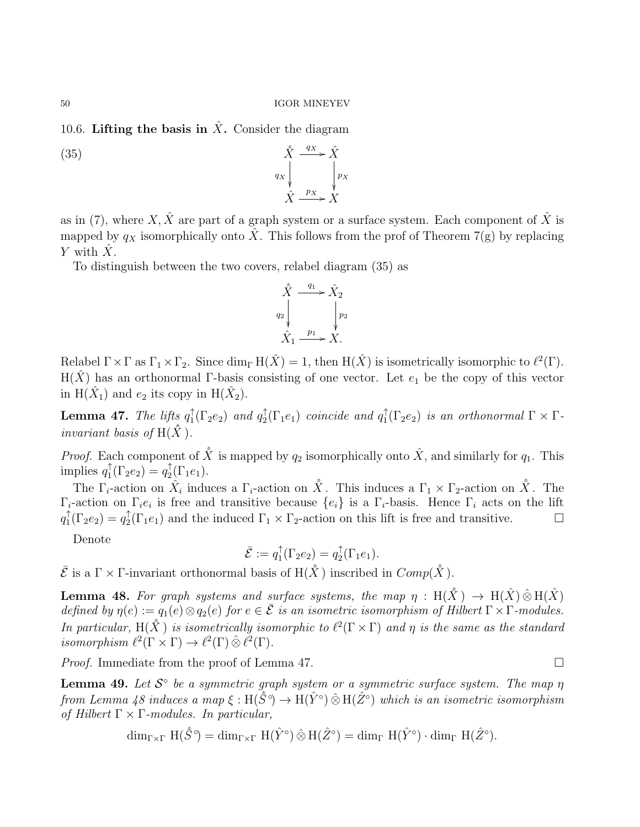10.6. Lifting the basis in  $\hat{X}$ . Consider the diagram

(35)  $\hat{X}$  $q_X$ ľ.  $\xrightarrow{q_X} \hat{X}$ p<sup>X</sup>  $\prime$  $\hat{X} \xrightarrow{p_X} \hat{X}$ 

as in (7), where X,  $\hat{X}$  are part of a graph system or a surface system. Each component of  $\hat{X}$  is mapped by  $q_X$  isomorphically onto  $\hat{X}$ . This follows from the prof of Theorem 7(g) by replacing Y with  $\hat{X}$ .

To distinguish between the two covers, relabel diagram (35) as

$$
\hat{X} \xrightarrow{q_1} \hat{X}_2
$$
\n
$$
\downarrow^{q_2} \qquad \qquad \downarrow^{p_2}
$$
\n
$$
\hat{X}_1 \xrightarrow{p_1} X.
$$

Relabel  $\Gamma \times \Gamma$  as  $\Gamma_1 \times \Gamma_2$ . Since  $\dim_{\Gamma} H(\hat{X}) = 1$ , then  $H(\hat{X})$  is isometrically isomorphic to  $\ell^2(\Gamma)$ . H( $\hat{X}$ ) has an orthonormal Γ-basis consisting of one vector. Let  $e_1$  be the copy of this vector in  $H(\hat{X}_1)$  and  $e_2$  its copy in  $H(\hat{X}_2)$ .

**Lemma 47.** The lifts  $q_1^{\uparrow}$  $_1^{\uparrow}(\Gamma_2e_2)$  and  $q_2^{\uparrow}$  $a_2^{\uparrow}(\Gamma_1e_1)$  coincide and  $q_1^{\uparrow}$  $T_1(\Gamma_2e_2)$  is an orthonormal  $\Gamma \times \Gamma$ invariant basis of  $H(\hat{X})$ .

*Proof.* Each component of  $\hat{X}$  is mapped by  $q_2$  isomorphically onto  $\hat{X}$ , and similarly for  $q_1$ . This implies  $q_1^{\uparrow}$  $\int_1^{\uparrow} (\Gamma_2 e_2) = q_2^{\uparrow}$  $T_2(\Gamma_1e_1).$ 

The  $\Gamma_i$ -action on  $\hat{X}_i$  induces a  $\Gamma_i$ -action on  $\hat{X}$ . This induces a  $\Gamma_1 \times \Gamma_2$ -action on  $\hat{X}$ . The  $\Gamma_i$ -action on  $\Gamma_i e_i$  is free and transitive because  $\{e_i\}$  is a  $\Gamma_i$ -basis. Hence  $\Gamma_i$  acts on the lift  $q_1^{\uparrow}$  $\int_1^{\uparrow} (\Gamma_2 e_2) = q_2^{\uparrow}$  ${}_{2}^{+}(\Gamma_{1}e_{1})$  and the induced  $\Gamma_{1} \times \Gamma_{2}$ -action on this lift is free and transitive.  $\Box$ 

Denote

$$
\bar{\mathcal{E}} := q_1^{\uparrow}(\Gamma_2 e_2) = q_2^{\uparrow}(\Gamma_1 e_1).
$$

 $\bar{\mathcal{E}}$  is a  $\Gamma \times \Gamma$ -invariant orthonormal basis of  $H(\hat{X})$  inscribed in  $Comp(\hat{X})$ .

**Lemma 48.** For graph systems and surface systems, the map  $\eta : H(\hat{X}) \to H(\hat{X}) \hat{\otimes} H(\hat{X})$ defined by  $\eta(e) := q_1(e) \otimes q_2(e)$  for  $e \in \overline{\mathcal{E}}$  is an isometric isomorphism of Hilbert  $\Gamma \times \Gamma$ -modules. In particular,  $H(\hat{X})$  is isometrically isomorphic to  $\ell^2(\Gamma \times \Gamma)$  and  $\eta$  is the same as the standard isomorphism  $\ell^2(\Gamma \times \Gamma) \to \ell^2(\Gamma) \hat{\otimes} \ell^2(\Gamma)$ .

*Proof.* Immediate from the proof of Lemma 47.

**Lemma 49.** Let  $\mathcal{S}^{\circ}$  be a symmetric graph system or a symmetric surface system. The map  $\eta$ from Lemma 48 induces a map  $\xi : H(\hat{S}^{\circ}) \to H(\hat{Y}^{\circ}) \hat{\otimes} H(\hat{Z}^{\circ})$  which is an isometric isomorphism of Hilbert  $\Gamma \times \Gamma$ -modules. In particular,

$$
\dim_{\Gamma\times\Gamma}H(\hat{S}^{\circ})=\dim_{\Gamma\times\Gamma}H(\hat{Y}^{\circ})\,\hat{\otimes}\,H(\hat{Z}^{\circ})=\dim_{\Gamma}H(\hat{Y}^{\circ})\cdot\dim_{\Gamma}H(\hat{Z}^{\circ}).
$$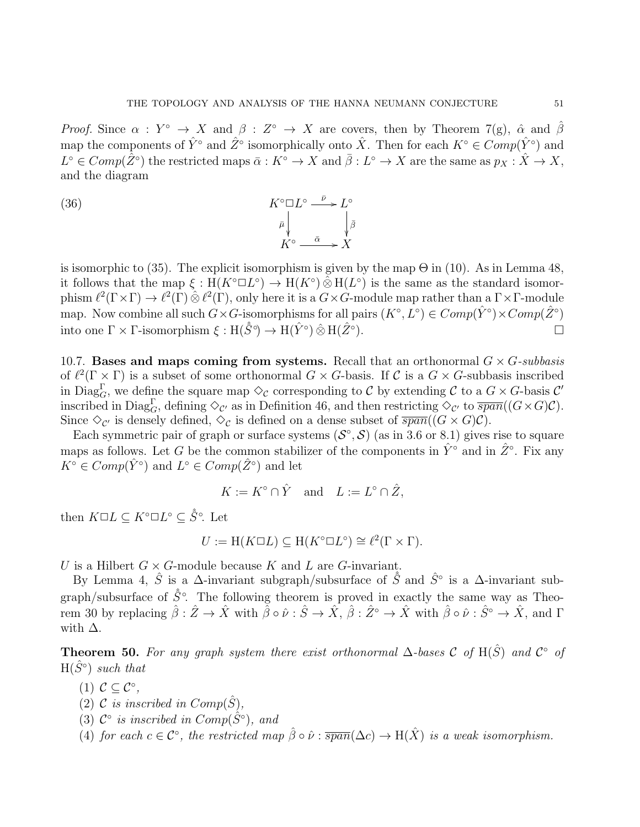Proof. Since  $\alpha: Y^{\circ} \to X$  and  $\beta: Z^{\circ} \to X$  are covers, then by Theorem 7(g),  $\hat{\alpha}$  and  $\hat{\beta}$ map the components of  $\hat{Y}^{\circ}$  and  $\hat{Z}^{\circ}$  isomorphically onto  $\hat{X}$ . Then for each  $K^{\circ} \in Comp(\hat{Y}^{\circ})$  and  $L^{\circ}\in Comp(\hat{Z}^{\circ})$  the restricted maps  $\bar{\alpha}: K^{\circ}\to X$  and  $\bar{\beta}: L^{\circ}\to X$  are the same as  $p_X:\hat{X}\to X,$ and the diagram

(36) 
$$
K^{\circ} \square L^{\circ} \xrightarrow{\bar{\nu}} L^{\circ}
$$

$$
\bar{\mu} \Big|_{\vec{K}^{\circ} \xrightarrow{\bar{\alpha}} X} \Big\downarrow^{\bar{\beta}}
$$

is isomorphic to (35). The explicit isomorphism is given by the map  $\Theta$  in (10). As in Lemma 48, it follows that the map  $\xi : H(K^{\circ}\Box L^{\circ}) \to H(K^{\circ}) \hat{\otimes} H(L^{\circ})$  is the same as the standard isomorphism  $\ell^2(\Gamma \times \Gamma) \to \ell^2(\Gamma) \hat{\otimes} \ell^2(\Gamma)$ , only here it is a  $G \times G$ -module map rather than a  $\Gamma \times \Gamma$ -module map. Now combine all such  $G \times G$ -isomorphisms for all pairs  $(K^{\circ}, L^{\circ}) \in Comp(\hat{Y}^{\circ}) \times Comp(\hat{Z}^{\circ})$ into one  $\Gamma \times \Gamma$ -isomorphism  $\xi : H(\hat{S}^{\circ}) \to H(\hat{Y}^{\circ}) \hat{\otimes} H(\hat{Z}^{\circ})$  $\Box$ 

10.7. Bases and maps coming from systems. Recall that an orthonormal  $G \times G$ -subbasis of  $\ell^2(\Gamma \times \Gamma)$  is a subset of some orthonormal  $G \times G$ -basis. If C is a  $G \times G$ -subbasis inscribed in Diag<sub>G</sub>, we define the square map  $\diamond_C$  corresponding to C by extending C to a  $G \times G$ -basis C' inscribed in  $Diag_G^{\Gamma}$ , defining  $\Diamond_{\mathcal{C}'}$  as in Definition 46, and then restricting  $\Diamond_{\mathcal{C}'}$  to  $\overline{span}((G \times G)\mathcal{C})$ . Since  $\Diamond_{\mathcal{C}'}$  is densely defined,  $\Diamond_{\mathcal{C}}$  is defined on a dense subset of  $\overline{span}((G \times G)\mathcal{C})$ .

Each symmetric pair of graph or surface systems  $(S^{\circ}, S)$  (as in 3.6 or 8.1) gives rise to square maps as follows. Let G be the common stabilizer of the components in  $\hat{Y}^{\circ}$  and in  $\hat{Z}^{\circ}$ . Fix any  $K^{\circ} \in Comp(\hat{Y}^{\circ})$  and  $L^{\circ} \in Comp(\hat{Z}^{\circ})$  and let

$$
K := K^{\circ} \cap \hat{Y} \quad \text{and} \quad L := L^{\circ} \cap \hat{Z},
$$

then  $K \square L \subseteq K^{\circ} \square L^{\circ} \subseteq \hat{S}^{\circ}$ . Let

$$
U := H(K \Box L) \subseteq H(K^{\circ} \Box L^{\circ}) \cong \ell^{2}(\Gamma \times \Gamma).
$$

U is a Hilbert  $G \times G$ -module because K and L are G-invariant.

By Lemma 4,  $\hat{S}$  is a  $\Delta$ -invariant subgraph/subsurface of  $\hat{S}$  and  $\hat{S}^{\circ}$  is a  $\Delta$ -invariant subgraph/subsurface of  $\hat{S}^{\circ}$ . The following theorem is proved in exactly the same way as Theorem 30 by replacing  $\hat{\beta}: \hat{Z} \to \hat{X}$  with  $\tilde{\hat{\beta}} \circ \hat{\nu}: \hat{S} \to \hat{X}$ ,  $\hat{\beta}: \hat{Z} \to \hat{X}$  with  $\hat{\beta} \circ \hat{\nu}: \hat{S} \to \hat{X}$ , and  $\Gamma$ with  $\Delta$ .

**Theorem 50.** For any graph system there exist orthonormal  $\Delta$ -bases C of H( $\hat{S}$ ) and  $\mathcal{C}^{\circ}$  of  $H(\hat{S}^{\circ})$  such that

- (1)  $\mathcal{C} \subseteq \mathcal{C}^{\circ}$ ,
- (2) C is inscribed in  $Comp(\hat{S})$ ,
- (3)  $\mathcal{C}^{\circ}$  is inscribed in  $Comp(\hat{S}^{\circ})$ , and
- (4) for each  $c \in \mathcal{C}^{\circ}$ , the restricted map  $\hat{\beta} \circ \hat{\nu} : \overline{span}(\Delta c) \to H(\hat{X})$  is a weak isomorphism.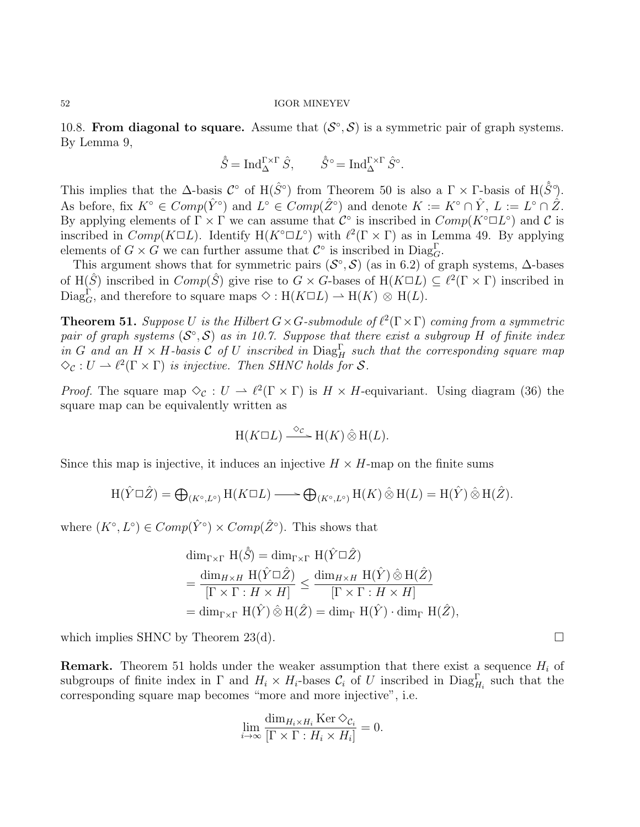10.8. From diagonal to square. Assume that  $(S^{\circ}, S)$  is a symmetric pair of graph systems. By Lemma 9,

$$
\hat{S} = \operatorname{Ind}_{\Delta}^{\Gamma \times \Gamma} \hat{S}, \qquad \hat{S}^{\circ} = \operatorname{Ind}_{\Delta}^{\Gamma \times \Gamma} \hat{S}^{\circ}.
$$

This implies that the  $\Delta$ -basis  $\mathcal{C}^{\circ}$  of  $H(\hat{S}^{\circ})$  from Theorem 50 is also a  $\Gamma \times \Gamma$ -basis of  $H(\hat{S}^{\circ})$ . As before, fix  $K^{\circ} \in Comp(\hat{Y}^{\circ})$  and  $L^{\circ} \in Comp(\hat{Z}^{\circ})$  and denote  $K := K^{\circ} \cap \hat{Y}$ ,  $L := L^{\circ} \cap \hat{Z}$ . By applying elements of  $\Gamma \times \Gamma$  we can assume that  $\mathcal{C}^{\circ}$  is inscribed in  $Comp(K^{\circ} \Box L^{\circ})$  and  $\mathcal{C}$  is inscribed in  $Comp(K \Box L)$ . Identify  $H(K^{\circ} \Box L^{\circ})$  with  $\ell^2(\Gamma \times \Gamma)$  as in Lemma 49. By applying elements of  $G \times G$  we can further assume that  $\mathcal{C}^{\circ}$  is inscribed in  $\text{Diag}_{G}^{\Gamma}$ .

This argument shows that for symmetric pairs  $(S^{\circ}, S)$  (as in 6.2) of graph systems,  $\Delta$ -bases of H( $\hat{S}$ ) inscribed in  $Comp(\hat{S})$  give rise to  $G \times G$ -bases of H( $K \square L$ )  $\subseteq \ell^2(\Gamma \times \Gamma)$  inscribed in Diag<sub>G</sub>, and therefore to square maps  $\diamond : H(K \square L) \longrightarrow H(K) \otimes H(L)$ .

**Theorem 51.** Suppose U is the Hilbert  $G \times G$ -submodule of  $\ell^2(\Gamma \times \Gamma)$  coming from a symmetric pair of graph systems  $(S^{\circ}, S)$  as in 10.7. Suppose that there exist a subgroup H of finite index in G and an  $H \times H$ -basis C of U inscribed in  $Diag_H^{\Gamma}$  such that the corresponding square map  $\Diamond_{\mathcal{C}} : U \to \ell^2(\Gamma \times \Gamma)$  is injective. Then SHNC holds for S.

*Proof.* The square map  $\Diamond_{\mathcal{C}} : U \to \ell^2(\Gamma \times \Gamma)$  is  $H \times H$ -equivariant. Using diagram (36) the square map can be equivalently written as

$$
H(K \Box L) \xrightarrow{\Diamond c} H(K) \hat{\otimes} H(L).
$$

Since this map is injective, it induces an injective  $H \times H$ -map on the finite sums

$$
H(\hat{Y}\Box \hat{Z}) = \bigoplus_{(K^{\circ},L^{\circ})} H(K\Box L) \longrightarrow \bigoplus_{(K^{\circ},L^{\circ})} H(K) \hat{\otimes} H(L) = H(\hat{Y}) \hat{\otimes} H(\hat{Z}).
$$

where  $(K^{\circ}, L^{\circ}) \in Comp(\hat{Y}^{\circ}) \times Comp(\hat{Z}^{\circ})$ . This shows that

$$
\dim_{\Gamma \times \Gamma} H(\hat{S}) = \dim_{\Gamma \times \Gamma} H(\hat{Y} \Box \hat{Z})
$$
\n
$$
= \frac{\dim_{H \times H} H(\hat{Y} \Box \hat{Z})}{[\Gamma \times \Gamma : H \times H]} \le \frac{\dim_{H \times H} H(\hat{Y}) \hat{\otimes} H(\hat{Z})}{[\Gamma \times \Gamma : H \times H]}
$$
\n
$$
= \dim_{\Gamma \times \Gamma} H(\hat{Y}) \hat{\otimes} H(\hat{Z}) = \dim_{\Gamma} H(\hat{Y}) \cdot \dim_{\Gamma} H(\hat{Z}),
$$

which implies SHNC by Theorem 23(d).  $\square$ 

**Remark.** Theorem 51 holds under the weaker assumption that there exist a sequence  $H_i$  of subgroups of finite index in  $\Gamma$  and  $H_i \times H_i$ -bases  $\mathcal{C}_i$  of U inscribed in  $Diag_{H_i}^{\Gamma}$  such that the corresponding square map becomes "more and more injective", i.e.

$$
\lim_{i \to \infty} \frac{\dim_{H_i \times H_i} \text{Ker } \diamond_{\mathcal{C}_i}}{\left[\Gamma \times \Gamma : H_i \times H_i\right]} = 0.
$$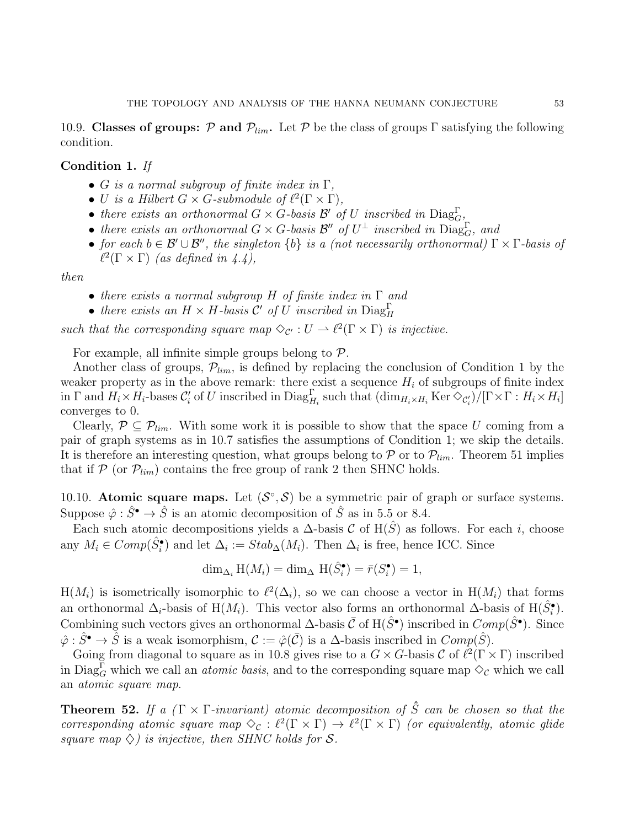10.9. Classes of groups: P and  $\mathcal{P}_{lim}$ . Let P be the class of groups Γ satisfying the following condition.

# Condition 1. If

- G is a normal subgroup of finite index in  $\Gamma$ ,
- U is a Hilbert  $G \times G$ -submodule of  $\ell^2(\Gamma \times \Gamma)$ ,
- there exists an orthonormal  $G \times G$ -basis  $\mathcal{B}'$  of U inscribed in  $\text{Diag}_{G}^{\Gamma}$ ,
- there exists an orthonormal  $G \times G$ -basis  $\mathcal{B}''$  of  $U^{\perp}$  inscribed in  $Diag_G^{\Gamma}$ , and
- for each  $b \in \mathcal{B}' \cup \mathcal{B}''$ , the singleton  $\{b\}$  is a (not necessarily orthonormal)  $\Gamma \times \Gamma$ -basis of  $\ell^2(\Gamma \times \Gamma)$  (as defined in 4.4),

then

- there exists a normal subgroup H of finite index in  $\Gamma$  and
- there exists an  $H \times H$ -basis  $C'$  of U inscribed in  $Diag_H^{\Gamma}$

such that the corresponding square map  $\Diamond_{\mathcal{C}'} : U \to \ell^2(\Gamma \times \Gamma)$  is injective.

For example, all infinite simple groups belong to  $P$ .

Another class of groups,  $\mathcal{P}_{lim}$ , is defined by replacing the conclusion of Condition 1 by the weaker property as in the above remark: there exist a sequence  $H_i$  of subgroups of finite index in  $\Gamma$  and  $H_i \times H_i$ -bases  $\mathcal{C}'_i$  of U inscribed in  $Diag_{H_i}^{\Gamma}$  such that  $(\dim_{H_i \times H_i} \text{Ker} \diamondsuit_{\mathcal{C}'_i})/[\Gamma \times \Gamma : H_i \times H_i]$ converges to 0.

Clearly,  $P \subseteq P_{lim}$ . With some work it is possible to show that the space U coming from a pair of graph systems as in 10.7 satisfies the assumptions of Condition 1; we skip the details. It is therefore an interesting question, what groups belong to  $\mathcal P$  or to  $\mathcal P_{lim}$ . Theorem 51 implies that if  $P$  (or  $P_{lim}$ ) contains the free group of rank 2 then SHNC holds.

10.10. Atomic square maps. Let  $(S^{\circ}, S)$  be a symmetric pair of graph or surface systems. Suppose  $\hat{\varphi}$  :  $\hat{S}^{\bullet} \to \hat{S}$  is an atomic decomposition of  $\hat{S}$  as in 5.5 or 8.4.

Each such atomic decompositions yields a  $\Delta$ -basis C of H( $\hat{S}$ ) as follows. For each i, choose any  $M_i \in Comp(\hat{S}_i^{\bullet})$  and let  $\Delta_i := Stab_{\Delta}(M_i)$ . Then  $\Delta_i$  is free, hence ICC. Since

$$
\dim_{\Delta_i} H(M_i) = \dim_{\Delta} H(\hat{S}_i^{\bullet}) = \bar{r}(S_i^{\bullet}) = 1,
$$

 $H(M_i)$  is isometrically isomorphic to  $\ell^2(\Delta_i)$ , so we can choose a vector in  $H(M_i)$  that forms an orthonormal  $\Delta_i$ -basis of H $(M_i)$ . This vector also forms an orthonormal  $\Delta$ -basis of H $(\hat{S}_i^{\bullet})$ . Combining such vectors gives an orthonormal  $\Delta$ -basis  $\bar{C}$  of H( $\hat{S}^{\bullet}$ ) inscribed in  $Comp(\hat{S}^{\bullet})$ . Since  $\hat{\varphi}$ :  $\hat{S}^{\bullet} \to \hat{S}$  is a weak isomorphism,  $\mathcal{C} := \hat{\varphi}(\bar{\mathcal{C}})$  is a  $\Delta$ -basis inscribed in  $Comp(\hat{S})$ .

Going from diagonal to square as in 10.8 gives rise to a  $G \times G$ -basis  $\mathcal{C}$  of  $\ell^2(\Gamma \times \Gamma)$  inscribed in  $Diag_G^{\Gamma}$  which we call an *atomic basis*, and to the corresponding square map  $\diamond_C$  which we call an atomic square map.

**Theorem 52.** If a  $(\Gamma \times \Gamma \text{-invariant})$  atomic decomposition of  $\hat{S}$  can be chosen so that the corresponding atomic square map  $\Diamond_{\mathcal{C}} : \ell^2(\Gamma \times \Gamma) \to \ell^2(\Gamma \times \Gamma)$  (or equivalently, atomic glide square map  $\Diamond$ ) is injective, then SHNC holds for S.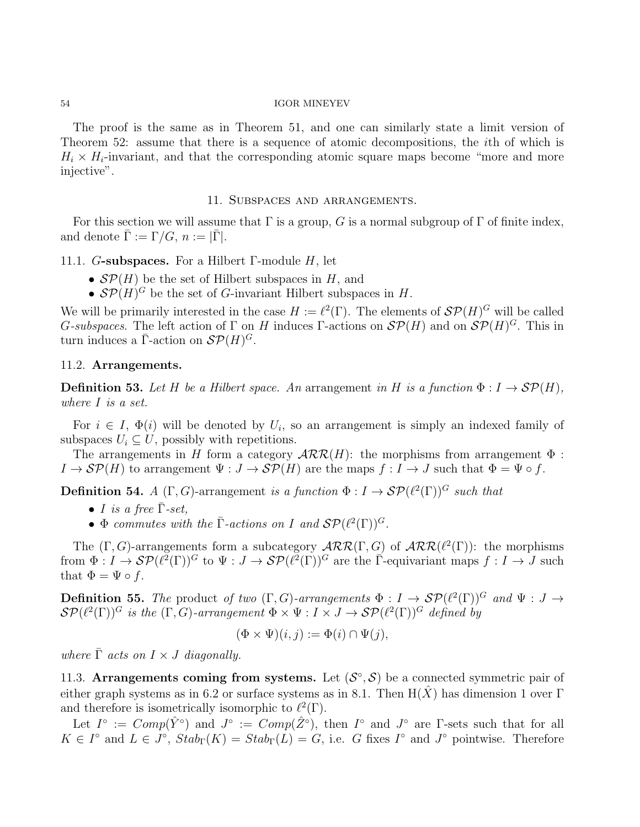The proof is the same as in Theorem 51, and one can similarly state a limit version of Theorem 52: assume that there is a sequence of atomic decompositions, the ith of which is  $H_i \times H_i$ -invariant, and that the corresponding atomic square maps become "more and more injective".

# 11. Subspaces and arrangements.

For this section we will assume that  $\Gamma$  is a group, G is a normal subgroup of  $\Gamma$  of finite index, and denote  $\bar{\Gamma} := \Gamma/G$ ,  $n := |\bar{\Gamma}|$ .

# 11.1. G-subspaces. For a Hilbert  $\Gamma$ -module H, let

- $\mathcal{S}\mathcal{P}(H)$  be the set of Hilbert subspaces in H, and
- $\mathcal{S}P(H)^G$  be the set of G-invariant Hilbert subspaces in H.

We will be primarily interested in the case  $H := \ell^2(\Gamma)$ . The elements of  $\mathcal{SP}(H)^G$  will be called G-subspaces. The left action of  $\Gamma$  on H induces  $\Gamma$ -actions on  $\mathcal{SP}(H)$  and on  $\mathcal{SP}(H)^G$ . This in turn induces a  $\overline{\Gamma}$ -action on  $\mathcal{SP}(H)^G$ .

# 11.2. Arrangements.

**Definition 53.** Let H be a Hilbert space. An arrangement in H is a function  $\Phi: I \to \mathcal{SP}(H)$ , where I is a set.

For  $i \in I$ ,  $\Phi(i)$  will be denoted by  $U_i$ , so an arrangement is simply an indexed family of subspaces  $U_i \subseteq U$ , possibly with repetitions.

The arrangements in H form a category  $\mathcal{ARR}(H)$ : the morphisms from arrangement  $\Phi$ :  $I \to \mathcal{SP}(H)$  to arrangement  $\Psi : J \to \mathcal{SP}(H)$  are the maps  $f : I \to J$  such that  $\Phi = \Psi \circ f$ .

**Definition 54.** A  $(\Gamma, G)$ -arrangement is a function  $\Phi: I \to \mathcal{SP}(\ell^2(\Gamma))^G$  such that

- I is a free  $\bar{\Gamma}$ -set,
- $\Phi$  commutes with the  $\bar{\Gamma}$ -actions on I and  $\mathcal{SP}(\ell^2(\Gamma))^G$ .

The  $(\Gamma, G)$ -arrangements form a subcategory  $\mathcal{ARR}(\Gamma, G)$  of  $\mathcal{ARR}(\ell^2(\Gamma))$ : the morphisms from  $\Phi: I \to \mathcal{SP}(\ell^2(\Gamma))^G$  to  $\Psi: J \to \mathcal{SP}(\ell^2(\Gamma))^G$  are the  $\overline{\Gamma}$ -equivariant maps  $f: I \to J$  such that  $\Phi = \Psi \circ f$ .

**Definition 55.** The product of two  $(\Gamma, G)$ -arrangements  $\Phi : I \to \mathcal{SP}(\ell^2(\Gamma))^G$  and  $\Psi : J \to$  $\mathcal{SP}(\ell^2(\Gamma))^G$  is the  $(\Gamma, G)$ -arrangement  $\Phi \times \Psi : I \times J \to \mathcal{SP}(\ell^2(\Gamma))^G$  defined by

$$
(\Phi \times \Psi)(i, j) := \Phi(i) \cap \Psi(j),
$$

where  $\overline{\Gamma}$  acts on  $I \times J$  diagonally.

11.3. Arrangements coming from systems. Let  $(S^{\circ}, S)$  be a connected symmetric pair of either graph systems as in 6.2 or surface systems as in 8.1. Then  $H(X)$  has dimension 1 over Γ and therefore is isometrically isomorphic to  $\ell^2(\Gamma)$ .

Let  $I^{\circ} := Comp(\hat{Y}^{\circ})$  and  $J^{\circ} := Comp(\hat{Z}^{\circ})$ , then  $I^{\circ}$  and  $J^{\circ}$  are  $\Gamma$ -sets such that for all  $K \in I^{\circ}$  and  $L \in J^{\circ}$ ,  $Stab_{\Gamma}(K) = Stab_{\Gamma}(L) = G$ , i.e. G fixes  $I^{\circ}$  and  $J^{\circ}$  pointwise. Therefore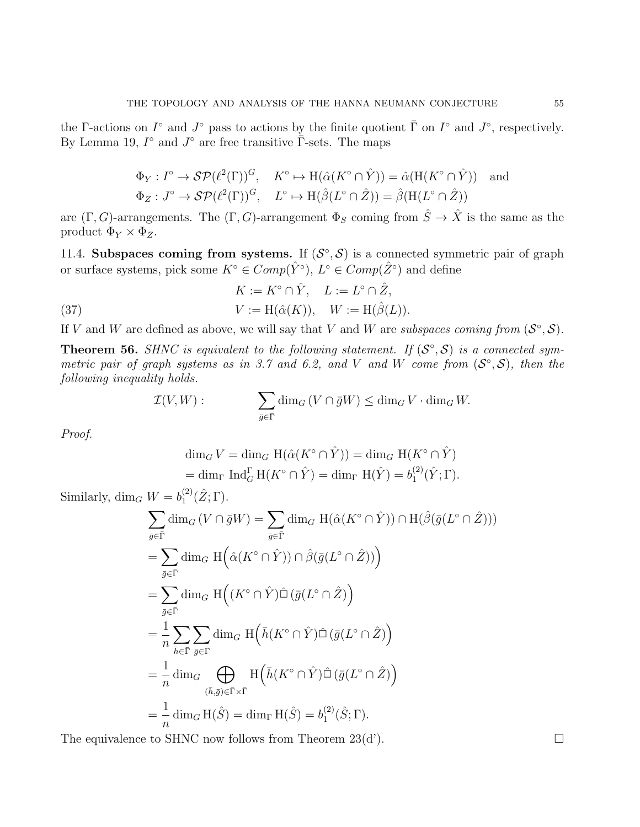the Γ-actions on  $I^{\circ}$  and  $J^{\circ}$  pass to actions by the finite quotient  $\overline{\Gamma}$  on  $I^{\circ}$  and  $J^{\circ}$ , respectively. By Lemma 19,  $I^{\circ}$  and  $J^{\circ}$  are free transitive  $\overline{\Gamma}$ -sets. The maps

$$
\Phi_Y: I^\circ \to \mathcal{SP}(\ell^2(\Gamma))^G, \quad K^\circ \mapsto \mathrm{H}(\hat{\alpha}(K^\circ \cap \hat{Y})) = \hat{\alpha}(\mathrm{H}(K^\circ \cap \hat{Y})) \quad \text{and}
$$
  

$$
\Phi_Z: J^\circ \to \mathcal{SP}(\ell^2(\Gamma))^G, \quad L^\circ \mapsto \mathrm{H}(\hat{\beta}(L^\circ \cap \hat{Z})) = \hat{\beta}(\mathrm{H}(L^\circ \cap \hat{Z}))
$$

are  $(\Gamma, G)$ -arrangements. The  $(\Gamma, G)$ -arrangement  $\Phi_S$  coming from  $\hat{S} \to \hat{X}$  is the same as the product  $\Phi_Y \times \Phi_Z$ .

11.4. Subspaces coming from systems. If  $(S^{\circ}, S)$  is a connected symmetric pair of graph or surface systems, pick some  $K^{\circ} \in Comp(\hat{Y}^{\circ}), L^{\circ} \in Comp(\hat{Z}^{\circ})$  and define

(37) 
$$
K := K^{\circ} \cap \hat{Y}, \quad L := L^{\circ} \cap \hat{Z},
$$

$$
V := H(\hat{\alpha}(K)), \quad W := H(\hat{\beta}(L)).
$$

If V and W are defined as above, we will say that V and W are subspaces coming from  $(S^{\circ}, S)$ .

**Theorem 56.** SHNC is equivalent to the following statement. If  $(S^{\circ}, S)$  is a connected symmetric pair of graph systems as in 3.7 and 6.2, and V and W come from  $(S^{\circ}, S)$ , then the following inequality holds.

$$
\mathcal{I}(V,W): \qquad \qquad \sum_{\bar{g}\in \bar{\Gamma}} \dim_G (V\cap \bar{g}W) \leq \dim_G V \cdot \dim_G W.
$$

Proof.

$$
\dim_G V = \dim_G \operatorname{H}(\hat{\alpha}(K^\circ \cap \hat{Y})) = \dim_G \operatorname{H}(K^\circ \cap \hat{Y})
$$
  
= 
$$
\dim_\Gamma \operatorname{Ind}_G^{\Gamma} \operatorname{H}(K^\circ \cap \hat{Y}) = \dim_\Gamma \operatorname{H}(\hat{Y}) = b_1^{(2)}(\hat{Y}; \Gamma).
$$

Similarly,  $\dim_G W = b_1^{(2)}$  ${2 \choose 1} (\hat{Z}; \Gamma).$ 

$$
\sum_{\bar{g}\in\bar{\Gamma}}\dim_G(V\cap\bar{g}W) = \sum_{\bar{g}\in\bar{\Gamma}}\dim_G\mathrm{H}(\hat{\alpha}(K^{\circ}\cap\hat{Y}))\cap\mathrm{H}(\hat{\beta}(\bar{g}(L^{\circ}\cap\hat{Z})))
$$
\n
$$
= \sum_{\bar{g}\in\bar{\Gamma}}\dim_G\mathrm{H}\Big(\hat{\alpha}(K^{\circ}\cap\hat{Y}))\cap\hat{\beta}(\bar{g}(L^{\circ}\cap\hat{Z}))\Big)
$$
\n
$$
= \sum_{\bar{g}\in\bar{\Gamma}}\dim_G\mathrm{H}\Big((K^{\circ}\cap\hat{Y})\hat{\Box}(\bar{g}(L^{\circ}\cap\hat{Z})\Big)
$$
\n
$$
= \frac{1}{n}\sum_{\bar{h}\in\bar{\Gamma}}\sum_{\bar{g}\in\bar{\Gamma}}\dim_G\mathrm{H}\Big(\bar{h}(K^{\circ}\cap\hat{Y})\hat{\Box}(\bar{g}(L^{\circ}\cap\hat{Z})\Big)
$$
\n
$$
= \frac{1}{n}\dim_G\bigoplus_{(\bar{h},\bar{g})\in\bar{\Gamma}\times\bar{\Gamma}}\mathrm{H}\Big(\bar{h}(K^{\circ}\cap\hat{Y})\hat{\Box}(\bar{g}(L^{\circ}\cap\hat{Z})\Big)
$$
\n
$$
= \frac{1}{n}\dim_G\mathrm{H}(\hat{S}) = \dim_{\Gamma}\mathrm{H}(\hat{S}) = b_1^{(2)}(\hat{S};\Gamma).
$$

The equivalence to SHNC now follows from Theorem 23(d').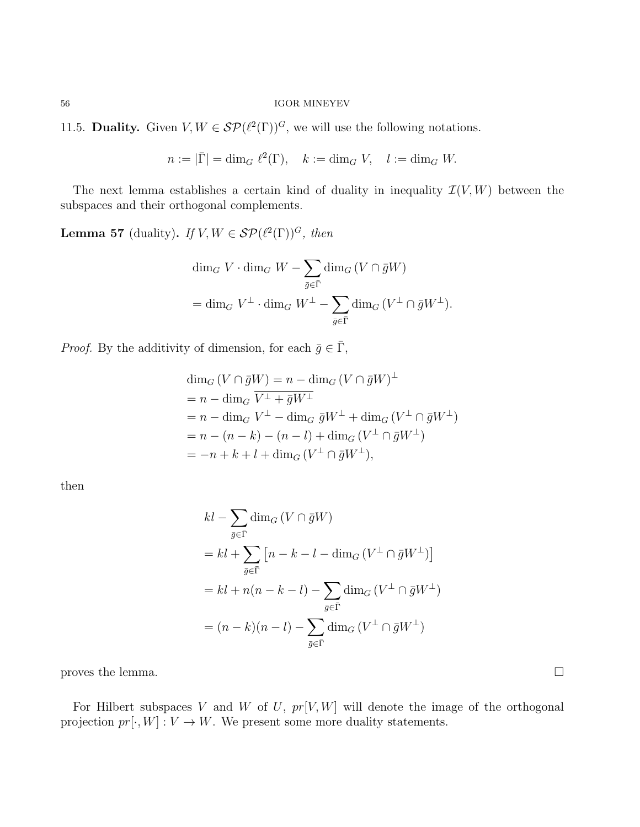11.5. Duality. Given  $V, W \in \mathcal{SP}(\ell^2(\Gamma))^G$ , we will use the following notations.

$$
n := |\bar{\Gamma}| = \dim_G \ell^2(\Gamma), \quad k := \dim_G V, \quad l := \dim_G W.
$$

The next lemma establishes a certain kind of duality in inequality  $\mathcal{I}(V, W)$  between the subspaces and their orthogonal complements.

**Lemma 57** (duality). If  $V, W \in \mathcal{SP}(\ell^2(\Gamma))^G$ , then

$$
\begin{aligned}\n\dim_G V \cdot \dim_G W &- \sum_{\bar{g} \in \bar{\Gamma}} \dim_G (V \cap \bar{g}W) \\
&= \dim_G V^{\perp} \cdot \dim_G W^{\perp} - \sum_{\bar{g} \in \bar{\Gamma}} \dim_G (V^{\perp} \cap \bar{g}W^{\perp}).\n\end{aligned}
$$

*Proof.* By the additivity of dimension, for each  $\bar{g} \in \bar{\Gamma}$ ,

$$
\dim_G (V \cap \bar{g}W) = n - \dim_G (V \cap \bar{g}W)^{\perp}
$$
\n
$$
= n - \dim_G \overline{V^{\perp} + \bar{g}W^{\perp}}
$$
\n
$$
= n - \dim_G V^{\perp} - \dim_G \bar{g}W^{\perp} + \dim_G (V^{\perp} \cap \bar{g}W^{\perp})
$$
\n
$$
= n - (n - k) - (n - l) + \dim_G (V^{\perp} \cap \bar{g}W^{\perp})
$$
\n
$$
= -n + k + l + \dim_G (V^{\perp} \cap \bar{g}W^{\perp}),
$$

then

$$
kl - \sum_{\bar{g} \in \bar{\Gamma}} \dim_G (V \cap \bar{g}W)
$$
  
=  $kl + \sum_{\bar{g} \in \bar{\Gamma}} \left[ n - k - l - \dim_G (V^{\perp} \cap \bar{g}W^{\perp}) \right]$   
=  $kl + n(n - k - l) - \sum_{\bar{g} \in \bar{\Gamma}} \dim_G (V^{\perp} \cap \bar{g}W^{\perp})$   
=  $(n - k)(n - l) - \sum_{\bar{g} \in \bar{\Gamma}} \dim_G (V^{\perp} \cap \bar{g}W^{\perp})$ 

proves the lemma.  $\Box$ 

For Hilbert subspaces V and W of U,  $pr[V, W]$  will denote the image of the orthogonal projection  $pr[\cdot, W] : V \to W$ . We present some more duality statements.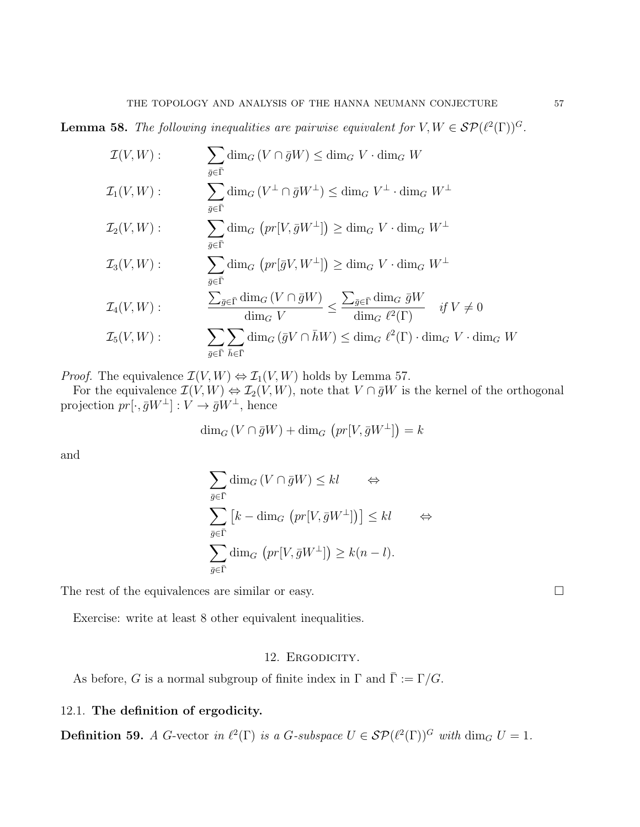**Lemma 58.** The following inequalities are pairwise equivalent for  $V, W \in \mathcal{SP}(\ell^2(\Gamma))^G$ .

$$
\mathcal{I}(V, W) : \qquad \sum_{\bar{g} \in \bar{\Gamma}} \dim_G (V \cap \bar{g}W) \leq \dim_G V \cdot \dim_G W
$$
  

$$
\mathcal{I}_1(V, W) : \qquad \sum_{\bar{g} \in \bar{\Gamma}} \dim_G (V^{\perp} \cap \bar{g}W^{\perp}) \leq \dim_G V^{\perp} \cdot \dim_G W^{\perp}
$$
  

$$
\mathcal{I}_2(V, W) : \qquad \sum_{\bar{g} \in \bar{\Gamma}} \dim_G (pr[V, \bar{g}W^{\perp}]) \geq \dim_G V \cdot \dim_G W^{\perp}
$$
  

$$
\mathcal{I}_3(V, W) : \qquad \sum_{\bar{g} \in \bar{\Gamma}} \dim_G (pr[\bar{g}V, W^{\perp}]) \geq \dim_G V \cdot \dim_G W^{\perp}
$$
  

$$
\mathcal{I}_4(V, W) : \qquad \sum_{\bar{g} \in \bar{\Gamma}} \dim_G (V \cap \bar{g}W) \leq \sum_{\bar{g} \in \bar{\Gamma}} \dim_G \bar{g}W \qquad \text{if } V \neq 0
$$
  

$$
\mathcal{I}_5(V, W) : \qquad \sum_{\bar{g} \in \bar{\Gamma}} \sum_{\bar{h} \in \bar{\Gamma}} \dim_G (\bar{g}V \cap \bar{h}W) \leq \dim_G \ell^2(\Gamma) \cdot \dim_G V \cdot \dim_G W
$$

*Proof.* The equivalence  $\mathcal{I}(V, W) \Leftrightarrow \mathcal{I}_1(V, W)$  holds by Lemma 57.

For the equivalence  $\mathcal{I}(V, W) \Leftrightarrow \mathcal{I}_2(V, W)$ , note that  $V \cap \bar{g}W$  is the kernel of the orthogonal projection  $pr[\cdot, \bar{g}W^{\perp}] : V \to \bar{g}W^{\perp}$ , hence

$$
\dim_G (V \cap \bar{g}W) + \dim_G (pr[V, \bar{g}W^{\perp}]) = k
$$

and

$$
\sum_{\bar{g}\in\bar{\Gamma}}\dim_G(V\cap\bar{g}W)\leq kl \qquad \Leftrightarrow
$$
  

$$
\sum_{\bar{g}\in\bar{\Gamma}}\left[k-\dim_G\left(pr[V,\bar{g}W^{\perp}]\right)\right]\leq kl \qquad \Leftrightarrow
$$
  

$$
\sum_{\bar{g}\in\bar{\Gamma}}\dim_G\left(pr[V,\bar{g}W^{\perp}]\right)\geq k(n-l).
$$

The rest of the equivalences are similar or easy.  $\Box$ 

Exercise: write at least 8 other equivalent inequalities.

# 12. ERGODICITY.

As before, G is a normal subgroup of finite index in  $\Gamma$  and  $\overline{\Gamma} := \Gamma/G$ .

# 12.1. The definition of ergodicity.

**Definition 59.** A G-vector in  $\ell^2(\Gamma)$  is a G-subspace  $U \in \mathcal{SP}(\ell^2(\Gamma))^G$  with  $\dim_G U = 1$ .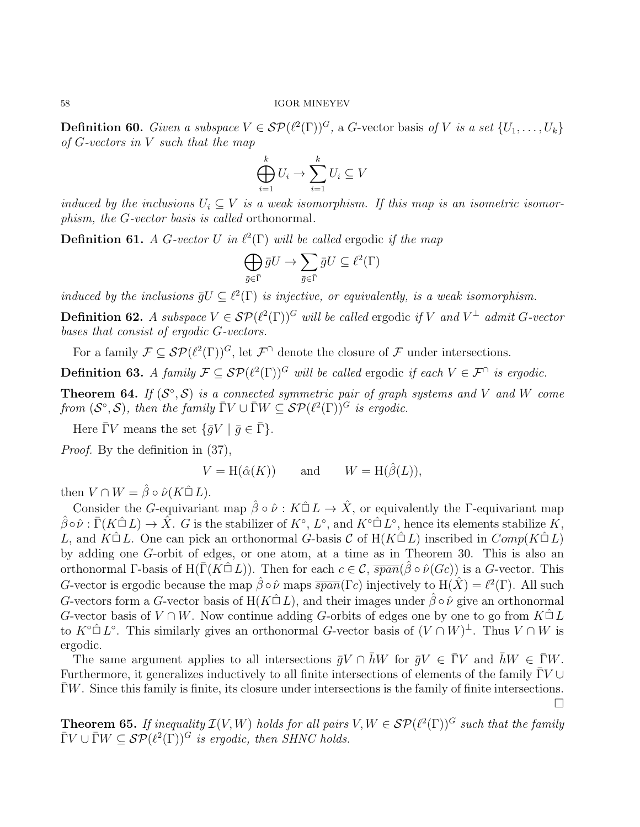**Definition 60.** Given a subspace  $V \in \mathcal{SP}(\ell^2(\Gamma))^G$ , a G-vector basis of V is a set  $\{U_1, \ldots, U_k\}$ of  $G$ -vectors in  $V$  such that the map

$$
\bigoplus_{i=1}^k U_i \to \sum_{i=1}^k U_i \subseteq V
$$

induced by the inclusions  $U_i \subseteq V$  is a weak isomorphism. If this map is an isometric isomorphism, the G-vector basis is called orthonormal.

**Definition 61.** A G-vector U in  $\ell^2(\Gamma)$  will be called ergodic if the map

$$
\bigoplus_{\bar{g}\in\bar{\Gamma}}\bar{g}U\to\sum_{\bar{g}\in\bar{\Gamma}}\bar{g}U\subseteq\ell^2(\Gamma)
$$

induced by the inclusions  $\bar{g}U \subseteq \ell^2(\Gamma)$  is injective, or equivalently, is a weak isomorphism.

**Definition 62.** A subspace  $V \in \mathcal{SP}(\ell^2(\Gamma))^G$  will be called ergodic if V and  $V^{\perp}$  admit G-vector bases that consist of ergodic G-vectors.

For a family  $\mathcal{F} \subseteq \mathcal{SP}(\ell^2(\Gamma))^G$ , let  $\mathcal{F} \cap$  denote the closure of  $\mathcal{F}$  under intersections.

**Definition 63.** A family  $\mathcal{F} \subseteq \mathcal{SP}(\ell^2(\Gamma))^G$  will be called ergodic if each  $V \in \mathcal{F}^{\cap}$  is ergodic.

**Theorem 64.** If  $(S^{\circ}, S)$  is a connected symmetric pair of graph systems and V and W come from  $(S^{\circ}, S)$ , then the family  $\overline{\Gamma}V \cup \overline{\Gamma}W \subseteq \mathcal{SP}(\ell^2(\Gamma))^G$  is ergodic.

Here  $\bar{\Gamma}V$  means the set  $\{\bar{g}V \mid \bar{g} \in \bar{\Gamma}\}.$ 

Proof. By the definition in (37),

 $V = H(\hat{\alpha}(K))$  and  $W = H(\hat{\beta}(L)),$ 

then  $V \cap W = \hat{\beta} \circ \hat{\nu}(K \hat{\Box} L)$ .

Consider the G-equivariant map  $\hat{\beta} \circ \hat{\nu} : K \hat{\square} L \to \hat{X}$ , or equivalently the Γ-equivariant map  $\hat{\beta} \circ \hat{\nu} : \bar{\Gamma}(K \hat{\square} L) \to \hat{X}$ . G is the stabilizer of  $K^{\circ}$ ,  $L^{\circ}$ , and  $K^{\circ \hat{\square} L^{\circ}}$ , hence its elements stabilize  $K$ , L, and  $K\hat{\Box} L$ . One can pick an orthonormal G-basis C of  $H(K\hat{\Box} L)$  inscribed in  $Comp(K\hat{\Box} L)$ by adding one G-orbit of edges, or one atom, at a time as in Theorem 30. This is also an orthonormal Γ-basis of H( $\overline{\Gamma}(K \hat{\square} L)$ ). Then for each  $c \in \mathcal{C}$ ,  $\overline{span}(\hat{\beta} \circ \hat{\nu}(Gc))$  is a G-vector. This G-vector is ergodic because the map  $\hat{\beta} \circ \hat{\nu}$  maps  $\overline{span}(\Gamma c)$  injectively to  $H(\hat{X}) = \ell^2(\Gamma)$ . All such G-vectors form a G-vector basis of H( $K\hat{\Box} L$ ), and their images under  $\hat{\beta} \circ \hat{\nu}$  give an orthonormal G-vector basis of  $V \cap W$ . Now continue adding G-orbits of edges one by one to go from  $K \nightharpoonup L$ to  $K^{\circ}\hat{\Box} L^{\circ}$ . This similarly gives an orthonormal G-vector basis of  $(V\cap W)^{\perp}$ . Thus  $V\cap W$  is ergodic.

The same argument applies to all intersections  $\bar{g}V \cap hW$  for  $\bar{g}V \in \Gamma V$  and  $hW \in \Gamma W$ . Furthermore, it generalizes inductively to all finite intersections of elements of the family  $\Gamma V \cup$  $\Gamma W$ . Since this family is finite, its closure under intersections is the family of finite intersections.  $\Box$ 

**Theorem 65.** If inequality  $\mathcal{I}(V, W)$  holds for all pairs  $V, W \in \mathcal{SP}(\ell^2(\Gamma))^G$  such that the family  $\overline{\Gamma}V \cup \overline{\Gamma}W \subseteq \mathcal{SP}(\ell^2(\Gamma))^G$  is ergodic, then SHNC holds.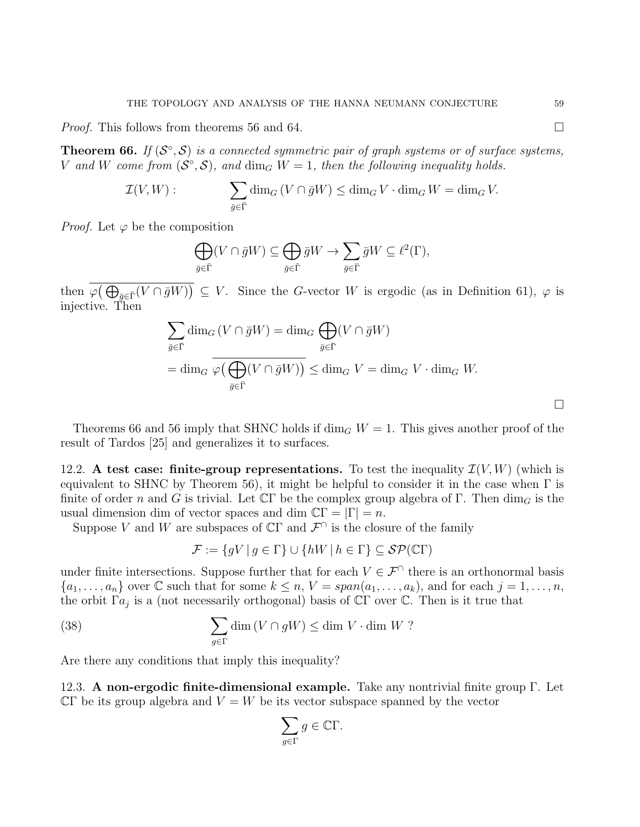*Proof.* This follows from theorems 56 and 64.

**Theorem 66.** If  $(S^{\circ}, S)$  is a connected symmetric pair of graph systems or of surface systems, V and W come from  $(S^{\circ}, S)$ , and  $\dim_G W = 1$ , then the following inequality holds.

$$
\mathcal{I}(V, W) : \qquad \sum_{\bar{g} \in \bar{\Gamma}} \dim_G (V \cap \bar{g}W) \le \dim_G V \cdot \dim_G W = \dim_G V.
$$

*Proof.* Let  $\varphi$  be the composition

$$
\bigoplus_{\bar{g}\in\bar{\Gamma}}(V\cap\bar{g}W)\subseteq\bigoplus_{\bar{g}\in\bar{\Gamma}}\bar{g}W\to\sum_{\bar{g}\in\bar{\Gamma}}\bar{g}W\subseteq\ell^2(\Gamma),
$$

then  $\varphi(\bigoplus_{\bar{g}\in\bar{\Gamma}}(V\cap\bar{g}W))\subseteq V$ . Since the G-vector W is ergodic (as in Definition 61),  $\varphi$  is injective. Then

$$
\sum_{\bar{g}\in\bar{\Gamma}}\dim_G(V\cap\bar{g}W)=\dim_G\bigoplus_{\bar{g}\in\bar{\Gamma}}(V\cap\bar{g}W)
$$

$$
=\dim_G\widehat{\varphi\left(\bigoplus_{\bar{g}\in\bar{\Gamma}}(V\cap\bar{g}W)\right)}\leq\dim_GV=\dim_GV\cdot\dim_GW.
$$

Theorems 66 and 56 imply that SHNC holds if  $\dim_G W = 1$ . This gives another proof of the result of Tardos [25] and generalizes it to surfaces.

12.2. A test case: finite-group representations. To test the inequality  $\mathcal{I}(V, W)$  (which is equivalent to SHNC by Theorem 56), it might be helpful to consider it in the case when  $\Gamma$  is finite of order n and G is trivial. Let  $\mathbb{C}\Gamma$  be the complex group algebra of  $\Gamma$ . Then  $\dim_G$  is the usual dimension dim of vector spaces and dim  $\mathbb{C}\Gamma = |\Gamma| = n$ .

Suppose V and W are subspaces of  $\mathbb{C}\Gamma$  and  $\mathcal{F}^{\cap}$  is the closure of the family

$$
\mathcal{F} := \{ gV \mid g \in \Gamma \} \cup \{ hW \mid h \in \Gamma \} \subseteq \mathcal{SP}(\mathbb{C}\Gamma)
$$

under finite intersections. Suppose further that for each  $V \in \mathcal{F}^{\cap}$  there is an orthonormal basis  ${a_1, \ldots, a_n}$  over C such that for some  $k \leq n, V = span(a_1, \ldots, a_k)$ , and for each  $j = 1, \ldots, n$ , the orbit  $\Gamma a_j$  is a (not necessarily orthogonal) basis of CΓ over C. Then is it true that

(38) 
$$
\sum_{g \in \Gamma} \dim (V \cap gW) \leq \dim V \cdot \dim W ?
$$

Are there any conditions that imply this inequality?

12.3. A non-ergodic finite-dimensional example. Take any nontrivial finite group Γ. Let  $\mathbb{C}\Gamma$  be its group algebra and  $V = W$  be its vector subspace spanned by the vector

$$
\sum_{g \in \Gamma} g \in \mathbb{C}\Gamma.
$$

 $\Box$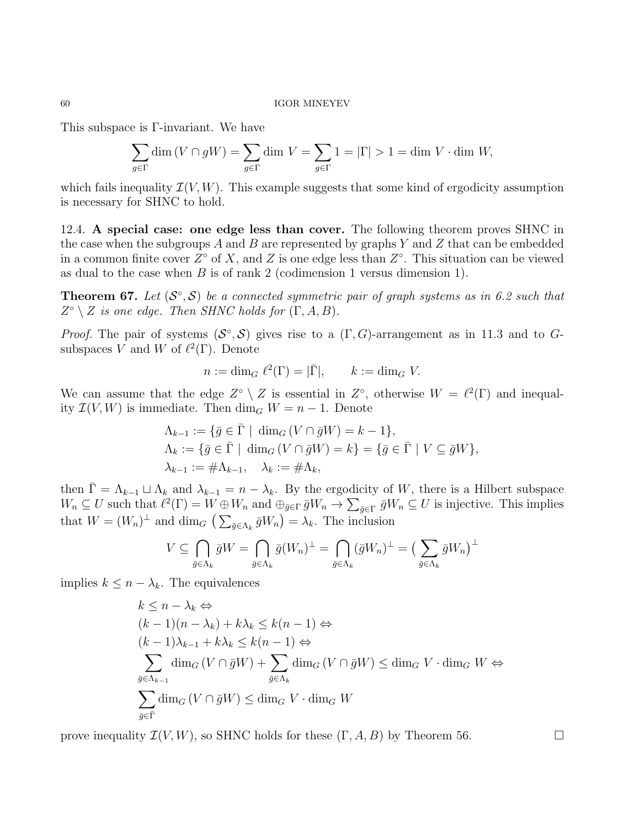This subspace is Γ-invariant. We have

$$
\sum_{g \in \Gamma} \dim (V \cap gW) = \sum_{g \in \Gamma} \dim V = \sum_{g \in \Gamma} 1 = |\Gamma| > 1 = \dim V \cdot \dim W,
$$

which fails inequality  $\mathcal{I}(V, W)$ . This example suggests that some kind of ergodicity assumption is necessary for SHNC to hold.

12.4. A special case: one edge less than cover. The following theorem proves SHNC in the case when the subgroups A and B are represented by graphs Y and Z that can be embedded in a common finite cover  $Z^{\circ}$  of X, and Z is one edge less than  $Z^{\circ}$ . This situation can be viewed as dual to the case when  $B$  is of rank 2 (codimension 1 versus dimension 1).

**Theorem 67.** Let  $(S^{\circ}, S)$  be a connected symmetric pair of graph systems as in 6.2 such that  $Z^{\circ} \setminus Z$  is one edge. Then SHNC holds for  $(\Gamma, A, B)$ .

*Proof.* The pair of systems  $(S^{\circ}, S)$  gives rise to a  $(\Gamma, G)$ -arrangement as in 11.3 and to Gsubspaces V and W of  $\ell^2(\Gamma)$ . Denote

$$
n := \dim_G \ell^2(\Gamma) = |\bar{\Gamma}|, \qquad k := \dim_G V.
$$

We can assume that the edge  $Z^{\circ} \setminus Z$  is essential in  $Z^{\circ}$ , otherwise  $W = \ell^2(\Gamma)$  and inequality  $\mathcal{I}(V, W)$  is immediate. Then  $\dim_G W = n - 1$ . Denote

$$
\Lambda_{k-1} := \{ \bar{g} \in \bar{\Gamma} \mid \dim_G (V \cap \bar{g}W) = k - 1 \},
$$
  
\n
$$
\Lambda_k := \{ \bar{g} \in \bar{\Gamma} \mid \dim_G (V \cap \bar{g}W) = k \} = \{ \bar{g} \in \bar{\Gamma} \mid V \subseteq \bar{g}W \},
$$
  
\n
$$
\lambda_{k-1} := \# \Lambda_{k-1}, \quad \lambda_k := \# \Lambda_k,
$$

then  $\bar{\Gamma} = \Lambda_{k-1} \sqcup \Lambda_k$  and  $\lambda_{k-1} = n - \lambda_k$ . By the ergodicity of W, there is a Hilbert subspace  $W_n \subseteq U$  such that  $\ell^2(\Gamma) = W \oplus W_n$  and  $\oplus_{\bar{g} \in \Gamma} \bar{g}W_n \to \sum_{\bar{g} \in \Gamma} \bar{g}W_n \subseteq U$  is injective. This implies that  $W = (W_n)^{\perp}$  and  $\dim_G \left( \sum_{\bar{g} \in \Lambda_k} \bar{g} W_n \right) = \lambda_k$ . The inclusion

$$
V \subseteq \bigcap_{\bar{g} \in \Lambda_k} \bar{g}W = \bigcap_{\bar{g} \in \Lambda_k} \bar{g}(W_n)^{\perp} = \bigcap_{\bar{g} \in \Lambda_k} (\bar{g}W_n)^{\perp} = \left(\sum_{\bar{g} \in \Lambda_k} \bar{g}W_n\right)^{\perp}
$$

implies  $k \leq n - \lambda_k$ . The equivalences

$$
k \leq n - \lambda_k \Leftrightarrow
$$
  
\n
$$
(k-1)(n - \lambda_k) + k\lambda_k \leq k(n-1) \Leftrightarrow
$$
  
\n
$$
(k-1)\lambda_{k-1} + k\lambda_k \leq k(n-1) \Leftrightarrow
$$
  
\n
$$
\sum_{\bar{g} \in \Lambda_{k-1}} \dim_G (V \cap \bar{g}W) + \sum_{\bar{g} \in \Lambda_k} \dim_G (V \cap \bar{g}W) \leq \dim_G V \cdot \dim_G W \Leftrightarrow
$$
  
\n
$$
\sum_{\bar{g} \in \bar{\Gamma}} \dim_G (V \cap \bar{g}W) \leq \dim_G V \cdot \dim_G W
$$

prove inequality  $\mathcal{I}(V, W)$ , so SHNC holds for these  $(\Gamma, A, B)$  by Theorem 56.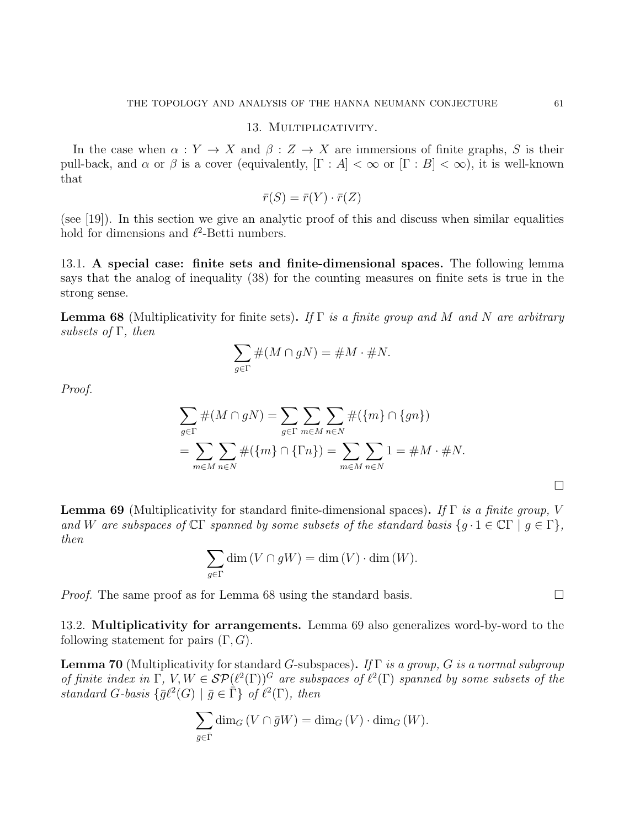### 13. MULTIPLICATIVITY.

In the case when  $\alpha: Y \to X$  and  $\beta: Z \to X$  are immersions of finite graphs, S is their pull-back, and  $\alpha$  or  $\beta$  is a cover (equivalently,  $[\Gamma : A] < \infty$  or  $[\Gamma : B] < \infty$ ), it is well-known that

$$
\bar{r}(S) = \bar{r}(Y) \cdot \bar{r}(Z)
$$

(see [19]). In this section we give an analytic proof of this and discuss when similar equalities hold for dimensions and  $\ell^2$ -Betti numbers.

13.1. A special case: finite sets and finite-dimensional spaces. The following lemma says that the analog of inequality (38) for the counting measures on finite sets is true in the strong sense.

**Lemma 68** (Multiplicativity for finite sets). If  $\Gamma$  is a finite group and M and N are arbitrary subsets of  $\Gamma$ , then

$$
\sum_{g \in \Gamma} \#(M \cap gN) = \#M \cdot \#N.
$$

Proof.

$$
\sum_{g \in \Gamma} \#(M \cap gN) = \sum_{g \in \Gamma} \sum_{m \in M} \sum_{n \in N} \#(\{m\} \cap \{gn\})
$$
  
= 
$$
\sum_{m \in M} \sum_{n \in N} \#(\{m\} \cap \{\Gamma n\}) = \sum_{m \in M} \sum_{n \in N} 1 = \#M \cdot \#N.
$$

**Lemma 69** (Multiplicativity for standard finite-dimensional spaces). If  $\Gamma$  is a finite group, V and W are subspaces of  $\mathbb{C}\Gamma$  spanned by some subsets of the standard basis  $\{g \cdot 1 \in \mathbb{C}\Gamma \mid g \in \Gamma\},\$ then

$$
\sum_{g \in \Gamma} \dim (V \cap gW) = \dim (V) \cdot \dim (W).
$$

*Proof.* The same proof as for Lemma 68 using the standard basis.  $\Box$ 

13.2. Multiplicativity for arrangements. Lemma 69 also generalizes word-by-word to the following statement for pairs  $(\Gamma, G)$ .

**Lemma 70** (Multiplicativity for standard G-subspaces). If  $\Gamma$  is a group, G is a normal subgroup of finite index in  $\Gamma$ ,  $V, W \in \mathcal{SP}(\ell^2(\Gamma))^G$  are subspaces of  $\ell^2(\Gamma)$  spanned by some subsets of the standard G-basis  $\{\bar{g}\ell^2(G) \mid \bar{g} \in \dot{\bar{\Gamma}}\}$  of  $\ell^2(\Gamma)$ , then

$$
\sum_{\bar{g}\in\bar{\Gamma}}\dim_G(V\cap\bar{g}W)=\dim_G(V)\cdot\dim_G(W).
$$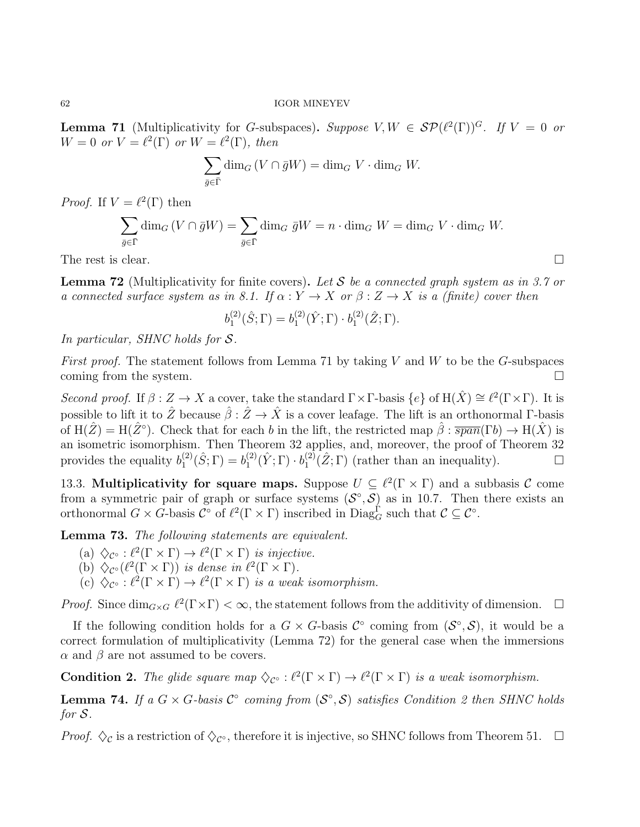**Lemma 71** (Multiplicativity for G-subspaces). Suppose  $V, W \in \mathcal{SP}(\ell^2(\Gamma))^G$ . If  $V = 0$  or  $W = 0$  or  $V = \ell^2(\Gamma)$  or  $W = \ell^2(\Gamma)$ , then

$$
\sum_{\bar{g}\in\bar{\Gamma}}\dim_G(V\cap\bar{g}W)=\dim_G V\cdot\dim_G W.
$$

*Proof.* If  $V = \ell^2(\Gamma)$  then

$$
\sum_{\bar{g}\in\bar{\Gamma}}\dim_G(V\cap\bar{g}W)=\sum_{\bar{g}\in\bar{\Gamma}}\dim_G\bar{g}W=n\cdot\dim_GW=\dim_GV\cdot\dim_GW.
$$

The rest is clear.  $\Box$ 

**Lemma 72** (Multiplicativity for finite covers). Let S be a connected graph system as in 3.7 or a connected surface system as in 8.1. If  $\alpha: Y \to X$  or  $\beta: Z \to X$  is a (finite) cover then

$$
b_1^{(2)}(\hat{S};\Gamma) = b_1^{(2)}(\hat{Y};\Gamma) \cdot b_1^{(2)}(\hat{Z};\Gamma).
$$

In particular, SHNC holds for S.

*First proof.* The statement follows from Lemma 71 by taking V and W to be the G-subspaces coming from the system.  $\Box$ 

Second proof. If  $\beta: Z \to X$  a cover, take the standard  $\Gamma \times \Gamma$ -basis  $\{e\}$  of  $H(\hat{X}) \cong \ell^2(\Gamma \times \Gamma)$ . It is possible to lift it to  $\hat{Z}$  because  $\hat{\beta}: \hat{Z} \to \hat{X}$  is a cover leafage. The lift is an orthonormal Γ-basis of  $H(\hat{Z}) = H(\hat{Z}^{\circ})$ . Check that for each b in the lift, the restricted map  $\hat{\beta} : \overline{span}(\Gamma b) \to H(\hat{X})$  is an isometric isomorphism. Then Theorem 32 applies, and, moreover, the proof of Theorem 32 provides the equality  $b_1^{(2)}$  $b_1^{(2)}(\hat{S};\Gamma) = b_1^{(2)}$  $\mathfrak{j}_{1}^{(2)}(\hat{Y};\Gamma)\cdot b_{1}^{(2)}$  $\mathcal{L}_1^{(2)}(\hat{Z};\Gamma)$  (rather than an inequality).  $\Box$ 

13.3. Multiplicativity for square maps. Suppose  $U \subseteq \ell^2(\Gamma \times \Gamma)$  and a subbasis C come from a symmetric pair of graph or surface systems  $(S^{\circ}, S)$  as in 10.7. Then there exists an orthonormal  $G \times G$ -basis  $\mathcal{C}^{\circ}$  of  $\ell^2(\Gamma \times \Gamma)$  inscribed in  $Diag_G^{\Gamma}$  such that  $\mathcal{C} \subseteq \mathcal{C}^{\circ}$ .

Lemma 73. The following statements are equivalent.

- (a)  $\Diamond_{\mathcal{C}^{\circ}} : \ell^2(\Gamma \times \Gamma) \to \ell^2(\Gamma \times \Gamma)$  is injective.
- (b)  $\Diamond_{\mathcal{C}^{\circ}}(\ell^2(\Gamma \times \Gamma))$  is dense in  $\ell^2(\Gamma \times \Gamma)$ .
- (c)  $\Diamond_{\mathcal{C}^{\circ}} : \ell^2(\Gamma \times \Gamma) \to \ell^2(\Gamma \times \Gamma)$  is a weak isomorphism.

*Proof.* Since  $\dim_{G\times G} \ell^2(\Gamma\times\Gamma) < \infty$ , the statement follows from the additivity of dimension.  $\Box$ 

If the following condition holds for a  $G \times G$ -basis  $\mathcal{C}^{\circ}$  coming from  $(\mathcal{S}^{\circ}, \mathcal{S})$ , it would be a correct formulation of multiplicativity (Lemma 72) for the general case when the immersions  $\alpha$  and  $\beta$  are not assumed to be covers.

**Condition 2.** The glide square map  $\diamondsuit_{\mathcal{C}^\circ}: \ell^2(\Gamma \times \Gamma) \to \ell^2(\Gamma \times \Gamma)$  is a weak isomorphism.

**Lemma 74.** If a  $G \times G$ -basis  $C^{\circ}$  coming from  $(S^{\circ}, S)$  satisfies Condition 2 then SHNC holds for S.

*Proof.*  $\Diamond$ <sub>*C*</sub> is a restriction of  $\Diamond$ <sub>*C*°</sub>, therefore it is injective, so SHNC follows from Theorem 51.  $\Box$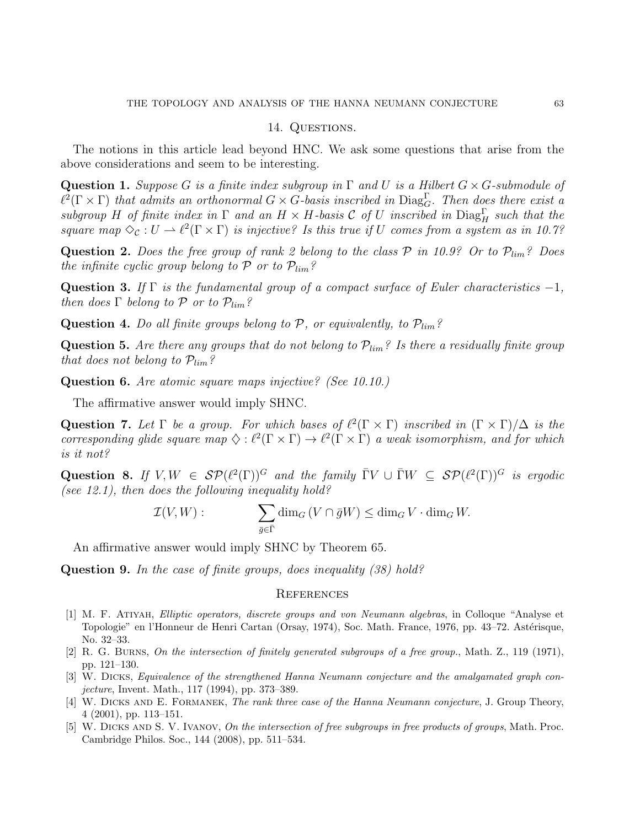# 14. QUESTIONS.

The notions in this article lead beyond HNC. We ask some questions that arise from the above considerations and seem to be interesting.

**Question 1.** Suppose G is a finite index subgroup in  $\Gamma$  and U is a Hilbert  $G \times G$ -submodule of  $\ell^2(\Gamma \times \Gamma)$  that admits an orthonormal  $G \times G$ -basis inscribed in  $Diag_G^{\Gamma}$ . Then does there exist a subgroup H of finite index in  $\Gamma$  and an  $H \times H$ -basis C of U inscribed in  $Diag_H^{\Gamma}$  such that the square map  $\Diamond_{\mathcal{C}} : U \to \ell^2(\Gamma \times \Gamma)$  is injective? Is this true if U comes from a system as in 10.7?

**Question 2.** Does the free group of rank 2 belong to the class  $P$  in 10.9? Or to  $P_{lim}$ ? Does the infinite cyclic group belong to  $P$  or to  $P_{lim}$ ?

Question 3. If Γ is the fundamental group of a compact surface of Euler characteristics  $-1$ , then does  $\Gamma$  belong to  $\mathcal P$  or to  $\mathcal P_{lim}$ ?

**Question 4.** Do all finite groups belong to  $P$ , or equivalently, to  $P_{lim}$ ?

**Question 5.** Are there any groups that do not belong to  $\mathcal{P}_{lim}$ ? Is there a residually finite group that does not belong to  $\mathcal{P}_{\lim}$ ?

Question 6. Are atomic square maps injective? (See 10.10.)

The affirmative answer would imply SHNC.

Question 7. Let  $\Gamma$  be a group. For which bases of  $\ell^2(\Gamma \times \Gamma)$  inscribed in  $(\Gamma \times \Gamma)/\Delta$  is the corresponding glide square map  $\Diamond : \ell^2(\Gamma \times \Gamma) \to \ell^2(\Gamma \times \Gamma)$  a weak isomorphism, and for which is it not?

Question 8. If  $V, W \in \mathcal{SP}(\ell^2(\Gamma))^G$  and the family  $\overline{\Gamma}V \cup \overline{\Gamma}W \subseteq \mathcal{SP}(\ell^2(\Gamma))^G$  is ergodic (see 12.1), then does the following inequality hold?

$$
\mathcal{I}(V, W) : \qquad \sum_{\bar{g} \in \bar{\Gamma}} \dim_G (V \cap \bar{g}W) \le \dim_G V \cdot \dim_G W.
$$

An affirmative answer would imply SHNC by Theorem 65.

Question 9. In the case of finite groups, does inequality (38) hold?

#### **REFERENCES**

- [1] M. F. Atiyah, Elliptic operators, discrete groups and von Neumann algebras, in Colloque "Analyse et Topologie" en l'Honneur de Henri Cartan (Orsay, 1974), Soc. Math. France, 1976, pp. 43–72. Astérisque, No. 32–33.
- [2] R. G. Burns, On the intersection of finitely generated subgroups of a free group., Math. Z., 119 (1971), pp. 121–130.
- [3] W. Dicks, Equivalence of the strengthened Hanna Neumann conjecture and the amalgamated graph conjecture, Invent. Math., 117 (1994), pp. 373–389.
- [4] W. DICKS AND E. FORMANEK, The rank three case of the Hanna Neumann conjecture, J. Group Theory, 4 (2001), pp. 113–151.
- [5] W. DICKS AND S. V. IVANOV, On the intersection of free subgroups in free products of groups, Math. Proc. Cambridge Philos. Soc., 144 (2008), pp. 511–534.